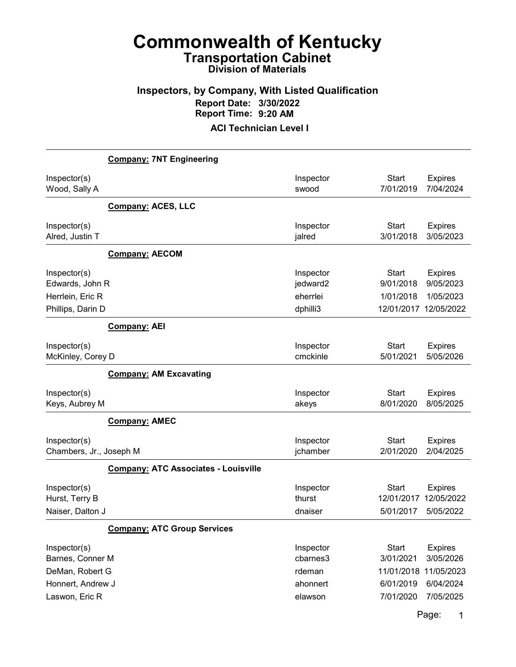### Inspectors, by Company, With Listed Qualification Report Date: 3/30/2022 Report Time: 9:20 AM

ACI Technician Level I

|                                                                          | <b>Company: 7NT Engineering</b>             |                                               |                                         |                                                                   |
|--------------------------------------------------------------------------|---------------------------------------------|-----------------------------------------------|-----------------------------------------|-------------------------------------------------------------------|
| Inspector(s)<br>Wood, Sally A                                            |                                             | Inspector<br>swood                            | <b>Start</b><br>7/01/2019               | <b>Expires</b><br>7/04/2024                                       |
|                                                                          | <b>Company: ACES, LLC</b>                   |                                               |                                         |                                                                   |
| Inspector(s)<br>Alred, Justin T                                          |                                             | Inspector<br>jalred                           | <b>Start</b><br>3/01/2018               | <b>Expires</b><br>3/05/2023                                       |
|                                                                          | <b>Company: AECOM</b>                       |                                               |                                         |                                                                   |
| Inspector(s)<br>Edwards, John R<br>Herrlein, Eric R<br>Phillips, Darin D |                                             | Inspector<br>jedward2<br>eherrlei<br>dphilli3 | <b>Start</b><br>9/01/2018<br>1/01/2018  | <b>Expires</b><br>9/05/2023<br>1/05/2023<br>12/01/2017 12/05/2022 |
|                                                                          | <b>Company: AEI</b>                         |                                               |                                         |                                                                   |
| Inspector(s)<br>McKinley, Corey D                                        | <b>Company: AM Excavating</b>               | Inspector<br>cmckinle                         | <b>Start</b><br>5/01/2021               | <b>Expires</b><br>5/05/2026                                       |
| Inspector(s)<br>Keys, Aubrey M                                           |                                             | Inspector<br>akeys                            | <b>Start</b><br>8/01/2020               | <b>Expires</b><br>8/05/2025                                       |
|                                                                          | <b>Company: AMEC</b>                        |                                               |                                         |                                                                   |
| Inspector(s)<br>Chambers, Jr., Joseph M                                  |                                             | Inspector<br>jchamber                         | <b>Start</b><br>2/01/2020               | <b>Expires</b><br>2/04/2025                                       |
|                                                                          | <b>Company: ATC Associates - Louisville</b> |                                               |                                         |                                                                   |
| Inspector(s)<br>Hurst, Terry B<br>Naiser, Dalton J                       |                                             | Inspector<br>thurst<br>dnaiser                | <b>Start</b><br>12/01/2017<br>5/01/2017 | <b>Expires</b><br>12/05/2022<br>5/05/2022                         |
|                                                                          | <b>Company: ATC Group Services</b>          |                                               |                                         |                                                                   |
| Inspector(s)<br>Barnes, Conner M<br>DeMan, Robert G                      |                                             | Inspector<br>cbarnes3<br>rdeman<br>ahonnert   | <b>Start</b><br>3/01/2021<br>11/01/2018 | <b>Expires</b><br>3/05/2026<br>11/05/2023                         |
| Honnert, Andrew J<br>Laswon, Eric R                                      |                                             | elawson                                       | 6/01/2019<br>7/01/2020                  | 6/04/2024<br>7/05/2025                                            |

Page: 1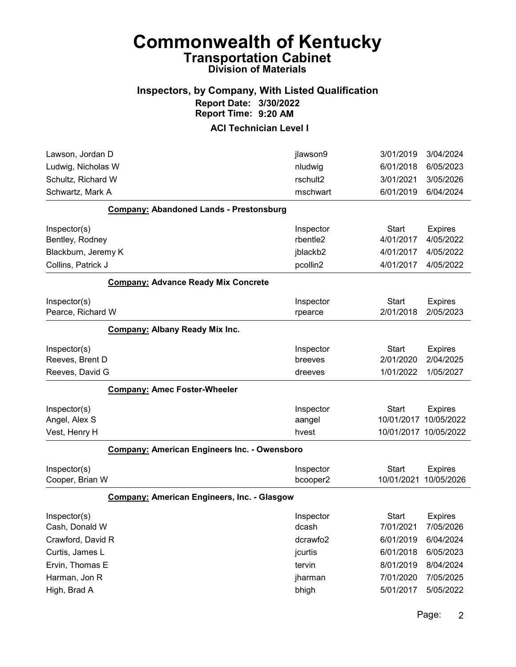#### Inspectors, by Company, With Listed Qualification Report Date: 3/30/2022 Report Time: 9:20 AM

| jlawson9  | 3/01/2019                                                                                                 | 3/04/2024                                       |
|-----------|-----------------------------------------------------------------------------------------------------------|-------------------------------------------------|
| nludwig   | 6/01/2018                                                                                                 | 6/05/2023                                       |
| rschult2  | 3/01/2021                                                                                                 | 3/05/2026                                       |
| mschwart  | 6/01/2019                                                                                                 | 6/04/2024                                       |
|           |                                                                                                           |                                                 |
| Inspector | <b>Start</b>                                                                                              | <b>Expires</b>                                  |
| rbentle2  | 4/01/2017                                                                                                 | 4/05/2022                                       |
| jblackb2  | 4/01/2017                                                                                                 | 4/05/2022                                       |
| pcollin2  |                                                                                                           | 4/05/2022                                       |
|           |                                                                                                           |                                                 |
| Inspector | <b>Start</b>                                                                                              | <b>Expires</b>                                  |
| rpearce   | 2/01/2018                                                                                                 | 2/05/2023                                       |
|           |                                                                                                           |                                                 |
| Inspector | <b>Start</b>                                                                                              | <b>Expires</b>                                  |
| breeves   | 2/01/2020                                                                                                 | 2/04/2025                                       |
| dreeves   | 1/01/2022                                                                                                 | 1/05/2027                                       |
|           |                                                                                                           |                                                 |
| Inspector | <b>Start</b>                                                                                              | <b>Expires</b>                                  |
| aangel    | 10/01/2017                                                                                                | 10/05/2022                                      |
| hvest     |                                                                                                           |                                                 |
|           |                                                                                                           |                                                 |
| Inspector | <b>Start</b>                                                                                              | <b>Expires</b>                                  |
| bcooper2  | 10/01/2021                                                                                                | 10/05/2026                                      |
|           |                                                                                                           |                                                 |
| Inspector | Start                                                                                                     | <b>Expires</b>                                  |
| dcash     |                                                                                                           | 7/05/2026                                       |
| dcrawfo2  | 6/01/2019                                                                                                 | 6/04/2024                                       |
| jcurtis   | 6/01/2018                                                                                                 | 6/05/2023                                       |
| tervin    | 8/01/2019                                                                                                 | 8/04/2024                                       |
|           |                                                                                                           |                                                 |
| jharman   | 7/01/2020                                                                                                 | 7/05/2025                                       |
|           | <b>Company: American Engineers Inc. - Owensboro</b><br><b>Company: American Engineers, Inc. - Glasgow</b> | 4/01/2017<br>10/01/2017 10/05/2022<br>7/01/2021 |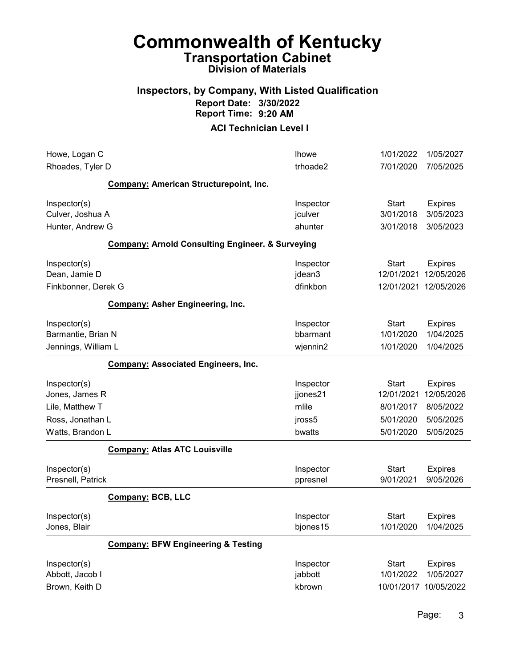#### Inspectors, by Company, With Listed Qualification Report Date: 3/30/2022 Report Time: 9:20 AM

| Howe, Logan C                                             |                                                             | <b>Ihowe</b>                      | 1/01/2022                              | 1/05/2027                                |
|-----------------------------------------------------------|-------------------------------------------------------------|-----------------------------------|----------------------------------------|------------------------------------------|
| Rhoades, Tyler D                                          |                                                             | trhoade2                          | 7/01/2020                              | 7/05/2025                                |
|                                                           | <b>Company: American Structurepoint, Inc.</b>               |                                   |                                        |                                          |
| Inspector(s)<br>Culver, Joshua A                          |                                                             | Inspector<br>jculver              | <b>Start</b><br>3/01/2018              | <b>Expires</b><br>3/05/2023              |
| Hunter, Andrew G                                          |                                                             | ahunter                           | 3/01/2018                              | 3/05/2023                                |
|                                                           |                                                             |                                   |                                        |                                          |
|                                                           | <b>Company: Arnold Consulting Engineer. &amp; Surveying</b> |                                   |                                        |                                          |
| Inspector(s)<br>Dean, Jamie D                             |                                                             | Inspector<br>jdean3               | <b>Start</b><br>12/01/2021             | <b>Expires</b><br>12/05/2026             |
| Finkbonner, Derek G                                       |                                                             | dfinkbon                          | 12/01/2021 12/05/2026                  |                                          |
|                                                           | <b>Company: Asher Engineering, Inc.</b>                     |                                   |                                        |                                          |
| Inspector(s)<br>Barmantie, Brian N<br>Jennings, William L |                                                             | Inspector<br>bbarmant<br>wjennin2 | <b>Start</b><br>1/01/2020<br>1/01/2020 | <b>Expires</b><br>1/04/2025<br>1/04/2025 |
|                                                           | <b>Company: Associated Engineers, Inc.</b>                  |                                   |                                        |                                          |
| Inspector(s)                                              |                                                             | Inspector                         | <b>Start</b>                           | <b>Expires</b>                           |
| Jones, James R                                            |                                                             | jjones21                          | 12/01/2021                             | 12/05/2026                               |
| Lile, Matthew T                                           |                                                             | mlile                             | 8/01/2017                              | 8/05/2022                                |
| Ross, Jonathan L                                          |                                                             | jross5                            | 5/01/2020                              | 5/05/2025                                |
| Watts, Brandon L                                          |                                                             | bwatts                            | 5/01/2020                              | 5/05/2025                                |
|                                                           | <b>Company: Atlas ATC Louisville</b>                        |                                   |                                        |                                          |
| Inspector(s)<br>Presnell, Patrick                         |                                                             | Inspector<br>ppresnel             | <b>Start</b><br>9/01/2021              | <b>Expires</b><br>9/05/2026              |
|                                                           | <b>Company: BCB, LLC</b>                                    |                                   |                                        |                                          |
| Inspector(s)<br>Jones, Blair                              |                                                             | Inspector<br>bjones15             | <b>Start</b><br>1/01/2020              | <b>Expires</b><br>1/04/2025              |
|                                                           | <b>Company: BFW Engineering &amp; Testing</b>               |                                   |                                        |                                          |
| Inspector(s)<br>Abbott, Jacob I                           |                                                             | Inspector<br>jabbott              | <b>Start</b><br>1/01/2022              | <b>Expires</b><br>1/05/2027              |
| Brown, Keith D                                            |                                                             | kbrown                            | 10/01/2017 10/05/2022                  |                                          |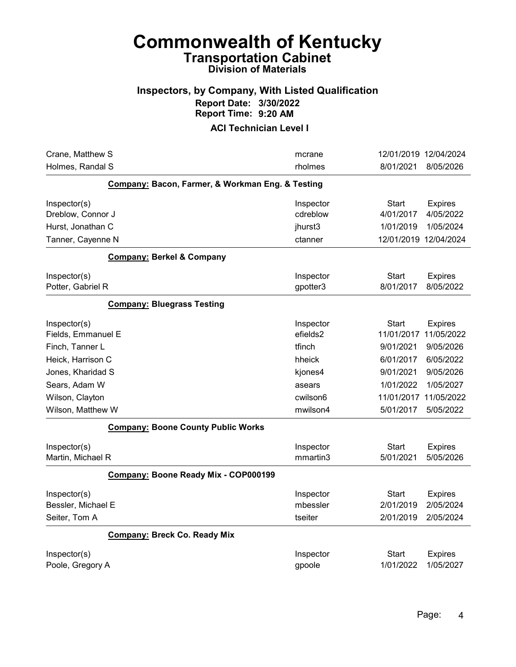#### Inspectors, by Company, With Listed Qualification Report Date: 3/30/2022 Report Time: 9:20 AM

| Crane, Matthew S                                 | mcrane                | 12/01/2019 12/04/2024      |                              |
|--------------------------------------------------|-----------------------|----------------------------|------------------------------|
| Holmes, Randal S                                 | rholmes               | 8/01/2021                  | 8/05/2026                    |
| Company: Bacon, Farmer, & Workman Eng. & Testing |                       |                            |                              |
| Inspector(s)                                     | Inspector             | <b>Start</b>               | <b>Expires</b>               |
| Dreblow, Connor J                                | cdreblow              | 4/01/2017                  | 4/05/2022                    |
| Hurst, Jonathan C                                | jhurst3               | 1/01/2019                  | 1/05/2024                    |
| Tanner, Cayenne N                                | ctanner               | 12/01/2019 12/04/2024      |                              |
| <b>Company: Berkel &amp; Company</b>             |                       |                            |                              |
| Inspector(s)<br>Potter, Gabriel R                | Inspector<br>gpotter3 | <b>Start</b><br>8/01/2017  | <b>Expires</b><br>8/05/2022  |
| <b>Company: Bluegrass Testing</b>                |                       |                            |                              |
| Inspector(s)<br>Fields, Emmanuel E               | Inspector<br>efields2 | <b>Start</b><br>11/01/2017 | <b>Expires</b><br>11/05/2022 |
| Finch, Tanner L                                  | tfinch                | 9/01/2021                  | 9/05/2026                    |
| Heick, Harrison C                                | hheick                | 6/01/2017                  | 6/05/2022                    |
| Jones, Kharidad S                                | kjones4               | 9/01/2021                  | 9/05/2026                    |
| Sears, Adam W                                    | asears                | 1/01/2022                  | 1/05/2027                    |
| Wilson, Clayton                                  | cwilson6              | 11/01/2017                 | 11/05/2022                   |
| Wilson, Matthew W                                | mwilson4              | 5/01/2017                  | 5/05/2022                    |
| <b>Company: Boone County Public Works</b>        |                       |                            |                              |
| Inspector(s)                                     | Inspector             | <b>Start</b>               | <b>Expires</b>               |
| Martin, Michael R                                | mmartin3              | 5/01/2021                  | 5/05/2026                    |
| Company: Boone Ready Mix - COP000199             |                       |                            |                              |
| Inspector(s)                                     | Inspector             | <b>Start</b>               | <b>Expires</b>               |
| Bessler, Michael E                               | mbessler              | 2/01/2019                  | 2/05/2024                    |
| Seiter, Tom A                                    | tseiter               | 2/01/2019                  | 2/05/2024                    |
| <b>Company: Breck Co. Ready Mix</b>              |                       |                            |                              |
| Inspector(s)                                     | Inspector             | Start                      | <b>Expires</b>               |
| Poole, Gregory A                                 | gpoole                | 1/01/2022                  | 1/05/2027                    |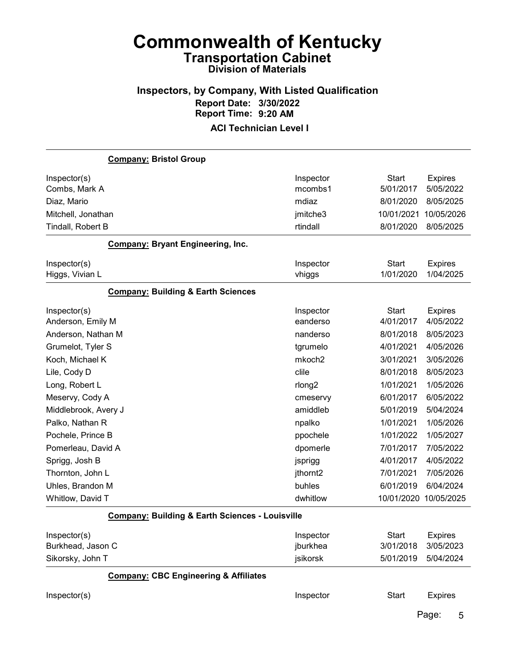#### Inspectors, by Company, With Listed Qualification Report Date: 3/30/2022 Report Time: 9:20 AM ACI Technician Level I

# Company: Bristol Group Inspector(s) **Inspector** Start Expires Combs, Mark A mcombs1 5/01/2017 5/05/2022 Diaz, Mario mdiaz 8/01/2020 8/05/2025 Mitchell, Jonathan jmitche3 10/01/2021 10/05/2026 Tindall, Robert B rtindall 8/01/2020 8/05/2025 Company: Bryant Engineering, Inc. Inspector(s) **Inspector** Start Expires Higgs, Vivian L vhiggs 1/01/2020 1/04/2025 Company: Building & Earth Sciences Inspector(s) **Inspector** Start Expires Anderson, Emily M eanderso 4/01/2017 4/05/2022 Anderson, Nathan M nanderso 8/01/2018 8/05/2023 Grumelot, Tyler S tgrumelo 4/01/2021 4/05/2026 Koch, Michael K mkoch2 3/01/2021 3/05/2026 Lile, Cody D clile 8/01/2018 8/05/2023 Long, Robert L rlong2 1/01/2021 1/05/2026 Meservy, Cody A cmeservy 6/01/2017 6/05/2022 Middlebrook, Avery J amiddleb 5/01/2019 5/04/2024 Palko, Nathan R npalko 1/01/2021 1/05/2026 Pochele, Prince B ppochele 1/01/2022 1/05/2027 Pomerleau, David A dpomerle 7/01/2017 7/05/2022 Sprigg, Josh B jsprigg 4/01/2017 4/05/2022 Thornton, John L jthornt2 7/01/2021 7/05/2026 Uhles, Brandon M buhles 6/01/2019 6/04/2024 Whitlow, David T dwhitlow 10/01/2020 10/05/2025 Company: Building & Earth Sciences - Louisville Inspector(s) **Inspector** Start Expires Burkhead, Jason C jburkhea 3/01/2018 3/05/2023 Sikorsky, John T jsikorsk 5/01/2019 5/04/2024 Company: CBC Engineering & Affiliates Inspector(s) **Inspector** Start Expires Page: 5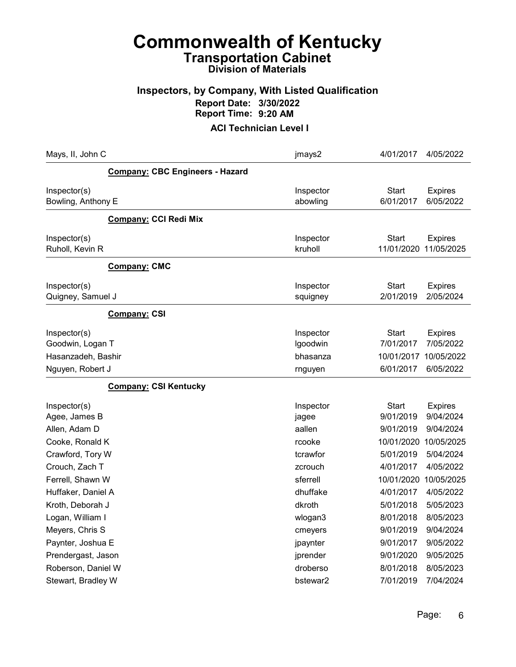# Commonwealth of Kentucky Transportation Cabinet

# Division of Materials

#### Inspectors, by Company, With Listed Qualification Report Date: 3/30/2022 Report Time: 9:20 AM

| Mays, II, John C                                       |                                 | jmays2                            | 4/01/2017                        | 4/05/2022                                 |
|--------------------------------------------------------|---------------------------------|-----------------------------------|----------------------------------|-------------------------------------------|
|                                                        | Company: CBC Engineers - Hazard |                                   |                                  |                                           |
| Inspector(s)<br>Bowling, Anthony E                     |                                 | Inspector<br>abowling             | <b>Start</b><br>6/01/2017        | <b>Expires</b><br>6/05/2022               |
|                                                        | <b>Company: CCI Redi Mix</b>    |                                   |                                  |                                           |
| Inspector(s)<br>Ruholl, Kevin R                        |                                 | Inspector<br>kruholl              | Start<br>11/01/2020              | <b>Expires</b><br>11/05/2025              |
|                                                        | Company: CMC                    |                                   |                                  |                                           |
| Inspector(s)<br>Quigney, Samuel J                      |                                 | Inspector<br>squigney             | Start<br>2/01/2019               | <b>Expires</b><br>2/05/2024               |
|                                                        | <b>Company: CSI</b>             |                                   |                                  |                                           |
| Inspector(s)<br>Goodwin, Logan T<br>Hasanzadeh, Bashir |                                 | Inspector<br>Igoodwin<br>bhasanza | Start<br>7/01/2017<br>10/01/2017 | <b>Expires</b><br>7/05/2022<br>10/05/2022 |
| Nguyen, Robert J                                       |                                 | rnguyen                           | 6/01/2017                        | 6/05/2022                                 |
|                                                        | <b>Company: CSI Kentucky</b>    |                                   |                                  |                                           |
| Inspector(s)<br>Agee, James B                          |                                 | Inspector<br>jagee<br>aallen      | Start<br>9/01/2019               | <b>Expires</b><br>9/04/2024               |
| Allen, Adam D<br>Cooke, Ronald K                       |                                 | rcooke                            | 9/01/2019<br>10/01/2020          | 9/04/2024<br>10/05/2025                   |
| Crawford, Tory W                                       |                                 | tcrawfor                          | 5/01/2019                        | 5/04/2024                                 |
| Crouch, Zach T                                         |                                 | zcrouch                           | 4/01/2017                        | 4/05/2022                                 |
| Ferrell, Shawn W                                       |                                 | sferrell                          | 10/01/2020                       | 10/05/2025                                |
| Huffaker, Daniel A                                     |                                 | dhuffake                          | 4/01/2017                        | 4/05/2022                                 |
| Kroth, Deborah J                                       |                                 | dkroth                            | 5/01/2018                        | 5/05/2023                                 |
| Logan, William I                                       |                                 | wlogan3                           | 8/01/2018                        | 8/05/2023                                 |
| Meyers, Chris S                                        |                                 | cmeyers                           | 9/01/2019                        | 9/04/2024                                 |
| Paynter, Joshua E                                      |                                 | jpaynter                          | 9/01/2017                        | 9/05/2022                                 |
| Prendergast, Jason                                     |                                 | jprender                          | 9/01/2020                        | 9/05/2025                                 |
| Roberson, Daniel W                                     |                                 | droberso                          | 8/01/2018                        | 8/05/2023                                 |
| Stewart, Bradley W                                     |                                 | bstewar2                          | 7/01/2019                        | 7/04/2024                                 |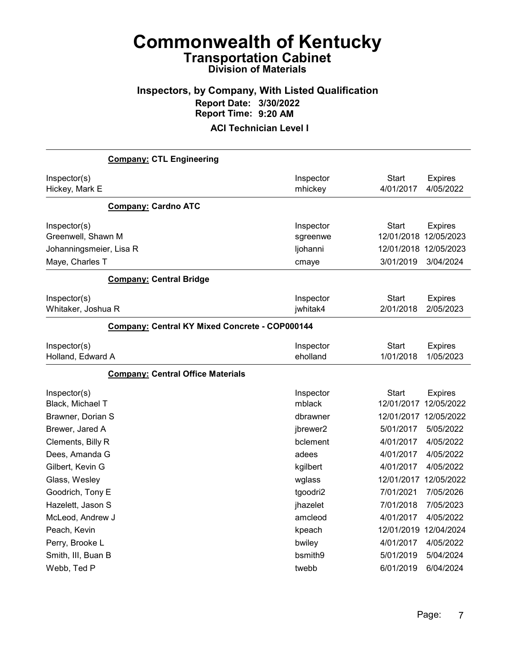### Inspectors, by Company, With Listed Qualification Report Date: 3/30/2022 Report Time: 9:20 AM

| <b>Company: CTL Engineering</b>            |                                                |                                    |                              |
|--------------------------------------------|------------------------------------------------|------------------------------------|------------------------------|
| Inspector(s)<br>Hickey, Mark E             | Inspector<br>mhickey                           | <b>Start</b><br>4/01/2017          | <b>Expires</b><br>4/05/2022  |
| <b>Company: Cardno ATC</b>                 |                                                |                                    |                              |
| Inspector(s)<br>Greenwell, Shawn M         | Inspector<br>sgreenwe                          | <b>Start</b><br>12/01/2018         | <b>Expires</b><br>12/05/2023 |
| Johanningsmeier, Lisa R<br>Maye, Charles T | ljohanni<br>cmaye                              | 12/01/2018 12/05/2023<br>3/01/2019 | 3/04/2024                    |
| <b>Company: Central Bridge</b>             |                                                |                                    |                              |
| Inspector(s)<br>Whitaker, Joshua R         | Inspector<br>jwhitak4                          | <b>Start</b><br>2/01/2018          | <b>Expires</b><br>2/05/2023  |
|                                            | Company: Central KY Mixed Concrete - COP000144 |                                    |                              |
| Inspector(s)<br>Holland, Edward A          | Inspector<br>eholland                          | Start<br>1/01/2018                 | <b>Expires</b><br>1/05/2023  |
| <b>Company: Central Office Materials</b>   |                                                |                                    |                              |
| Inspector(s)<br>Black, Michael T           | Inspector<br>mblack                            | <b>Start</b><br>12/01/2017         | <b>Expires</b><br>12/05/2022 |
| Brawner, Dorian S<br>Brewer, Jared A       | dbrawner<br>jbrewer2                           | 12/01/2017 12/05/2022<br>5/01/2017 | 5/05/2022                    |
| Clements, Billy R                          | bclement                                       | 4/01/2017                          | 4/05/2022                    |
| Dees, Amanda G                             | adees                                          | 4/01/2017                          | 4/05/2022                    |
| Gilbert, Kevin G                           | kgilbert                                       | 4/01/2017                          | 4/05/2022                    |
| Glass, Wesley                              | wglass                                         | 12/01/2017 12/05/2022              |                              |
| Goodrich, Tony E                           | tgoodri2                                       | 7/01/2021                          | 7/05/2026                    |
| Hazelett, Jason S                          | jhazelet                                       | 7/01/2018                          | 7/05/2023                    |
| McLeod, Andrew J                           | amcleod                                        | 4/01/2017                          | 4/05/2022                    |
| Peach, Kevin                               | kpeach                                         | 12/01/2019                         | 12/04/2024                   |
| Perry, Brooke L                            | bwiley                                         | 4/01/2017                          | 4/05/2022                    |
| Smith, III, Buan B                         | bsmith9                                        | 5/01/2019                          | 5/04/2024                    |
| Webb, Ted P                                | twebb                                          | 6/01/2019                          | 6/04/2024                    |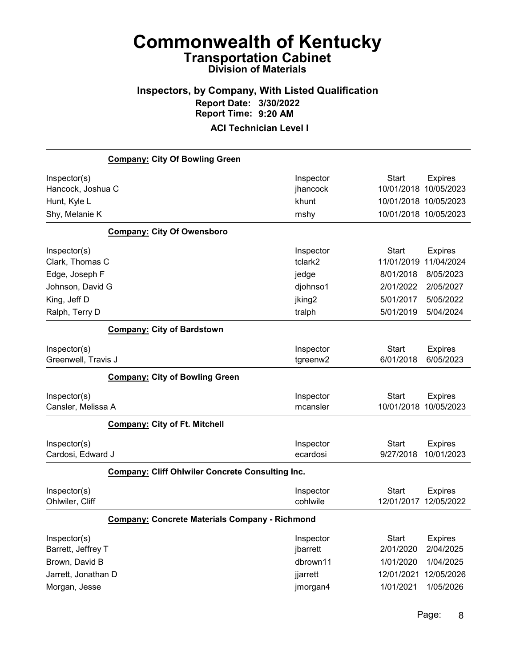# Inspectors, by Company, With Listed Qualification Report Date: 3/30/2022 Report Time: 9:20 AM

|                     | <b>Company: City Of Bowling Green</b>                   |                    |              |                       |
|---------------------|---------------------------------------------------------|--------------------|--------------|-----------------------|
| Inspector(s)        |                                                         | Inspector          | <b>Start</b> | <b>Expires</b>        |
| Hancock, Joshua C   |                                                         | jhancock           | 10/01/2018   | 10/05/2023            |
| Hunt, Kyle L        |                                                         | khunt              |              | 10/01/2018 10/05/2023 |
| Shy, Melanie K      |                                                         | mshy               |              | 10/01/2018 10/05/2023 |
|                     | <b>Company: City Of Owensboro</b>                       |                    |              |                       |
| Inspector(s)        |                                                         | Inspector          | <b>Start</b> | <b>Expires</b>        |
| Clark, Thomas C     |                                                         | tclark2            | 11/01/2019   | 11/04/2024            |
| Edge, Joseph F      |                                                         | jedge              | 8/01/2018    | 8/05/2023             |
| Johnson, David G    |                                                         | djohnso1           | 2/01/2022    | 2/05/2027             |
| King, Jeff D        |                                                         | jking <sub>2</sub> | 5/01/2017    | 5/05/2022             |
| Ralph, Terry D      |                                                         | tralph             | 5/01/2019    | 5/04/2024             |
|                     | <b>Company: City of Bardstown</b>                       |                    |              |                       |
| Inspector(s)        |                                                         | Inspector          | <b>Start</b> | <b>Expires</b>        |
| Greenwell, Travis J |                                                         | tgreenw2           | 6/01/2018    | 6/05/2023             |
|                     | <b>Company: City of Bowling Green</b>                   |                    |              |                       |
| Inspector(s)        |                                                         | Inspector          | <b>Start</b> | <b>Expires</b>        |
| Cansler, Melissa A  |                                                         | mcansler           |              | 10/01/2018 10/05/2023 |
|                     | <b>Company: City of Ft. Mitchell</b>                    |                    |              |                       |
| Inspector(s)        |                                                         | Inspector          | <b>Start</b> | <b>Expires</b>        |
| Cardosi, Edward J   |                                                         | ecardosi           | 9/27/2018    | 10/01/2023            |
|                     | <b>Company: Cliff Ohlwiler Concrete Consulting Inc.</b> |                    |              |                       |
| Inspector(s)        |                                                         | Inspector          | Start        | <b>Expires</b>        |
| Ohlwiler, Cliff     |                                                         | cohlwile           | 12/01/2017   | 12/05/2022            |
|                     | <b>Company: Concrete Materials Company - Richmond</b>   |                    |              |                       |
| Inspector(s)        |                                                         | Inspector          | <b>Start</b> | <b>Expires</b>        |
| Barrett, Jeffrey T  |                                                         | jbarrett           | 2/01/2020    | 2/04/2025             |
| Brown, David B      |                                                         | dbrown11           | 1/01/2020    | 1/04/2025             |
| Jarrett, Jonathan D |                                                         | jjarrett           | 12/01/2021   | 12/05/2026            |
| Morgan, Jesse       |                                                         | jmorgan4           | 1/01/2021    | 1/05/2026             |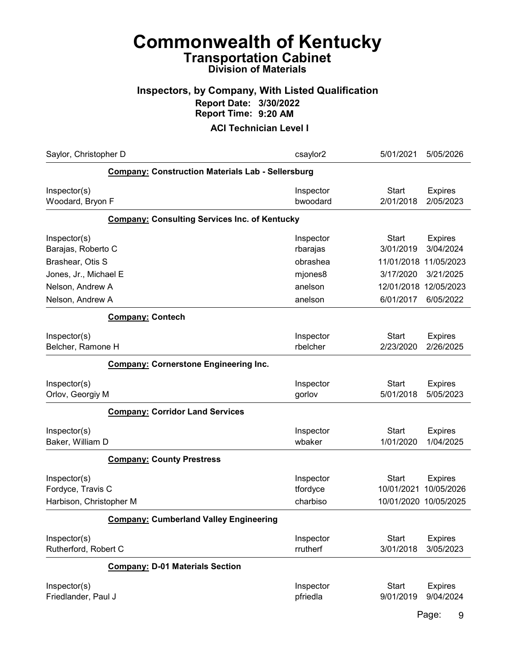#### Inspectors, by Company, With Listed Qualification Report Date: 3/30/2022 Report Time: 9:20 AM

| Saylor, Christopher D                                        |                                                          | csaylor2                          | 5/01/2021<br>5/05/2026                                                       |
|--------------------------------------------------------------|----------------------------------------------------------|-----------------------------------|------------------------------------------------------------------------------|
|                                                              | <b>Company: Construction Materials Lab - Sellersburg</b> |                                   |                                                                              |
| Inspector(s)<br>Woodard, Bryon F                             |                                                          | Inspector<br>bwoodard             | <b>Start</b><br><b>Expires</b><br>2/01/2018<br>2/05/2023                     |
|                                                              | <b>Company: Consulting Services Inc. of Kentucky</b>     |                                   |                                                                              |
| Inspector(s)<br>Barajas, Roberto C                           |                                                          | Inspector<br>rbarajas             | <b>Start</b><br><b>Expires</b><br>3/01/2019<br>3/04/2024                     |
| Brashear, Otis S                                             |                                                          | obrashea                          | 11/05/2023<br>11/01/2018                                                     |
| Jones, Jr., Michael E                                        |                                                          | mjones8                           | 3/17/2020<br>3/21/2025                                                       |
| Nelson, Andrew A                                             |                                                          | anelson                           | 12/01/2018<br>12/05/2023                                                     |
| Nelson, Andrew A                                             |                                                          | anelson                           | 6/01/2017<br>6/05/2022                                                       |
|                                                              | <b>Company: Contech</b>                                  |                                   |                                                                              |
| Inspector(s)<br>Belcher, Ramone H                            |                                                          | Inspector<br>rbelcher             | <b>Start</b><br><b>Expires</b><br>2/23/2020<br>2/26/2025                     |
|                                                              | <b>Company: Cornerstone Engineering Inc.</b>             |                                   |                                                                              |
| Inspector(s)<br>Orlov, Georgiy M                             |                                                          | Inspector<br>gorlov               | <b>Start</b><br><b>Expires</b><br>5/01/2018<br>5/05/2023                     |
|                                                              | <b>Company: Corridor Land Services</b>                   |                                   |                                                                              |
| Inspector(s)<br>Baker, William D                             |                                                          | Inspector<br>wbaker               | <b>Start</b><br><b>Expires</b><br>1/01/2020<br>1/04/2025                     |
|                                                              | <b>Company: County Prestress</b>                         |                                   |                                                                              |
| Inspector(s)<br>Fordyce, Travis C<br>Harbison, Christopher M |                                                          | Inspector<br>tfordyce<br>charbiso | Start<br><b>Expires</b><br>10/05/2026<br>10/01/2021<br>10/01/2020 10/05/2025 |
|                                                              | <b>Company: Cumberland Valley Engineering</b>            |                                   |                                                                              |
| Inspector(s)<br>Rutherford, Robert C                         |                                                          | Inspector<br>rrutherf             | <b>Start</b><br><b>Expires</b><br>3/01/2018<br>3/05/2023                     |
|                                                              | <b>Company: D-01 Materials Section</b>                   |                                   |                                                                              |
| Inspector(s)<br>Friedlander, Paul J                          |                                                          | Inspector<br>pfriedla             | <b>Start</b><br><b>Expires</b><br>9/01/2019<br>9/04/2024                     |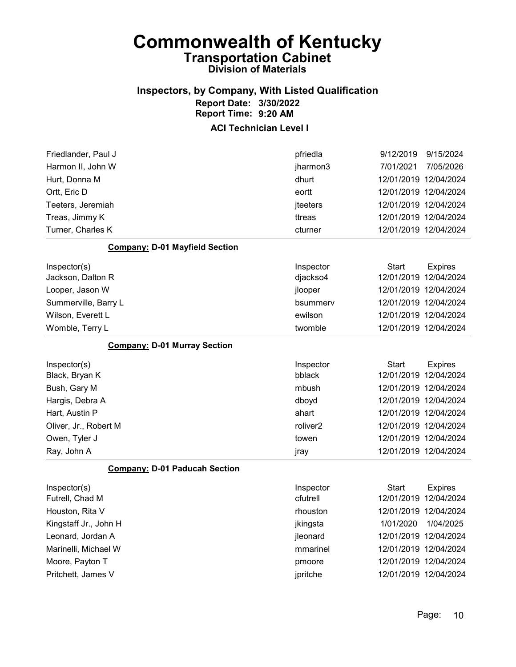#### Inspectors, by Company, With Listed Qualification Report Date: 3/30/2022 Report Time: 9:20 AM

#### ACI Technician Level I

| Friedlander, Paul J                   | pfriedla  | 9/12/2019<br>9/15/2024         |  |
|---------------------------------------|-----------|--------------------------------|--|
| Harmon II, John W                     | jharmon3  | 7/05/2026<br>7/01/2021         |  |
| Hurt, Donna M                         | dhurt     | 12/01/2019 12/04/2024          |  |
| Ortt, Eric D                          | eortt     | 12/01/2019 12/04/2024          |  |
| Teeters, Jeremiah                     | jteeters  | 12/01/2019 12/04/2024          |  |
| Treas, Jimmy K                        | ttreas    | 12/01/2019 12/04/2024          |  |
| Turner, Charles K                     | cturner   | 12/01/2019 12/04/2024          |  |
| <b>Company: D-01 Mayfield Section</b> |           |                                |  |
| Inspector(s)                          | Inspector | <b>Start</b><br><b>Expires</b> |  |
| Jackson, Dalton R                     | djackso4  | 12/01/2019<br>12/04/2024       |  |
| Looper, Jason W                       | jlooper   | 12/01/2019 12/04/2024          |  |
| Summerville, Barry L                  | bsummerv  | 12/01/2019 12/04/2024          |  |
| Wilson, Everett L                     | ewilson   | 12/01/2019 12/04/2024          |  |
| Womble, Terry L                       | twomble   | 12/01/2019 12/04/2024          |  |
| <b>Company: D-01 Murray Section</b>   |           |                                |  |
| Inspector(s)                          | Inspector | <b>Start</b><br><b>Expires</b> |  |
| Black, Bryan K                        | bblack    | 12/01/2019<br>12/04/2024       |  |
| Bush, Gary M                          | mbush     | 12/01/2019 12/04/2024          |  |
| Hargis, Debra A                       | dboyd     | 12/01/2019 12/04/2024          |  |
| Hart, Austin P                        | ahart     | 12/01/2019 12/04/2024          |  |
| Oliver, Jr., Robert M                 | roliver2  | 12/01/2019 12/04/2024          |  |
| Owen, Tyler J                         | towen     | 12/01/2019 12/04/2024          |  |
| Ray, John A                           | jray      | 12/01/2019 12/04/2024          |  |

#### Company: D-01 Paducah Section

| Inspector(s)          | Inspector | Start                 | <b>Expires</b>        |
|-----------------------|-----------|-----------------------|-----------------------|
| Futrell, Chad M       | cfutrell  | 12/01/2019 12/04/2024 |                       |
| Houston, Rita V       | rhouston  | 12/01/2019 12/04/2024 |                       |
| Kingstaff Jr., John H | jkingsta  | 1/01/2020             | 1/04/2025             |
| Leonard, Jordan A     | jleonard  | 12/01/2019 12/04/2024 |                       |
| Marinelli, Michael W  | mmarinel  | 12/01/2019 12/04/2024 |                       |
| Moore, Payton T       | pmoore    | 12/01/2019 12/04/2024 |                       |
| Pritchett, James V    | jpritche  |                       | 12/01/2019 12/04/2024 |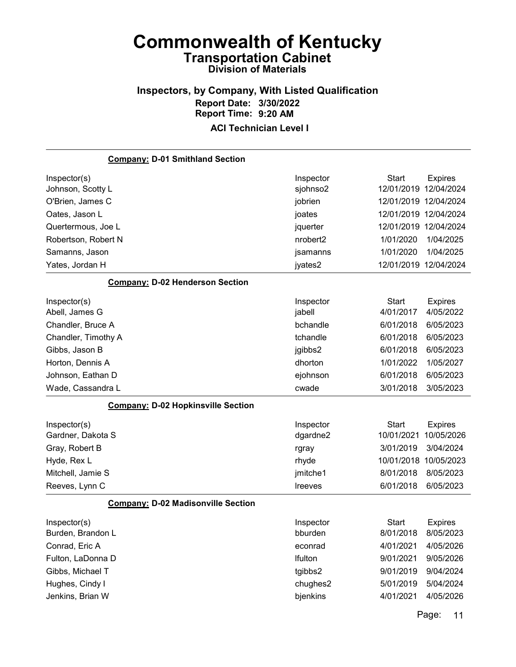# Inspectors, by Company, With Listed Qualification Report Date: 3/30/2022 Report Time: 9:20 AM

#### ACI Technician Level I

| <b>Company: D-01 Smithland Section</b>    |                      |                       |                |
|-------------------------------------------|----------------------|-----------------------|----------------|
| Inspector(s)                              | Inspector            | <b>Start</b>          | <b>Expires</b> |
| Johnson, Scotty L                         | sjohnso2             | 12/01/2019            | 12/04/2024     |
| O'Brien, James C                          | jobrien              | 12/01/2019 12/04/2024 |                |
| Oates, Jason L                            | joates               | 12/01/2019 12/04/2024 |                |
| Quertermous, Joe L                        | jquerter             | 12/01/2019 12/04/2024 |                |
| Robertson, Robert N                       | nrobert <sub>2</sub> | 1/01/2020             | 1/04/2025      |
| Samanns, Jason                            | jsamanns             | 1/01/2020             | 1/04/2025      |
| Yates, Jordan H                           | jyates2              | 12/01/2019 12/04/2024 |                |
| <b>Company: D-02 Henderson Section</b>    |                      |                       |                |
| Inspector(s)                              | Inspector            | <b>Start</b>          | <b>Expires</b> |
| Abell, James G                            | jabell               | 4/01/2017             | 4/05/2022      |
| Chandler, Bruce A                         | bchandle             | 6/01/2018             | 6/05/2023      |
| Chandler, Timothy A                       | tchandle             | 6/01/2018             | 6/05/2023      |
| Gibbs, Jason B                            | jgibbs2              | 6/01/2018             | 6/05/2023      |
| Horton, Dennis A                          | dhorton              | 1/01/2022             | 1/05/2027      |
| Johnson, Eathan D                         | ejohnson             | 6/01/2018             | 6/05/2023      |
| Wade, Cassandra L                         | cwade                | 3/01/2018             | 3/05/2023      |
| <b>Company: D-02 Hopkinsville Section</b> |                      |                       |                |
| Inspector(s)                              | Inspector            | <b>Start</b>          | <b>Expires</b> |
| Gardner, Dakota S                         | dgardne2             | 10/01/2021            | 10/05/2026     |
| Gray, Robert B                            | rgray                | 3/01/2019             | 3/04/2024      |
| Hyde, Rex L                               | rhyde                | 10/01/2018            | 10/05/2023     |
| Mitchell, Jamie S                         | jmitche1             | 8/01/2018             | 8/05/2023      |
| Reeves, Lynn C                            | Ireeves              | 6/01/2018             | 6/05/2023      |
| <b>Company: D-02 Madisonville Section</b> |                      |                       |                |
| Inspector(s)                              | Inspector            | Start                 | <b>Expires</b> |
| Burden, Brandon L                         | bburden              | 8/01/2018             | 8/05/2023      |
| Conrad, Eric A                            | econrad              | 4/01/2021             | 4/05/2026      |
| Fulton, LaDonna D                         | Ifulton              | 9/01/2021             | 9/05/2026      |
| Gibbs, Michael T                          | tgibbs2              | 9/01/2019             | 9/04/2024      |
| Hughes, Cindy I                           | chughes2             | 5/01/2019             | 5/04/2024      |
| Jenkins, Brian W                          | bjenkins             | 4/01/2021             | 4/05/2026      |

Page: 11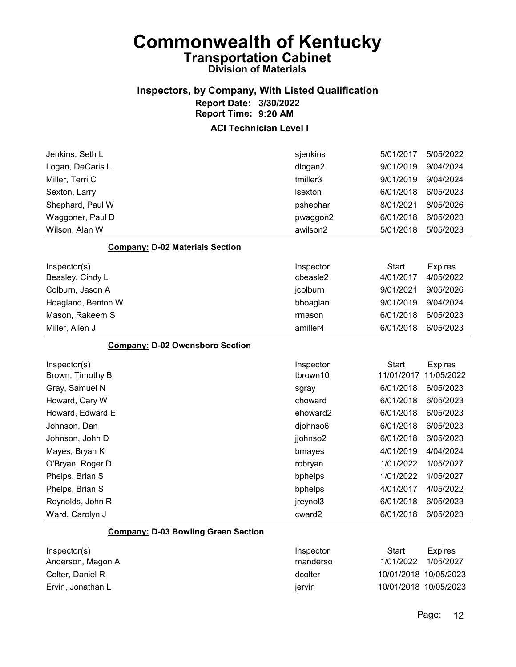#### Inspectors, by Company, With Listed Qualification Report Date: 3/30/2022 Report Time: 9:20 AM

#### ACI Technician Level I

| Jenkins, Seth L                        | sjenkins  | 5/01/2017    | 5/05/2022      |
|----------------------------------------|-----------|--------------|----------------|
| Logan, DeCaris L                       | dlogan2   | 9/01/2019    | 9/04/2024      |
| Miller, Terri C                        | tmiller3  | 9/01/2019    | 9/04/2024      |
| Sexton, Larry                          | Isexton   | 6/01/2018    | 6/05/2023      |
| Shephard, Paul W                       | pshephar  | 8/01/2021    | 8/05/2026      |
| Waggoner, Paul D                       | pwaggon2  | 6/01/2018    | 6/05/2023      |
| Wilson, Alan W                         | awilson2  | 5/01/2018    | 5/05/2023      |
| <b>Company: D-02 Materials Section</b> |           |              |                |
| Inspector(s)                           | Inspector | <b>Start</b> | <b>Expires</b> |
| Beasley, Cindy L                       | cbeasle2  | 4/01/2017    | 4/05/2022      |
| Colburn, Jason A                       | jcolburn  | 9/01/2021    | 9/05/2026      |
| Hoagland, Benton W                     | bhoaglan  | 9/01/2019    | 9/04/2024      |
| Mason, Rakeem S                        | rmason    | 6/01/2018    | 6/05/2023      |
| Miller, Allen J                        | amiller4  | 6/01/2018    | 6/05/2023      |
|                                        |           |              |                |
| <b>Company: D-02 Owensboro Section</b> |           |              |                |
| Inspector(s)                           | Inspector | <b>Start</b> | <b>Expires</b> |
| Brown, Timothy B                       | tbrown10  | 11/01/2017   | 11/05/2022     |
| Gray, Samuel N                         | sgray     | 6/01/2018    | 6/05/2023      |
| Howard, Cary W                         | choward   | 6/01/2018    | 6/05/2023      |
| Howard, Edward E                       | ehoward2  | 6/01/2018    | 6/05/2023      |
| Johnson, Dan                           | djohnso6  | 6/01/2018    | 6/05/2023      |
| Johnson, John D                        | jjohnso2  | 6/01/2018    | 6/05/2023      |
| Mayes, Bryan K                         | bmayes    | 4/01/2019    | 4/04/2024      |
| O'Bryan, Roger D                       | robryan   | 1/01/2022    | 1/05/2027      |
| Phelps, Brian S                        | bphelps   | 1/01/2022    | 1/05/2027      |
| Phelps, Brian S                        | bphelps   | 4/01/2017    | 4/05/2022      |
| Reynolds, John R                       | jreynol3  | 6/01/2018    | 6/05/2023      |

#### Company: D-03 Bowling Green Section

| Inspector(s)<br>Anderson, Magon A | Inspector<br>manderso | Start<br>1/01/2022    | Expires<br>1/05/2027 |
|-----------------------------------|-----------------------|-----------------------|----------------------|
| Colter, Daniel R                  | dcolter               | 10/01/2018 10/05/2023 |                      |
| Ervin, Jonathan L                 | iervin                | 10/01/2018 10/05/2023 |                      |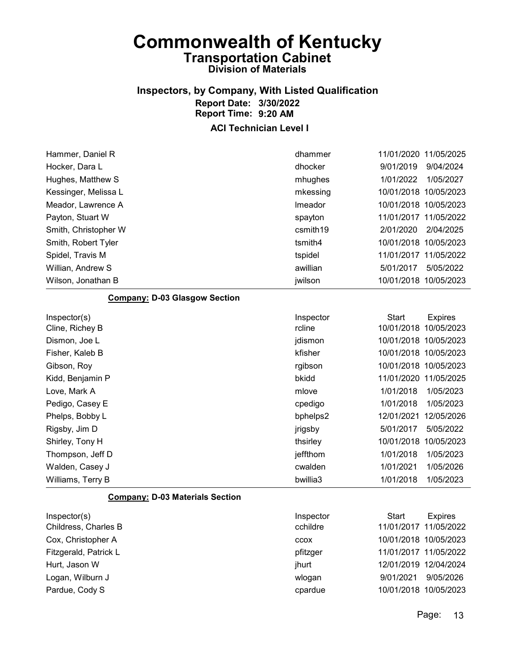### Inspectors, by Company, With Listed Qualification Report Date: 3/30/2022 Report Time: 9:20 AM

ACI Technician Level I

| Hammer, Daniel R                     | dhammer   | 11/01/2020 11/05/2025          |
|--------------------------------------|-----------|--------------------------------|
| Hocker, Dara L                       | dhocker   | 9/01/2019<br>9/04/2024         |
| Hughes, Matthew S                    | mhughes   | 1/01/2022<br>1/05/2027         |
| Kessinger, Melissa L                 | mkessing  | 10/05/2023<br>10/01/2018       |
| Meador, Lawrence A                   | Imeador   | 10/01/2018 10/05/2023          |
| Payton, Stuart W                     | spayton   | 11/01/2017<br>11/05/2022       |
| Smith, Christopher W                 | csmith19  | 2/01/2020<br>2/04/2025         |
| Smith, Robert Tyler                  | tsmith4   | 10/01/2018 10/05/2023          |
| Spidel, Travis M                     | tspidel   | 11/01/2017 11/05/2022          |
| Willian, Andrew S                    | awillian  | 5/01/2017<br>5/05/2022         |
| Wilson, Jonathan B                   | jwilson   | 10/01/2018 10/05/2023          |
| <b>Company: D-03 Glasgow Section</b> |           |                                |
| Inspector(s)                         | Inspector | <b>Start</b><br><b>Expires</b> |
| Cline, Richey B                      | rcline    | 10/01/2018 10/05/2023          |
| Dismon, Joe L                        | jdismon   | 10/01/2018 10/05/2023          |
| Fisher, Kaleb B                      | kfisher   | 10/01/2018 10/05/2023          |
| Gibson, Roy                          | rgibson   | 10/01/2018 10/05/2023          |
| Kidd, Benjamin P                     | bkidd     | 11/01/2020 11/05/2025          |
| Love, Mark A                         | mlove     | 1/01/2018<br>1/05/2023         |
| Pedigo, Casey E                      | cpedigo   | 1/01/2018<br>1/05/2023         |
| Phelps, Bobby L                      | bphelps2  | 12/05/2026<br>12/01/2021       |
| Rigsby, Jim D                        | jrigsby   | 5/01/2017<br>5/05/2022         |
| Shirley, Tony H                      | thsirley  | 10/01/2018<br>10/05/2023       |
| Thompson, Jeff D                     | jeffthom  | 1/01/2018<br>1/05/2023         |

#### Company: D-03 Materials Section

| Inspector(s)          | Inspector   | Start                 | <b>Expires</b>        |
|-----------------------|-------------|-----------------------|-----------------------|
| Childress, Charles B  | cchildre    | 11/01/2017 11/05/2022 |                       |
| Cox, Christopher A    | <b>CCOX</b> |                       | 10/01/2018 10/05/2023 |
| Fitzgerald, Patrick L | pfitzger    | 11/01/2017 11/05/2022 |                       |
| Hurt, Jason W         | jhurt       |                       | 12/01/2019 12/04/2024 |
| Logan, Wilburn J      | wlogan      | 9/01/2021             | 9/05/2026             |
| Pardue, Cody S        | cpardue     |                       | 10/01/2018 10/05/2023 |

Walden, Casey J **Casey 11/01/2021** Cwalden 2010/2021 1/05/2026 Williams, Terry B **1/01/2018** 1/05/2023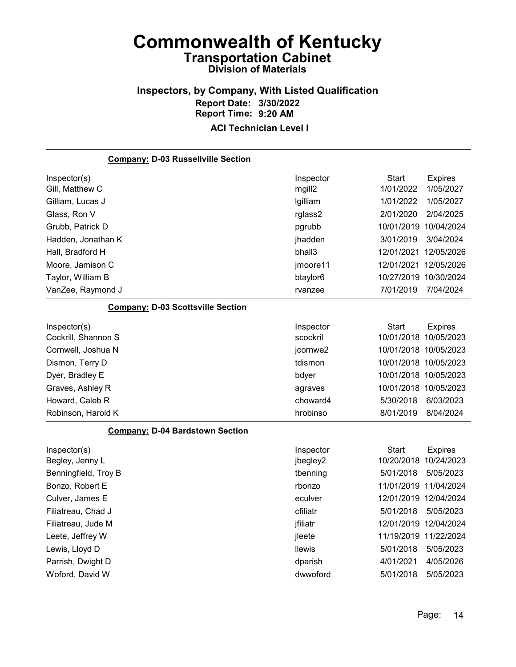# Inspectors, by Company, With Listed Qualification Report Date: 3/30/2022 Report Time: 9:20 AM

| <b>Company: D-03 Russellville Section</b> |                      |                       |                |
|-------------------------------------------|----------------------|-----------------------|----------------|
| Inspector(s)                              | Inspector            | <b>Start</b>          | <b>Expires</b> |
| Gill, Matthew C                           | mgill2               | 1/01/2022             | 1/05/2027      |
| Gilliam, Lucas J                          | Igilliam             | 1/01/2022             | 1/05/2027      |
| Glass, Ron V                              | rglass2              | 2/01/2020             | 2/04/2025      |
| Grubb, Patrick D                          | pgrubb               | 10/01/2019 10/04/2024 |                |
| Hadden, Jonathan K                        | jhadden              | 3/01/2019             | 3/04/2024      |
| Hall, Bradford H                          | bhall3               | 12/01/2021            | 12/05/2026     |
| Moore, Jamison C                          | jmoore11             | 12/01/2021 12/05/2026 |                |
| Taylor, William B                         | btaylor <sub>6</sub> | 10/27/2019 10/30/2024 |                |
| VanZee, Raymond J                         | rvanzee              | 7/01/2019             | 7/04/2024      |
| <b>Company: D-03 Scottsville Section</b>  |                      |                       |                |
| Inspector(s)                              | Inspector            | <b>Start</b>          | <b>Expires</b> |
| Cockrill, Shannon S                       | scockril             | 10/01/2018 10/05/2023 |                |
| Cornwell, Joshua N                        | jcornwe2             | 10/01/2018 10/05/2023 |                |
| Dismon, Terry D                           | tdismon              | 10/01/2018 10/05/2023 |                |
| Dyer, Bradley E                           | bdyer                | 10/01/2018 10/05/2023 |                |
| Graves, Ashley R                          | agraves              | 10/01/2018 10/05/2023 |                |
| Howard, Caleb R                           | choward4             | 5/30/2018             | 6/03/2023      |
| Robinson, Harold K                        | hrobinso             | 8/01/2019             | 8/04/2024      |
| <b>Company: D-04 Bardstown Section</b>    |                      |                       |                |
| Inspector(s)                              | Inspector            | <b>Start</b>          | <b>Expires</b> |
| Begley, Jenny L                           | jbegley2             | 10/20/2018 10/24/2023 |                |
| Benningfield, Troy B                      | tbenning             | 5/01/2018             | 5/05/2023      |
| Bonzo, Robert E                           | rbonzo               | 11/01/2019 11/04/2024 |                |
| Culver, James E                           | eculver              | 12/01/2019 12/04/2024 |                |
| Filiatreau, Chad J                        | cfiliatr             | 5/01/2018             | 5/05/2023      |
| Filiatreau, Jude M                        | jfiliatr             | 12/01/2019 12/04/2024 |                |
| Leete, Jeffrey W                          | jleete               | 11/19/2019 11/22/2024 |                |
| Lewis, Lloyd D                            | <b>Ilewis</b>        | 5/01/2018             | 5/05/2023      |
| Parrish, Dwight D                         | dparish              | 4/01/2021             | 4/05/2026      |
| Woford, David W                           | dwwoford             | 5/01/2018             | 5/05/2023      |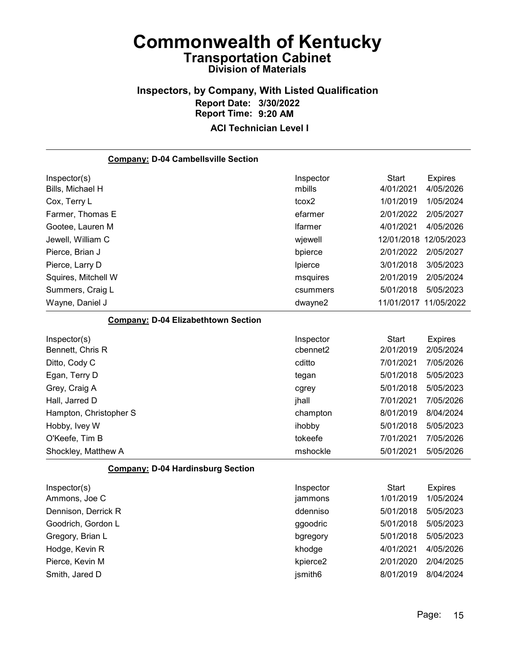### Inspectors, by Company, With Listed Qualification Report Date: 3/30/2022 Report Time: 9:20 AM

| <b>Company: D-04 Cambellsville Section</b> |                |                       |                |
|--------------------------------------------|----------------|-----------------------|----------------|
| Inspector(s)                               | Inspector      | Start                 | <b>Expires</b> |
| Bills, Michael H                           | mbills         | 4/01/2021             | 4/05/2026      |
| Cox, Terry L                               | tcox2          | 1/01/2019             | 1/05/2024      |
| Farmer, Thomas E                           | efarmer        | 2/01/2022             | 2/05/2027      |
| Gootee, Lauren M                           | <b>Ifarmer</b> | 4/01/2021             | 4/05/2026      |
| Jewell, William C                          | wjewell        | 12/01/2018 12/05/2023 |                |
| Pierce, Brian J                            | bpierce        | 2/01/2022             | 2/05/2027      |
| Pierce, Larry D                            | Ipierce        | 3/01/2018             | 3/05/2023      |
| Squires, Mitchell W                        | msquires       | 2/01/2019             | 2/05/2024      |
| Summers, Craig L                           | csummers       | 5/01/2018             | 5/05/2023      |
| Wayne, Daniel J                            | dwayne2        | 11/01/2017 11/05/2022 |                |
| <b>Company: D-04 Elizabethtown Section</b> |                |                       |                |
| Inspector(s)                               | Inspector      | Start                 | <b>Expires</b> |
| Bennett, Chris R                           | cbennet2       | 2/01/2019             | 2/05/2024      |
| Ditto, Cody C                              | cditto         | 7/01/2021             | 7/05/2026      |
| Egan, Terry D                              | tegan          | 5/01/2018             | 5/05/2023      |
| Grey, Craig A                              | cgrey          | 5/01/2018             | 5/05/2023      |
| Hall, Jarred D                             | jhall          | 7/01/2021             | 7/05/2026      |
| Hampton, Christopher S                     | champton       | 8/01/2019             | 8/04/2024      |
| Hobby, Ivey W                              | ihobby         | 5/01/2018             | 5/05/2023      |
| O'Keefe, Tim B                             | tokeefe        | 7/01/2021             | 7/05/2026      |
| Shockley, Matthew A                        | mshockle       | 5/01/2021             | 5/05/2026      |
| <b>Company: D-04 Hardinsburg Section</b>   |                |                       |                |
| Inspector(s)                               | Inspector      | Start                 | <b>Expires</b> |
| Ammons, Joe C                              | jammons        | 1/01/2019             | 1/05/2024      |
| Dennison, Derrick R                        | ddenniso       | 5/01/2018             | 5/05/2023      |
| Goodrich, Gordon L                         | ggoodric       | 5/01/2018             | 5/05/2023      |
| Gregory, Brian L                           | bgregory       | 5/01/2018             | 5/05/2023      |
| Hodge, Kevin R                             | khodge         | 4/01/2021             | 4/05/2026      |
| Pierce, Kevin M                            | kpierce2       | 2/01/2020             | 2/04/2025      |
| Smith, Jared D                             | jsmith6        | 8/01/2019             | 8/04/2024      |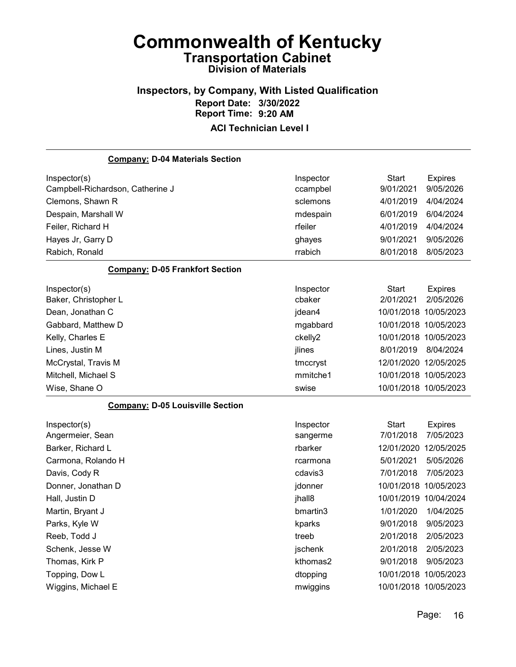### Inspectors, by Company, With Listed Qualification Report Date: 3/30/2022 Report Time: 9:20 AM

| <b>Company: D-04 Materials Section</b>  |           |                       |                |
|-----------------------------------------|-----------|-----------------------|----------------|
| Inspector(s)                            | Inspector | <b>Start</b>          | <b>Expires</b> |
| Campbell-Richardson, Catherine J        | ccampbel  | 9/01/2021             | 9/05/2026      |
| Clemons, Shawn R                        | sclemons  | 4/01/2019             | 4/04/2024      |
| Despain, Marshall W                     | mdespain  | 6/01/2019             | 6/04/2024      |
| Feiler, Richard H                       | rfeiler   | 4/01/2019             | 4/04/2024      |
| Hayes Jr, Garry D                       | ghayes    | 9/01/2021             | 9/05/2026      |
| Rabich, Ronald                          | rrabich   | 8/01/2018             | 8/05/2023      |
| <b>Company: D-05 Frankfort Section</b>  |           |                       |                |
| Inspector(s)                            | Inspector | <b>Start</b>          | <b>Expires</b> |
| Baker, Christopher L                    | cbaker    | 2/01/2021             | 2/05/2026      |
| Dean, Jonathan C                        | jdean4    | 10/01/2018 10/05/2023 |                |
| Gabbard, Matthew D                      | mgabbard  | 10/01/2018 10/05/2023 |                |
| Kelly, Charles E                        | ckelly2   | 10/01/2018 10/05/2023 |                |
| Lines, Justin M                         | jlines    | 8/01/2019             | 8/04/2024      |
| McCrystal, Travis M                     | tmccryst  | 12/01/2020 12/05/2025 |                |
| Mitchell, Michael S                     | mmitche1  | 10/01/2018 10/05/2023 |                |
| Wise, Shane O                           | swise     | 10/01/2018 10/05/2023 |                |
| <b>Company: D-05 Louisville Section</b> |           |                       |                |
| Inspector(s)                            | Inspector | <b>Start</b>          | <b>Expires</b> |
| Angermeier, Sean                        | sangerme  | 7/01/2018             | 7/05/2023      |
| Barker, Richard L                       | rbarker   | 12/01/2020            | 12/05/2025     |
| Carmona, Rolando H                      | rcarmona  | 5/01/2021             | 5/05/2026      |
| Davis, Cody R                           | cdavis3   | 7/01/2018             | 7/05/2023      |
| Donner, Jonathan D                      | jdonner   | 10/01/2018            | 10/05/2023     |
| Hall, Justin D                          | jhall8    | 10/01/2019 10/04/2024 |                |
| Martin, Bryant J                        | bmartin3  | 1/01/2020             | 1/04/2025      |
| Parks, Kyle W                           | kparks    | 9/01/2018             | 9/05/2023      |
| Reeb, Todd J                            | treeb     | 2/01/2018             | 2/05/2023      |
| Schenk, Jesse W                         | jschenk   | 2/01/2018             | 2/05/2023      |
| Thomas, Kirk P                          | kthomas2  | 9/01/2018             | 9/05/2023      |
| Topping, Dow L                          | dtopping  | 10/01/2018 10/05/2023 |                |
| Wiggins, Michael E                      | mwiggins  | 10/01/2018 10/05/2023 |                |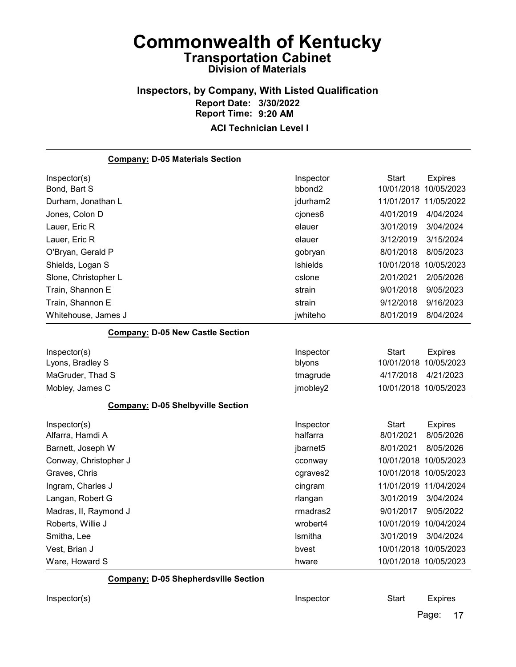### Inspectors, by Company, With Listed Qualification Report Date: 3/30/2022 Report Time: 9:20 AM

#### ACI Technician Level I

| <b>Company: D-05 Materials Section</b>      |                    |                       |                |
|---------------------------------------------|--------------------|-----------------------|----------------|
| Inspector(s)                                | Inspector          | <b>Start</b>          | <b>Expires</b> |
| Bond, Bart S                                | bbond <sub>2</sub> | 10/01/2018 10/05/2023 |                |
| Durham, Jonathan L                          | jdurham2           | 11/01/2017 11/05/2022 |                |
| Jones, Colon D                              | cjones6            | 4/01/2019             | 4/04/2024      |
| Lauer, Eric R                               | elauer             | 3/01/2019             | 3/04/2024      |
| Lauer, Eric R                               | elauer             | 3/12/2019             | 3/15/2024      |
| O'Bryan, Gerald P                           | gobryan            | 8/01/2018             | 8/05/2023      |
| Shields, Logan S                            | <b>Ishields</b>    | 10/01/2018 10/05/2023 |                |
| Slone, Christopher L                        | cslone             | 2/01/2021             | 2/05/2026      |
| Train, Shannon E                            | strain             | 9/01/2018             | 9/05/2023      |
| Train, Shannon E                            | strain             | 9/12/2018             | 9/16/2023      |
| Whitehouse, James J                         | jwhiteho           | 8/01/2019             | 8/04/2024      |
| <b>Company: D-05 New Castle Section</b>     |                    |                       |                |
| Inspector(s)                                | Inspector          | <b>Start</b>          | <b>Expires</b> |
| Lyons, Bradley S                            | blyons             | 10/01/2018 10/05/2023 |                |
| MaGruder, Thad S                            | tmagrude           | 4/17/2018             | 4/21/2023      |
| Mobley, James C                             | jmobley2           | 10/01/2018 10/05/2023 |                |
| <b>Company: D-05 Shelbyville Section</b>    |                    |                       |                |
| Inspector(s)                                | Inspector          | <b>Start</b>          | <b>Expires</b> |
| Alfarra, Hamdi A                            | halfarra           | 8/01/2021             | 8/05/2026      |
| Barnett, Joseph W                           | jbarnet5           | 8/01/2021             | 8/05/2026      |
| Conway, Christopher J                       | cconway            | 10/01/2018 10/05/2023 |                |
| Graves, Chris                               | cgraves2           | 10/01/2018 10/05/2023 |                |
| Ingram, Charles J                           | cingram            | 11/01/2019 11/04/2024 |                |
| Langan, Robert G                            | rlangan            | 3/01/2019             | 3/04/2024      |
| Madras, II, Raymond J                       | rmadras2           | 9/01/2017             | 9/05/2022      |
| Roberts, Willie J                           | wrobert4           | 10/01/2019 10/04/2024 |                |
| Smitha, Lee                                 | Ismitha            | 3/01/2019             | 3/04/2024      |
| Vest, Brian J                               | bvest              | 10/01/2018 10/05/2023 |                |
| Ware, Howard S                              | hware              | 10/01/2018 10/05/2023 |                |
| <b>Company: D-05 Shepherdsville Section</b> |                    |                       |                |

Inspector(s) and Inspector Controllers and Inspector Controllers Start Expires

Page: 17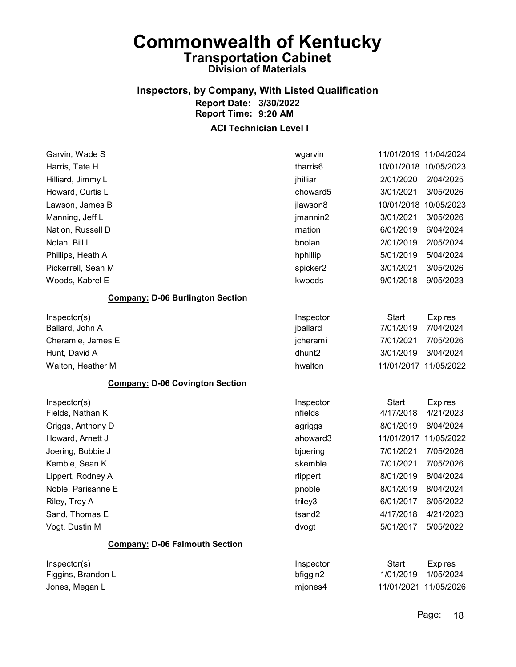### Inspectors, by Company, With Listed Qualification Report Date: 3/30/2022 Report Time: 9:20 AM

| Garvin, Wade S                          | wgarvin   |              | 11/01/2019 11/04/2024 |
|-----------------------------------------|-----------|--------------|-----------------------|
| Harris, Tate H                          | tharris6  |              | 10/01/2018 10/05/2023 |
| Hilliard, Jimmy L                       | jhilliar  | 2/01/2020    | 2/04/2025             |
| Howard, Curtis L                        | choward5  | 3/01/2021    | 3/05/2026             |
| Lawson, James B                         | jlawson8  | 10/01/2018   | 10/05/2023            |
| Manning, Jeff L                         | jmannin2  | 3/01/2021    | 3/05/2026             |
| Nation, Russell D                       | rnation   | 6/01/2019    | 6/04/2024             |
| Nolan, Bill L                           | bnolan    | 2/01/2019    | 2/05/2024             |
| Phillips, Heath A                       | hphillip  | 5/01/2019    | 5/04/2024             |
| Pickerrell, Sean M                      | spicker2  | 3/01/2021    | 3/05/2026             |
| Woods, Kabrel E                         | kwoods    | 9/01/2018    | 9/05/2023             |
| <b>Company: D-06 Burlington Section</b> |           |              |                       |
| Inspector(s)                            | Inspector | <b>Start</b> | <b>Expires</b>        |
| Ballard, John A                         | jballard  | 7/01/2019    | 7/04/2024             |
| Cheramie, James E                       | jcherami  | 7/01/2021    | 7/05/2026             |
| Hunt, David A                           | dhunt2    | 3/01/2019    | 3/04/2024             |
| Walton, Heather M                       | hwalton   |              | 11/01/2017 11/05/2022 |
| <b>Company: D-06 Covington Section</b>  |           |              |                       |
| Inspector(s)                            | Inspector | <b>Start</b> | <b>Expires</b>        |
| Fields, Nathan K                        | nfields   | 4/17/2018    | 4/21/2023             |
| Griggs, Anthony D                       | agriggs   | 8/01/2019    | 8/04/2024             |
| Howard, Arnett J                        | ahoward3  |              | 11/01/2017 11/05/2022 |
| Joering, Bobbie J                       | bjoering  | 7/01/2021    | 7/05/2026             |
| Kemble, Sean K                          | skemble   | 7/01/2021    | 7/05/2026             |
| Lippert, Rodney A                       | rlippert  | 8/01/2019    | 8/04/2024             |
| Noble, Parisanne E                      | pnoble    | 8/01/2019    | 8/04/2024             |
| Riley, Troy A                           | triley3   | 6/01/2017    | 6/05/2022             |
| Sand, Thomas E                          | tsand2    | 4/17/2018    | 4/21/2023             |
| Vogt, Dustin M                          | dvogt     | 5/01/2017    | 5/05/2022             |
| <b>Company: D-06 Falmouth Section</b>   |           |              |                       |
| Inspector(s)                            | Inspector | <b>Start</b> | <b>Expires</b>        |
| Figgins, Brandon L                      | bfiggin2  | 1/01/2019    | 1/05/2024             |
| Jones, Megan L                          |           |              |                       |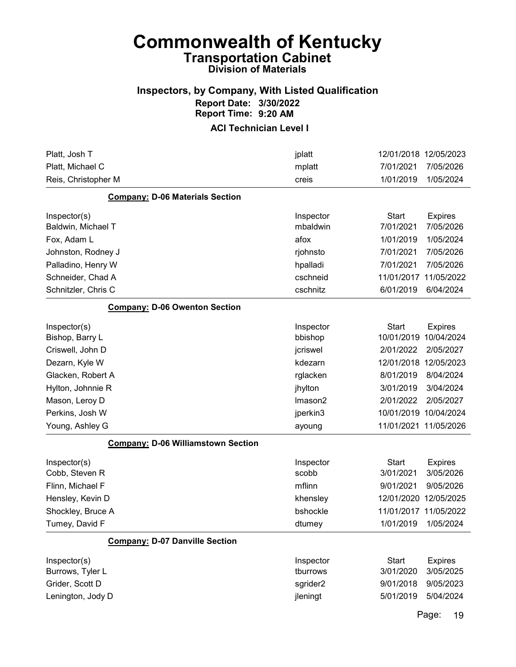#### Inspectors, by Company, With Listed Qualification Report Date: 3/30/2022 Report Time: 9:20 AM

#### ACI Technician Level I

| Platt, Josh T                             | jplatt             |                           | 12/01/2018 12/05/2023       |
|-------------------------------------------|--------------------|---------------------------|-----------------------------|
| Platt, Michael C                          | mplatt             | 7/01/2021                 | 7/05/2026                   |
| Reis, Christopher M                       | creis              | 1/01/2019                 | 1/05/2024                   |
| <b>Company: D-06 Materials Section</b>    |                    |                           |                             |
| Inspector(s)                              | Inspector          | Start                     | <b>Expires</b>              |
| Baldwin, Michael T                        | mbaldwin           | 7/01/2021                 | 7/05/2026                   |
| Fox, Adam L                               | afox               | 1/01/2019                 | 1/05/2024                   |
| Johnston, Rodney J                        | rjohnsto           | 7/01/2021                 | 7/05/2026                   |
| Palladino, Henry W                        | hpalladi           | 7/01/2021                 | 7/05/2026                   |
| Schneider, Chad A                         | cschneid           | 11/01/2017                | 11/05/2022                  |
| Schnitzler, Chris C                       | cschnitz           | 6/01/2019                 | 6/04/2024                   |
| <b>Company: D-06 Owenton Section</b>      |                    |                           |                             |
| Inspector(s)                              | Inspector          | <b>Start</b>              | <b>Expires</b>              |
| Bishop, Barry L                           | bbishop            | 10/01/2019                | 10/04/2024                  |
| Criswell, John D                          | jcriswel           | 2/01/2022                 | 2/05/2027                   |
| Dezarn, Kyle W                            | kdezarn            |                           | 12/01/2018 12/05/2023       |
| Glacken, Robert A                         | rglacken           | 8/01/2019                 | 8/04/2024                   |
| Hylton, Johnnie R                         | jhylton            | 3/01/2019                 | 3/04/2024                   |
| Mason, Leroy D                            | Imason2            | 2/01/2022                 | 2/05/2027                   |
| Perkins, Josh W                           | jperkin3           |                           | 10/01/2019 10/04/2024       |
| Young, Ashley G                           | ayoung             |                           | 11/01/2021 11/05/2026       |
| <b>Company: D-06 Williamstown Section</b> |                    |                           |                             |
| Inspector(s)<br>Cobb, Steven R            | Inspector<br>scobb | <b>Start</b><br>3/01/2021 | <b>Expires</b><br>3/05/2026 |
| Flinn, Michael F                          | mflinn             | 9/01/2021                 | 9/05/2026                   |
| Hensley, Kevin D                          | khensley           | 12/01/2020                | 12/05/2025                  |
| Shockley, Bruce A                         | bshockle           | 11/01/2017                | 11/05/2022                  |
| Tumey, David F                            | dtumey             | 1/01/2019                 | 1/05/2024                   |
| <b>Company: D-07 Danville Section</b>     |                    |                           |                             |
| Inspector(s)                              | Inspector          | <b>Start</b>              | <b>Expires</b>              |
| Burrows, Tyler L                          | tburrows           | 3/01/2020                 | 3/05/2025                   |
| Grider, Scott D                           | sgrider2           | 9/01/2018                 | 9/05/2023                   |
| Lenington, Jody D                         | jleningt           | 5/01/2019                 | 5/04/2024                   |

Page: 19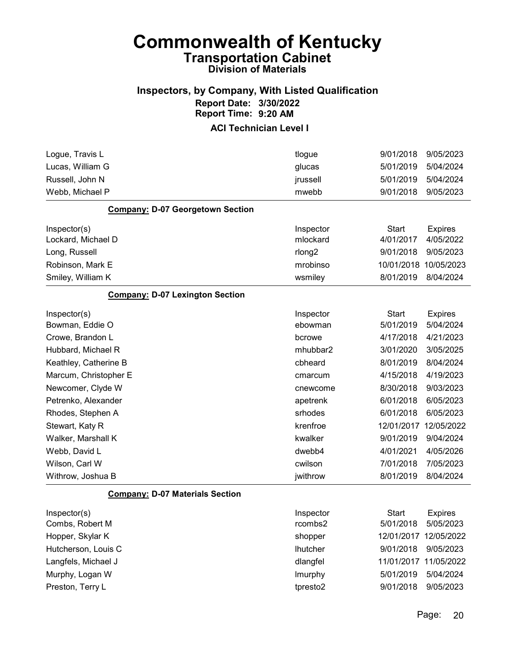#### Inspectors, by Company, With Listed Qualification Report Date: 3/30/2022 Report Time: 9:20 AM

| Logue, Travis L                         | tlogue             | 9/01/2018             | 9/05/2023      |
|-----------------------------------------|--------------------|-----------------------|----------------|
| Lucas, William G                        | glucas             | 5/01/2019             | 5/04/2024      |
| Russell, John N                         | jrussell           | 5/01/2019             | 5/04/2024      |
| Webb, Michael P                         | mwebb              | 9/01/2018             | 9/05/2023      |
| <b>Company: D-07 Georgetown Section</b> |                    |                       |                |
| Inspector(s)                            | Inspector          | <b>Start</b>          | <b>Expires</b> |
| Lockard, Michael D                      | mlockard           | 4/01/2017             | 4/05/2022      |
| Long, Russell                           | rlong <sub>2</sub> | 9/01/2018             | 9/05/2023      |
| Robinson, Mark E                        | mrobinso           | 10/01/2018            | 10/05/2023     |
| Smiley, William K                       | wsmiley            | 8/01/2019             | 8/04/2024      |
| <b>Company: D-07 Lexington Section</b>  |                    |                       |                |
| Inspector(s)                            | Inspector          | <b>Start</b>          | <b>Expires</b> |
| Bowman, Eddie O                         | ebowman            | 5/01/2019             | 5/04/2024      |
| Crowe, Brandon L                        | bcrowe             | 4/17/2018             | 4/21/2023      |
| Hubbard, Michael R                      | mhubbar2           | 3/01/2020             | 3/05/2025      |
| Keathley, Catherine B                   | cbheard            | 8/01/2019             | 8/04/2024      |
| Marcum, Christopher E                   | cmarcum            | 4/15/2018             | 4/19/2023      |
| Newcomer, Clyde W                       | cnewcome           | 8/30/2018             | 9/03/2023      |
| Petrenko, Alexander                     | apetrenk           | 6/01/2018             | 6/05/2023      |
| Rhodes, Stephen A                       | srhodes            | 6/01/2018             | 6/05/2023      |
| Stewart, Katy R                         | krenfroe           | 12/01/2017            | 12/05/2022     |
| Walker, Marshall K                      | kwalker            | 9/01/2019             | 9/04/2024      |
| Webb, David L                           | dwebb4             | 4/01/2021             | 4/05/2026      |
| Wilson, Carl W                          | cwilson            | 7/01/2018             | 7/05/2023      |
| Withrow, Joshua B                       | jwithrow           | 8/01/2019             | 8/04/2024      |
| <b>Company: D-07 Materials Section</b>  |                    |                       |                |
| Inspector(s)                            | Inspector          | <b>Start</b>          | <b>Expires</b> |
| Combs, Robert M                         | rcombs2            | 5/01/2018             | 5/05/2023      |
| Hopper, Skylar K                        | shopper            | 12/01/2017 12/05/2022 |                |
| Hutcherson, Louis C                     | <b>Ihutcher</b>    | 9/01/2018             | 9/05/2023      |
| Langfels, Michael J                     | dlangfel           | 11/01/2017 11/05/2022 |                |
| Murphy, Logan W                         | Imurphy            | 5/01/2019             | 5/04/2024      |
| Preston, Terry L                        | tpresto2           | 9/01/2018             | 9/05/2023      |
|                                         |                    |                       |                |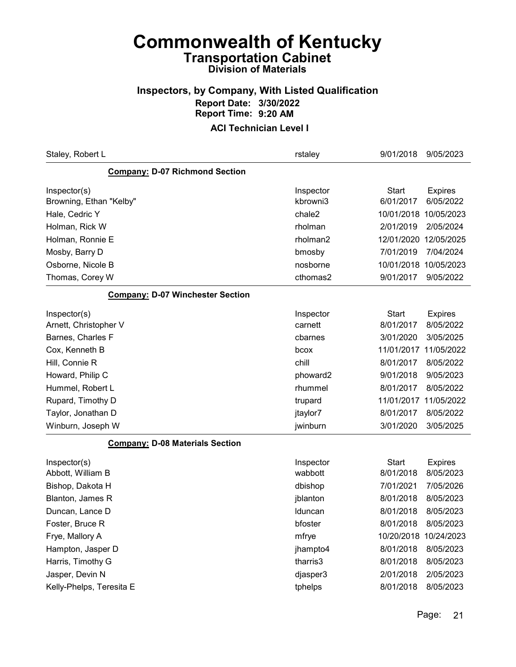#### Inspectors, by Company, With Listed Qualification Report Date: 3/30/2022 Report Time: 9:20 AM

| Staley, Robert L                        | rstaley               | 9/01/2018                 | 9/05/2023                   |
|-----------------------------------------|-----------------------|---------------------------|-----------------------------|
| <b>Company: D-07 Richmond Section</b>   |                       |                           |                             |
| Inspector(s)<br>Browning, Ethan "Kelby" | Inspector<br>kbrowni3 | <b>Start</b><br>6/01/2017 | <b>Expires</b><br>6/05/2022 |
| Hale, Cedric Y                          | chale2                | 10/01/2018 10/05/2023     |                             |
| Holman, Rick W                          | rholman               | 2/01/2019                 | 2/05/2024                   |
| Holman, Ronnie E                        | rholman2              | 12/01/2020                | 12/05/2025                  |
| Mosby, Barry D                          | bmosby                | 7/01/2019                 | 7/04/2024                   |
| Osborne, Nicole B                       | nosborne              | 10/01/2018 10/05/2023     |                             |
| Thomas, Corey W                         | cthomas2              | 9/01/2017                 | 9/05/2022                   |
| <b>Company: D-07 Winchester Section</b> |                       |                           |                             |
| Inspector(s)<br>Arnett, Christopher V   | Inspector<br>carnett  | <b>Start</b><br>8/01/2017 | <b>Expires</b><br>8/05/2022 |
| Barnes, Charles F                       | cbarnes               | 3/01/2020                 | 3/05/2025                   |
| Cox, Kenneth B                          | bcox                  | 11/01/2017                | 11/05/2022                  |
| Hill, Connie R                          | chill                 | 8/01/2017                 | 8/05/2022                   |
| Howard, Philip C                        | phoward2              | 9/01/2018                 | 9/05/2023                   |
| Hummel, Robert L                        | rhummel               | 8/01/2017                 | 8/05/2022                   |
| Rupard, Timothy D                       | trupard               | 11/01/2017                | 11/05/2022                  |
| Taylor, Jonathan D                      | jtaylor7              | 8/01/2017                 | 8/05/2022                   |
| Winburn, Joseph W                       | jwinburn              | 3/01/2020                 | 3/05/2025                   |
| <b>Company: D-08 Materials Section</b>  |                       |                           |                             |
| Inspector(s)<br>Abbott, William B       | Inspector<br>wabbott  | <b>Start</b><br>8/01/2018 | <b>Expires</b><br>8/05/2023 |
| Bishop, Dakota H                        | dbishop               | 7/01/2021                 | 7/05/2026                   |
| Blanton, James R                        | jblanton              | 8/01/2018                 | 8/05/2023                   |
| Duncan, Lance D                         | Iduncan               | 8/01/2018                 | 8/05/2023                   |
| Foster, Bruce R                         | bfoster               | 8/01/2018                 | 8/05/2023                   |
| Frye, Mallory A                         | mfrye                 | 10/20/2018 10/24/2023     |                             |
| Hampton, Jasper D                       | jhampto4              | 8/01/2018                 | 8/05/2023                   |
| Harris, Timothy G                       | tharris3              | 8/01/2018                 | 8/05/2023                   |
| Jasper, Devin N                         | djasper3              | 2/01/2018                 | 2/05/2023                   |
| Kelly-Phelps, Teresita E                | tphelps               | 8/01/2018                 | 8/05/2023                   |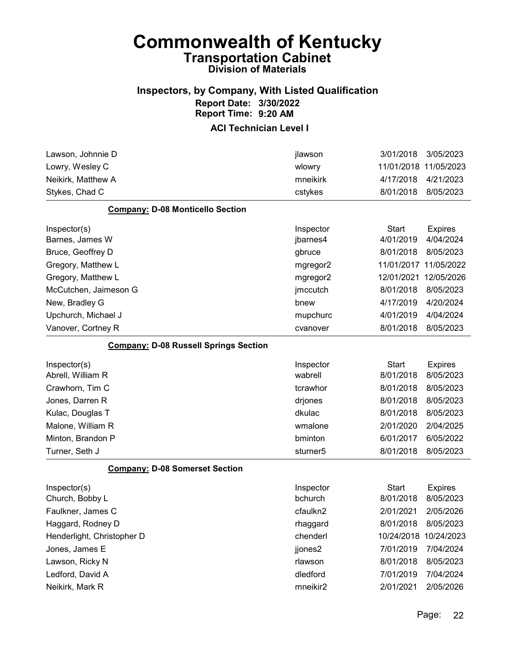#### Inspectors, by Company, With Listed Qualification Report Date: 3/30/2022 Report Time: 9:20 AM

| 11/01/2018 11/05/2023<br>wlowry<br>mneikirk<br>4/17/2018<br>4/21/2023<br>8/01/2018<br>8/05/2023<br>cstykes<br><b>Company: D-08 Monticello Section</b><br>Inspector<br><b>Start</b><br><b>Expires</b><br>4/01/2019<br>4/04/2024<br>Barnes, James W<br>jbarnes4<br>Bruce, Geoffrey D<br>8/01/2018<br>8/05/2023<br>gbruce<br>11/01/2017<br>11/05/2022<br>Gregory, Matthew L<br>mgregor2<br>12/05/2026<br>Gregory, Matthew L<br>12/01/2021<br>mgregor2<br>8/01/2018<br>8/05/2023<br>McCutchen, Jaimeson G<br>jmccutch<br>4/17/2019<br>New, Bradley G<br>4/20/2024<br>bnew<br>4/04/2024<br>Upchurch, Michael J<br>4/01/2019<br>mupchurc<br>8/01/2018<br>8/05/2023<br>Vanover, Cortney R<br>cvanover<br><b>Company: D-08 Russell Springs Section</b><br><b>Start</b><br>Inspector<br><b>Expires</b><br>Abrell, William R<br>wabrell<br>8/01/2018<br>8/05/2023<br>Crawhorn, Tim C<br>tcrawhor<br>8/01/2018<br>8/05/2023<br>8/01/2018<br>8/05/2023<br>Jones, Darren R<br>drjones<br>dkulac<br>8/01/2018<br>8/05/2023<br>Kulac, Douglas T<br>2/01/2020<br>2/04/2025<br>Malone, William R<br>wmalone<br>Minton, Brandon P<br>bminton<br>6/01/2017<br>6/05/2022<br>8/01/2018<br>8/05/2023<br>Turner, Seth J<br>sturner <sub>5</sub><br><b>Company: D-08 Somerset Section</b><br><b>Start</b><br>Inspector<br><b>Expires</b><br>bchurch<br>8/01/2018<br>8/05/2023<br>Church, Bobby L<br>Faulkner, James C<br>cfaulkn2<br>2/01/2021<br>2/05/2026<br>8/01/2018<br>8/05/2023<br>rhaggard<br>chenderl<br>10/24/2018 10/24/2023<br>jjones2<br>7/01/2019<br>7/04/2024<br>rlawson<br>8/01/2018<br>8/05/2023<br>dledford<br>7/01/2019<br>7/04/2024<br>mneikir2<br>2/01/2021<br>2/05/2026 | Lawson, Johnnie D          | jlawson | 3/01/2018 | 3/05/2023 |
|----------------------------------------------------------------------------------------------------------------------------------------------------------------------------------------------------------------------------------------------------------------------------------------------------------------------------------------------------------------------------------------------------------------------------------------------------------------------------------------------------------------------------------------------------------------------------------------------------------------------------------------------------------------------------------------------------------------------------------------------------------------------------------------------------------------------------------------------------------------------------------------------------------------------------------------------------------------------------------------------------------------------------------------------------------------------------------------------------------------------------------------------------------------------------------------------------------------------------------------------------------------------------------------------------------------------------------------------------------------------------------------------------------------------------------------------------------------------------------------------------------------------------------------------------------------------------------------------------------------------------------------------------------------------|----------------------------|---------|-----------|-----------|
|                                                                                                                                                                                                                                                                                                                                                                                                                                                                                                                                                                                                                                                                                                                                                                                                                                                                                                                                                                                                                                                                                                                                                                                                                                                                                                                                                                                                                                                                                                                                                                                                                                                                      | Lowry, Wesley C            |         |           |           |
|                                                                                                                                                                                                                                                                                                                                                                                                                                                                                                                                                                                                                                                                                                                                                                                                                                                                                                                                                                                                                                                                                                                                                                                                                                                                                                                                                                                                                                                                                                                                                                                                                                                                      | Neikirk, Matthew A         |         |           |           |
|                                                                                                                                                                                                                                                                                                                                                                                                                                                                                                                                                                                                                                                                                                                                                                                                                                                                                                                                                                                                                                                                                                                                                                                                                                                                                                                                                                                                                                                                                                                                                                                                                                                                      | Stykes, Chad C             |         |           |           |
|                                                                                                                                                                                                                                                                                                                                                                                                                                                                                                                                                                                                                                                                                                                                                                                                                                                                                                                                                                                                                                                                                                                                                                                                                                                                                                                                                                                                                                                                                                                                                                                                                                                                      |                            |         |           |           |
|                                                                                                                                                                                                                                                                                                                                                                                                                                                                                                                                                                                                                                                                                                                                                                                                                                                                                                                                                                                                                                                                                                                                                                                                                                                                                                                                                                                                                                                                                                                                                                                                                                                                      | Inspector(s)               |         |           |           |
|                                                                                                                                                                                                                                                                                                                                                                                                                                                                                                                                                                                                                                                                                                                                                                                                                                                                                                                                                                                                                                                                                                                                                                                                                                                                                                                                                                                                                                                                                                                                                                                                                                                                      |                            |         |           |           |
|                                                                                                                                                                                                                                                                                                                                                                                                                                                                                                                                                                                                                                                                                                                                                                                                                                                                                                                                                                                                                                                                                                                                                                                                                                                                                                                                                                                                                                                                                                                                                                                                                                                                      |                            |         |           |           |
|                                                                                                                                                                                                                                                                                                                                                                                                                                                                                                                                                                                                                                                                                                                                                                                                                                                                                                                                                                                                                                                                                                                                                                                                                                                                                                                                                                                                                                                                                                                                                                                                                                                                      |                            |         |           |           |
|                                                                                                                                                                                                                                                                                                                                                                                                                                                                                                                                                                                                                                                                                                                                                                                                                                                                                                                                                                                                                                                                                                                                                                                                                                                                                                                                                                                                                                                                                                                                                                                                                                                                      |                            |         |           |           |
|                                                                                                                                                                                                                                                                                                                                                                                                                                                                                                                                                                                                                                                                                                                                                                                                                                                                                                                                                                                                                                                                                                                                                                                                                                                                                                                                                                                                                                                                                                                                                                                                                                                                      |                            |         |           |           |
|                                                                                                                                                                                                                                                                                                                                                                                                                                                                                                                                                                                                                                                                                                                                                                                                                                                                                                                                                                                                                                                                                                                                                                                                                                                                                                                                                                                                                                                                                                                                                                                                                                                                      |                            |         |           |           |
|                                                                                                                                                                                                                                                                                                                                                                                                                                                                                                                                                                                                                                                                                                                                                                                                                                                                                                                                                                                                                                                                                                                                                                                                                                                                                                                                                                                                                                                                                                                                                                                                                                                                      |                            |         |           |           |
|                                                                                                                                                                                                                                                                                                                                                                                                                                                                                                                                                                                                                                                                                                                                                                                                                                                                                                                                                                                                                                                                                                                                                                                                                                                                                                                                                                                                                                                                                                                                                                                                                                                                      |                            |         |           |           |
|                                                                                                                                                                                                                                                                                                                                                                                                                                                                                                                                                                                                                                                                                                                                                                                                                                                                                                                                                                                                                                                                                                                                                                                                                                                                                                                                                                                                                                                                                                                                                                                                                                                                      |                            |         |           |           |
|                                                                                                                                                                                                                                                                                                                                                                                                                                                                                                                                                                                                                                                                                                                                                                                                                                                                                                                                                                                                                                                                                                                                                                                                                                                                                                                                                                                                                                                                                                                                                                                                                                                                      | Inspector(s)               |         |           |           |
|                                                                                                                                                                                                                                                                                                                                                                                                                                                                                                                                                                                                                                                                                                                                                                                                                                                                                                                                                                                                                                                                                                                                                                                                                                                                                                                                                                                                                                                                                                                                                                                                                                                                      |                            |         |           |           |
|                                                                                                                                                                                                                                                                                                                                                                                                                                                                                                                                                                                                                                                                                                                                                                                                                                                                                                                                                                                                                                                                                                                                                                                                                                                                                                                                                                                                                                                                                                                                                                                                                                                                      |                            |         |           |           |
|                                                                                                                                                                                                                                                                                                                                                                                                                                                                                                                                                                                                                                                                                                                                                                                                                                                                                                                                                                                                                                                                                                                                                                                                                                                                                                                                                                                                                                                                                                                                                                                                                                                                      |                            |         |           |           |
|                                                                                                                                                                                                                                                                                                                                                                                                                                                                                                                                                                                                                                                                                                                                                                                                                                                                                                                                                                                                                                                                                                                                                                                                                                                                                                                                                                                                                                                                                                                                                                                                                                                                      |                            |         |           |           |
|                                                                                                                                                                                                                                                                                                                                                                                                                                                                                                                                                                                                                                                                                                                                                                                                                                                                                                                                                                                                                                                                                                                                                                                                                                                                                                                                                                                                                                                                                                                                                                                                                                                                      |                            |         |           |           |
|                                                                                                                                                                                                                                                                                                                                                                                                                                                                                                                                                                                                                                                                                                                                                                                                                                                                                                                                                                                                                                                                                                                                                                                                                                                                                                                                                                                                                                                                                                                                                                                                                                                                      |                            |         |           |           |
|                                                                                                                                                                                                                                                                                                                                                                                                                                                                                                                                                                                                                                                                                                                                                                                                                                                                                                                                                                                                                                                                                                                                                                                                                                                                                                                                                                                                                                                                                                                                                                                                                                                                      |                            |         |           |           |
|                                                                                                                                                                                                                                                                                                                                                                                                                                                                                                                                                                                                                                                                                                                                                                                                                                                                                                                                                                                                                                                                                                                                                                                                                                                                                                                                                                                                                                                                                                                                                                                                                                                                      |                            |         |           |           |
|                                                                                                                                                                                                                                                                                                                                                                                                                                                                                                                                                                                                                                                                                                                                                                                                                                                                                                                                                                                                                                                                                                                                                                                                                                                                                                                                                                                                                                                                                                                                                                                                                                                                      | Inspector(s)               |         |           |           |
|                                                                                                                                                                                                                                                                                                                                                                                                                                                                                                                                                                                                                                                                                                                                                                                                                                                                                                                                                                                                                                                                                                                                                                                                                                                                                                                                                                                                                                                                                                                                                                                                                                                                      |                            |         |           |           |
|                                                                                                                                                                                                                                                                                                                                                                                                                                                                                                                                                                                                                                                                                                                                                                                                                                                                                                                                                                                                                                                                                                                                                                                                                                                                                                                                                                                                                                                                                                                                                                                                                                                                      |                            |         |           |           |
|                                                                                                                                                                                                                                                                                                                                                                                                                                                                                                                                                                                                                                                                                                                                                                                                                                                                                                                                                                                                                                                                                                                                                                                                                                                                                                                                                                                                                                                                                                                                                                                                                                                                      | Haggard, Rodney D          |         |           |           |
|                                                                                                                                                                                                                                                                                                                                                                                                                                                                                                                                                                                                                                                                                                                                                                                                                                                                                                                                                                                                                                                                                                                                                                                                                                                                                                                                                                                                                                                                                                                                                                                                                                                                      | Henderlight, Christopher D |         |           |           |
|                                                                                                                                                                                                                                                                                                                                                                                                                                                                                                                                                                                                                                                                                                                                                                                                                                                                                                                                                                                                                                                                                                                                                                                                                                                                                                                                                                                                                                                                                                                                                                                                                                                                      | Jones, James E             |         |           |           |
|                                                                                                                                                                                                                                                                                                                                                                                                                                                                                                                                                                                                                                                                                                                                                                                                                                                                                                                                                                                                                                                                                                                                                                                                                                                                                                                                                                                                                                                                                                                                                                                                                                                                      | Lawson, Ricky N            |         |           |           |
|                                                                                                                                                                                                                                                                                                                                                                                                                                                                                                                                                                                                                                                                                                                                                                                                                                                                                                                                                                                                                                                                                                                                                                                                                                                                                                                                                                                                                                                                                                                                                                                                                                                                      | Ledford, David A           |         |           |           |
|                                                                                                                                                                                                                                                                                                                                                                                                                                                                                                                                                                                                                                                                                                                                                                                                                                                                                                                                                                                                                                                                                                                                                                                                                                                                                                                                                                                                                                                                                                                                                                                                                                                                      | Neikirk, Mark R            |         |           |           |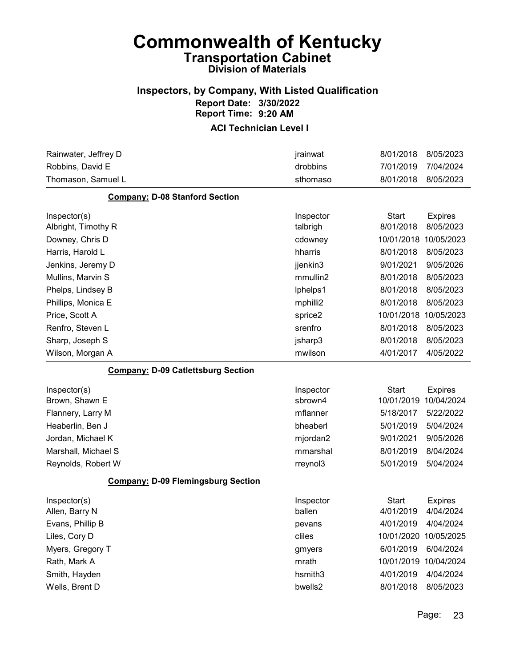#### Inspectors, by Company, With Listed Qualification Report Date: 3/30/2022 Report Time: 9:20 AM

| Rainwater, Jeffrey D                      | jrainwat  | 8/01/2018             | 8/05/2023      |
|-------------------------------------------|-----------|-----------------------|----------------|
| Robbins, David E                          | drobbins  | 7/01/2019             | 7/04/2024      |
| Thomason, Samuel L                        | sthomaso  | 8/01/2018             | 8/05/2023      |
| <b>Company: D-08 Stanford Section</b>     |           |                       |                |
| Inspector(s)                              | Inspector | <b>Start</b>          | <b>Expires</b> |
| Albright, Timothy R                       | talbrigh  | 8/01/2018             | 8/05/2023      |
| Downey, Chris D                           | cdowney   | 10/01/2018            | 10/05/2023     |
| Harris, Harold L                          | hharris   | 8/01/2018             | 8/05/2023      |
| Jenkins, Jeremy D                         | jjenkin3  | 9/01/2021             | 9/05/2026      |
| Mullins, Marvin S                         | mmullin2  | 8/01/2018             | 8/05/2023      |
| Phelps, Lindsey B                         | lphelps1  | 8/01/2018             | 8/05/2023      |
| Phillips, Monica E                        | mphilli2  | 8/01/2018             | 8/05/2023      |
| Price, Scott A                            | sprice2   | 10/01/2018            | 10/05/2023     |
| Renfro, Steven L                          | srenfro   | 8/01/2018             | 8/05/2023      |
| Sharp, Joseph S                           | jsharp3   | 8/01/2018             | 8/05/2023      |
| Wilson, Morgan A                          | mwilson   | 4/01/2017             | 4/05/2022      |
| <b>Company: D-09 Catlettsburg Section</b> |           |                       |                |
| Inspector(s)                              | Inspector | <b>Start</b>          | <b>Expires</b> |
| Brown, Shawn E                            | sbrown4   | 10/01/2019            | 10/04/2024     |
| Flannery, Larry M                         | mflanner  | 5/18/2017             | 5/22/2022      |
| Heaberlin, Ben J                          | bheaberl  | 5/01/2019             | 5/04/2024      |
| Jordan, Michael K                         | mjordan2  | 9/01/2021             | 9/05/2026      |
| Marshall, Michael S                       | mmarshal  | 8/01/2019             | 8/04/2024      |
| Reynolds, Robert W                        | rreynol3  | 5/01/2019             | 5/04/2024      |
| <b>Company: D-09 Flemingsburg Section</b> |           |                       |                |
| Inspector(s)                              | Inspector | <b>Start</b>          | <b>Expires</b> |
| Allen, Barry N                            | ballen    | 4/01/2019             | 4/04/2024      |
| Evans, Phillip B                          | pevans    | 4/01/2019             | 4/04/2024      |
| Liles, Cory D                             | cliles    | 10/01/2020 10/05/2025 |                |
| Myers, Gregory T                          | gmyers    | 6/01/2019             | 6/04/2024      |
| Rath, Mark A                              | mrath     | 10/01/2019 10/04/2024 |                |
| Smith, Hayden                             | hsmith3   | 4/01/2019             | 4/04/2024      |
| Wells, Brent D                            | bwells2   | 8/01/2018             | 8/05/2023      |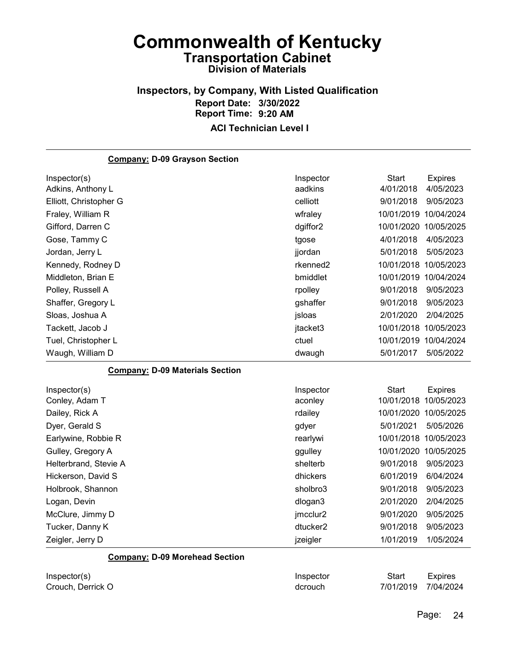#### Inspectors, by Company, With Listed Qualification Report Date: 3/30/2022 Report Time: 9:20 AM ACI Technician Level I

#### Company: D-09 Grayson Section Inspector(s) **Inspector** Start Expires Adkins, Anthony L aadkins 4/01/2018 4/05/2023 Elliott, Christopher G celliott 9/01/2018 9/05/2023 Fraley, William R wfraley 10/01/2019 10/04/2024 Gifford, Darren C dgiffor2 10/01/2020 10/05/2025 Gose, Tammy C tgose 4/01/2018 4/05/2023 Jordan, Jerry L jjordan 5/01/2018 5/05/2023 Kennedy, Rodney D **rkenned2** 10/01/2018 10/05/2023 Middleton, Brian E bmiddlet 10/01/2019 10/04/2024 Polley, Russell A rpolley 9/01/2018 9/05/2023 Shaffer, Gregory L gshaffer 9/01/2018 9/05/2023 Sloas, Joshua A jsloas 2/01/2020 2/04/2025 Tackett, Jacob J **ideology** jtacket3 10/01/2018 10/05/2023 Tuel, Christopher L ctuel 10/01/2019 10/04/2024 Waugh, William D dwaugh 5/01/2017 5/05/2022 Company: D-09 Materials Section Inspector(s) **Inspector** Start Expires Conley, Adam T aconley 10/01/2018 10/05/2023 Dailey, Rick A rdailey 10/01/2020 10/05/2025 Dyer, Gerald S gdyer 5/01/2021 5/05/2026 Earlywine, Robbie R rearlywi 10/01/2018 10/05/2023 Gulley, Gregory A ggulley 10/01/2020 10/05/2025 Helterbrand, Stevie A shelterb 9/01/2018 9/05/2023 Hickerson, David S dhickers 6/01/2019 6/04/2024 Holbrook, Shannon sholbro3 9/01/2018 9/05/2023 Logan, Devin dlogan3 2/01/2020 2/04/2025 McClure, Jimmy D jmcclur2 9/01/2020 9/05/2025 Tucker, Danny K dtucker2 9/01/2018 9/05/2023 Zeigler, Jerry D jzeigler 1/01/2019 1/05/2024 Company: D-09 Morehead Section

| Inspector(s)      | Inspector | Start               | Expires |
|-------------------|-----------|---------------------|---------|
| Crouch, Derrick O | dcrouch   | 7/01/2019 7/04/2024 |         |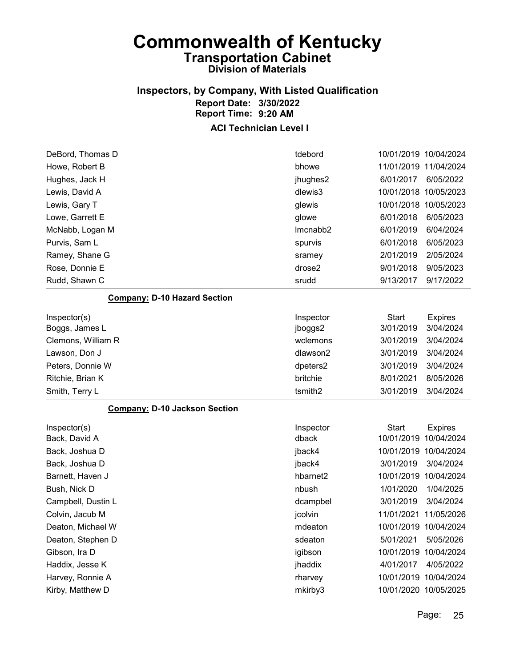### Inspectors, by Company, With Listed Qualification Report Date: 3/30/2022 Report Time: 9:20 AM

| DeBord, Thomas D                     | tdebord   | 10/01/2019 10/04/2024 |                |
|--------------------------------------|-----------|-----------------------|----------------|
| Howe, Robert B                       | bhowe     | 11/01/2019 11/04/2024 |                |
| Hughes, Jack H                       | jhughes2  | 6/01/2017             | 6/05/2022      |
| Lewis, David A                       | dlewis3   | 10/01/2018 10/05/2023 |                |
| Lewis, Gary T                        | glewis    | 10/01/2018 10/05/2023 |                |
| Lowe, Garrett E                      | glowe     | 6/01/2018             | 6/05/2023      |
| McNabb, Logan M                      | Imcnabb2  | 6/01/2019             | 6/04/2024      |
| Purvis, Sam L                        | spurvis   | 6/01/2018             | 6/05/2023      |
| Ramey, Shane G                       | sramey    | 2/01/2019             | 2/05/2024      |
| Rose, Donnie E                       | drose2    | 9/01/2018             | 9/05/2023      |
| Rudd, Shawn C                        | srudd     | 9/13/2017             | 9/17/2022      |
| <b>Company: D-10 Hazard Section</b>  |           |                       |                |
| Inspector(s)                         | Inspector | <b>Start</b>          | <b>Expires</b> |
| Boggs, James L                       | jboggs2   | 3/01/2019             | 3/04/2024      |
| Clemons, William R                   | wclemons  | 3/01/2019             | 3/04/2024      |
| Lawson, Don J                        | dlawson2  | 3/01/2019             | 3/04/2024      |
| Peters, Donnie W                     | dpeters2  | 3/01/2019             | 3/04/2024      |
| Ritchie, Brian K                     | britchie  | 8/01/2021             | 8/05/2026      |
| Smith, Terry L                       | tsmith2   | 3/01/2019             | 3/04/2024      |
| <b>Company: D-10 Jackson Section</b> |           |                       |                |
| Inspector(s)                         | Inspector | <b>Start</b>          | <b>Expires</b> |
| Back, David A                        | dback     | 10/01/2019            | 10/04/2024     |
| Back, Joshua D                       | jback4    | 10/01/2019 10/04/2024 |                |
| Back, Joshua D                       | jback4    | 3/01/2019             | 3/04/2024      |
| Barnett, Haven J                     | hbarnet2  | 10/01/2019 10/04/2024 |                |
| Bush, Nick D                         | nbush     | 1/01/2020             | 1/04/2025      |
| Campbell, Dustin L                   | dcampbel  | 3/01/2019             | 3/04/2024      |
| Colvin, Jacub M                      | jcolvin   | 11/01/2021 11/05/2026 |                |
| Deaton, Michael W                    | mdeaton   | 10/01/2019 10/04/2024 |                |
| Deaton, Stephen D                    | sdeaton   | 5/01/2021             | 5/05/2026      |
| Gibson, Ira D                        | igibson   | 10/01/2019 10/04/2024 |                |
| Haddix, Jesse K                      | jhaddix   | 4/01/2017             | 4/05/2022      |
| Harvey, Ronnie A                     | rharvey   | 10/01/2019 10/04/2024 |                |
| Kirby, Matthew D                     | mkirby3   | 10/01/2020 10/05/2025 |                |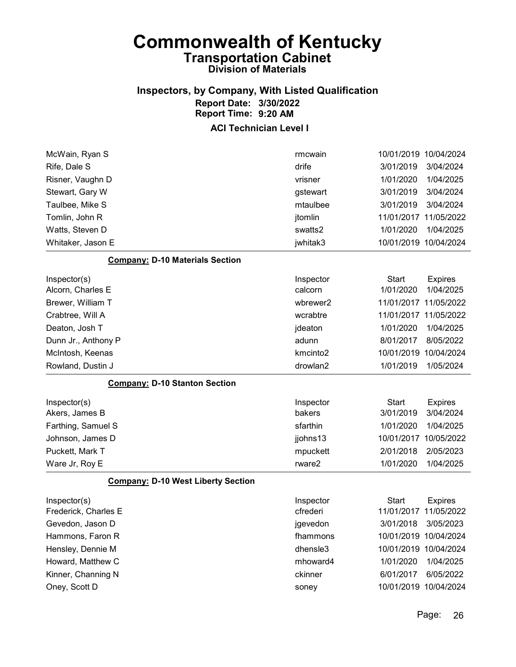#### Inspectors, by Company, With Listed Qualification Report Date: 3/30/2022 Report Time: 9:20 AM

#### ACI Technician Level I

| <b>Company: D-10 Materials Section</b> |          |           |                       |
|----------------------------------------|----------|-----------|-----------------------|
| Whitaker, Jason E                      | jwhitak3 |           | 10/01/2019 10/04/2024 |
| Watts, Steven D                        | swatts2  | 1/01/2020 | 1/04/2025             |
| Tomlin, John R                         | jtomlin  |           | 11/01/2017 11/05/2022 |
| Taulbee, Mike S                        | mtaulbee | 3/01/2019 | 3/04/2024             |
| Stewart, Gary W                        | gstewart | 3/01/2019 | 3/04/2024             |
| Risner, Vaughn D                       | vrisner  | 1/01/2020 | 1/04/2025             |
| Rife, Dale S                           | drife    | 3/01/2019 | 3/04/2024             |
| McWain, Ryan S                         | rmcwain  |           | 10/01/2019 10/04/2024 |

| Inspector(s)                         | Inspector            | Start      | <b>Expires</b>        |
|--------------------------------------|----------------------|------------|-----------------------|
| Alcorn, Charles E                    | calcorn              | 1/01/2020  | 1/04/2025             |
| Brewer, William T                    | wbrewer2             |            | 11/01/2017 11/05/2022 |
| Crabtree, Will A                     | wcrabtre             |            | 11/01/2017 11/05/2022 |
| Deaton, Josh T                       | jdeaton              | 1/01/2020  | 1/04/2025             |
| Dunn Jr., Anthony P                  | adunn                | 8/01/2017  | 8/05/2022             |
| McIntosh, Keenas                     | kmcinto <sub>2</sub> | 10/01/2019 | 10/04/2024            |
| Rowland, Dustin J                    | drowlan2             | 1/01/2019  | 1/05/2024             |
| <b>Company: D-10 Stanton Section</b> |                      |            |                       |

| Inspector(s)       | Inspector | Start                 | <b>Expires</b> |
|--------------------|-----------|-----------------------|----------------|
| Akers, James B     | bakers    | 3/01/2019             | 3/04/2024      |
| Farthing, Samuel S | sfarthin  | 1/01/2020             | 1/04/2025      |
| Johnson, James D   | jjohns13  | 10/01/2017 10/05/2022 |                |
| Puckett, Mark T    | mpuckett  | 2/01/2018             | 2/05/2023      |
| Ware Jr, Roy E     | rware2    | 1/01/2020             | 1/04/2025      |

#### Company: D-10 West Liberty Section

| Inspector(s)<br>Frederick, Charles E | Inspector<br>cfrederi | Start<br>11/01/2017 11/05/2022 | <b>Expires</b> |
|--------------------------------------|-----------------------|--------------------------------|----------------|
| Gevedon, Jason D                     | jgevedon              | 3/01/2018                      | 3/05/2023      |
| Hammons, Faron R                     | fhammons              | 10/01/2019 10/04/2024          |                |
| Hensley, Dennie M                    | dhensle3              | 10/01/2019 10/04/2024          |                |
| Howard, Matthew C                    | mhoward4              | 1/01/2020                      | 1/04/2025      |
| Kinner, Channing N                   | ckinner               | 6/01/2017                      | 6/05/2022      |
| Oney, Scott D                        | soney                 | 10/01/2019 10/04/2024          |                |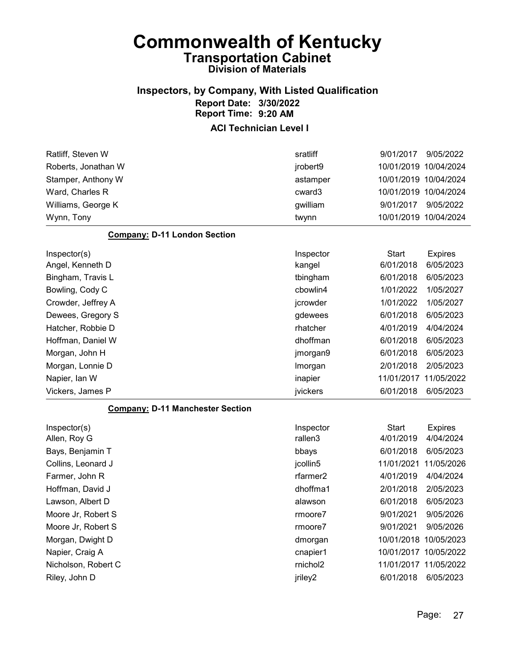### Inspectors, by Company, With Listed Qualification Report Date: 3/30/2022 Report Time: 9:20 AM

| Ratliff, Steven W                       | sratliff             | 9/01/2017             | 9/05/2022      |
|-----------------------------------------|----------------------|-----------------------|----------------|
| Roberts, Jonathan W                     | jrobert9             | 10/01/2019 10/04/2024 |                |
| Stamper, Anthony W                      | astamper             | 10/01/2019 10/04/2024 |                |
| Ward, Charles R                         | cward3               | 10/01/2019 10/04/2024 |                |
| Williams, George K                      | gwilliam             | 9/01/2017             | 9/05/2022      |
| Wynn, Tony                              | twynn                | 10/01/2019 10/04/2024 |                |
| <b>Company: D-11 London Section</b>     |                      |                       |                |
| Inspector(s)                            | Inspector            | <b>Start</b>          | <b>Expires</b> |
| Angel, Kenneth D                        | kangel               | 6/01/2018             | 6/05/2023      |
| Bingham, Travis L                       | tbingham             | 6/01/2018             | 6/05/2023      |
| Bowling, Cody C                         | cbowlin4             | 1/01/2022             | 1/05/2027      |
| Crowder, Jeffrey A                      | jcrowder             | 1/01/2022             | 1/05/2027      |
| Dewees, Gregory S                       | gdewees              | 6/01/2018             | 6/05/2023      |
| Hatcher, Robbie D                       | rhatcher             | 4/01/2019             | 4/04/2024      |
| Hoffman, Daniel W                       | dhoffman             | 6/01/2018             | 6/05/2023      |
| Morgan, John H                          | jmorgan9             | 6/01/2018             | 6/05/2023      |
| Morgan, Lonnie D                        | Imorgan              | 2/01/2018             | 2/05/2023      |
| Napier, Ian W                           | inapier              | 11/01/2017 11/05/2022 |                |
| Vickers, James P                        | jvickers             | 6/01/2018             | 6/05/2023      |
| <b>Company: D-11 Manchester Section</b> |                      |                       |                |
| Inspector(s)                            | Inspector            | Start                 | <b>Expires</b> |
| Allen, Roy G                            | rallen3              | 4/01/2019             | 4/04/2024      |
| Bays, Benjamin T                        | bbays                | 6/01/2018             | 6/05/2023      |
| Collins, Leonard J                      | jcollin5             | 11/01/2021            | 11/05/2026     |
| Farmer, John R                          | rfarmer <sub>2</sub> | 4/01/2019             | 4/04/2024      |
| Hoffman, David J                        | dhoffma1             | 2/01/2018             | 2/05/2023      |
| Lawson, Albert D                        | alawson              | 6/01/2018             | 6/05/2023      |
| Moore Jr, Robert S                      | rmoore7              | 9/01/2021             | 9/05/2026      |
| Moore Jr, Robert S                      | rmoore7              | 9/01/2021             | 9/05/2026      |
| Morgan, Dwight D                        | dmorgan              | 10/01/2018 10/05/2023 |                |
| Napier, Craig A                         | cnapier1             | 10/01/2017 10/05/2022 |                |
| Nicholson, Robert C                     | rnichol2             | 11/01/2017 11/05/2022 |                |
| Riley, John D                           | jriley2              | 6/01/2018             |                |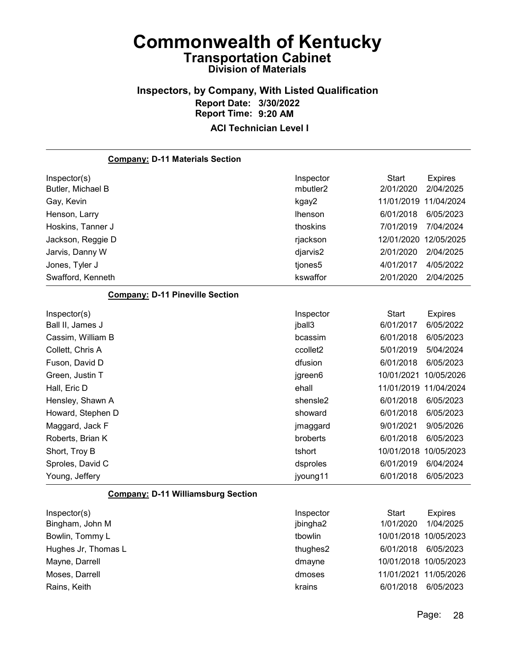# Inspectors, by Company, With Listed Qualification Report Date: 3/30/2022 Report Time: 9:20 AM

| <b>Company: D-11 Materials Section</b>    |                |                       |                |
|-------------------------------------------|----------------|-----------------------|----------------|
| Inspector(s)                              | Inspector      | <b>Start</b>          | <b>Expires</b> |
| Butler, Michael B                         | mbutler2       | 2/01/2020             | 2/04/2025      |
| Gay, Kevin                                | kgay2          | 11/01/2019            | 11/04/2024     |
| Henson, Larry                             | <b>Ihenson</b> | 6/01/2018             | 6/05/2023      |
| Hoskins, Tanner J                         | thoskins       | 7/01/2019             | 7/04/2024      |
| Jackson, Reggie D                         | rjackson       | 12/01/2020            | 12/05/2025     |
| Jarvis, Danny W                           | djarvis2       | 2/01/2020             | 2/04/2025      |
| Jones, Tyler J                            | tjones5        | 4/01/2017             | 4/05/2022      |
| Swafford, Kenneth                         | kswaffor       | 2/01/2020             | 2/04/2025      |
| <b>Company: D-11 Pineville Section</b>    |                |                       |                |
| Inspector(s)                              | Inspector      | <b>Start</b>          | <b>Expires</b> |
| Ball II, James J                          | jball3         | 6/01/2017             | 6/05/2022      |
| Cassim, William B                         | bcassim        | 6/01/2018             | 6/05/2023      |
| Collett, Chris A                          | ccollet2       | 5/01/2019             | 5/04/2024      |
| Fuson, David D                            | dfusion        | 6/01/2018             | 6/05/2023      |
| Green, Justin T                           | jgreen6        | 10/01/2021            | 10/05/2026     |
| Hall, Eric D                              | ehall          | 11/01/2019 11/04/2024 |                |
| Hensley, Shawn A                          | shensle2       | 6/01/2018             | 6/05/2023      |
| Howard, Stephen D                         | showard        | 6/01/2018             | 6/05/2023      |
| Maggard, Jack F                           | jmaggard       | 9/01/2021             | 9/05/2026      |
| Roberts, Brian K                          | broberts       | 6/01/2018             | 6/05/2023      |
| Short, Troy B                             | tshort         | 10/01/2018            | 10/05/2023     |
| Sproles, David C                          | dsproles       | 6/01/2019             | 6/04/2024      |
| Young, Jeffery                            | jyoung11       | 6/01/2018             | 6/05/2023      |
| <b>Company: D-11 Williamsburg Section</b> |                |                       |                |
| Inspector(s)                              | Inspector      | <b>Start</b>          | <b>Expires</b> |
| Bingham, John M                           | jbingha2       | 1/01/2020             | 1/04/2025      |
| Bowlin, Tommy L                           | tbowlin        | 10/01/2018 10/05/2023 |                |
| Hughes Jr, Thomas L                       | thughes2       | 6/01/2018             | 6/05/2023      |
| Mayne, Darrell                            | dmayne         | 10/01/2018 10/05/2023 |                |
| Moses, Darrell                            | dmoses         | 11/01/2021 11/05/2026 |                |
| Rains, Keith                              | krains         | 6/01/2018             | 6/05/2023      |
|                                           |                |                       |                |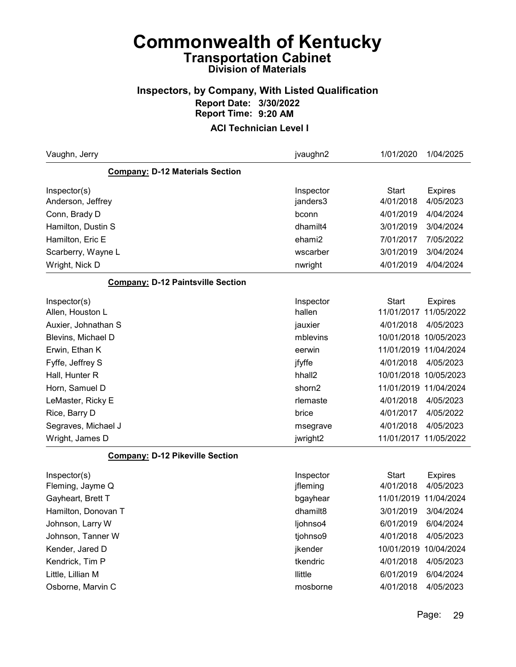#### Inspectors, by Company, With Listed Qualification Report Date: 3/30/2022 Report Time: 9:20 AM

| Vaughn, Jerry                            | jvaughn2           | 1/01/2020             | 1/04/2025      |
|------------------------------------------|--------------------|-----------------------|----------------|
| <b>Company: D-12 Materials Section</b>   |                    |                       |                |
| Inspector(s)                             | Inspector          | <b>Start</b>          | <b>Expires</b> |
| Anderson, Jeffrey                        | janders3           | 4/01/2018             | 4/05/2023      |
| Conn, Brady D                            | bconn              | 4/01/2019             | 4/04/2024      |
| Hamilton, Dustin S                       | dhamilt4           | 3/01/2019             | 3/04/2024      |
| Hamilton, Eric E                         | ehami2             | 7/01/2017             | 7/05/2022      |
| Scarberry, Wayne L                       | wscarber           | 3/01/2019             | 3/04/2024      |
| Wright, Nick D                           | nwright            | 4/01/2019             | 4/04/2024      |
| <b>Company: D-12 Paintsville Section</b> |                    |                       |                |
| Inspector(s)                             | Inspector          | <b>Start</b>          | <b>Expires</b> |
| Allen, Houston L                         | hallen             | 11/01/2017 11/05/2022 |                |
| Auxier, Johnathan S                      | jauxier            | 4/01/2018             | 4/05/2023      |
| Blevins, Michael D                       | mblevins           | 10/01/2018 10/05/2023 |                |
| Erwin, Ethan K                           | eerwin             | 11/01/2019 11/04/2024 |                |
| Fyffe, Jeffrey S                         | jfyffe             | 4/01/2018             | 4/05/2023      |
| Hall, Hunter R                           | hhall <sub>2</sub> | 10/01/2018 10/05/2023 |                |
| Horn, Samuel D                           | shorn2             | 11/01/2019 11/04/2024 |                |
| LeMaster, Ricky E                        | rlemaste           | 4/01/2018             | 4/05/2023      |
| Rice, Barry D                            | brice              | 4/01/2017             | 4/05/2022      |
| Segraves, Michael J                      | msegrave           | 4/01/2018             | 4/05/2023      |
| Wright, James D                          | jwright2           | 11/01/2017 11/05/2022 |                |
| <b>Company: D-12 Pikeville Section</b>   |                    |                       |                |
| Inspector(s)                             | Inspector          | <b>Start</b>          | <b>Expires</b> |
| Fleming, Jayme Q                         | jfleming           | 4/01/2018             | 4/05/2023      |
| Gayheart, Brett T                        | bgayhear           | 11/01/2019 11/04/2024 |                |
| Hamilton, Donovan T                      | dhamilt8           | 3/01/2019             | 3/04/2024      |
| Johnson, Larry W                         | ljohnso4           | 6/01/2019             | 6/04/2024      |
| Johnson, Tanner W                        | tjohnso9           | 4/01/2018             | 4/05/2023      |
| Kender, Jared D                          | jkender            | 10/01/2019            | 10/04/2024     |
| Kendrick, Tim P                          | tkendric           | 4/01/2018             | 4/05/2023      |
| Little, Lillian M                        | llittle            | 6/01/2019             | 6/04/2024      |
| Osborne, Marvin C                        | mosborne           | 4/01/2018             | 4/05/2023      |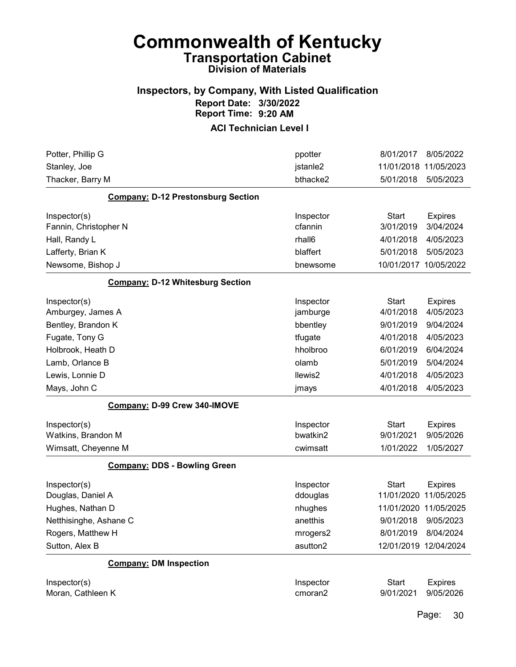#### Inspectors, by Company, With Listed Qualification Report Date: 3/30/2022 Report Time: 9:20 AM

ACI Technician Level I

| Potter, Phillip G                         | ppotter   | 8/01/2017<br>8/05/2022         |
|-------------------------------------------|-----------|--------------------------------|
| Stanley, Joe                              | jstanle2  | 11/01/2018<br>11/05/2023       |
| Thacker, Barry M                          | bthacke2  | 5/01/2018<br>5/05/2023         |
| <b>Company: D-12 Prestonsburg Section</b> |           |                                |
| Inspector(s)                              | Inspector | <b>Start</b><br><b>Expires</b> |
| Fannin, Christopher N                     | cfannin   | 3/01/2019<br>3/04/2024         |
| Hall, Randy L                             | rhall6    | 4/05/2023<br>4/01/2018         |
| Lafferty, Brian K                         | blaffert  | 5/01/2018<br>5/05/2023         |
| Newsome, Bishop J                         | bnewsome  | 10/01/2017<br>10/05/2022       |
| <b>Company: D-12 Whitesburg Section</b>   |           |                                |
| Inspector(s)                              | Inspector | <b>Start</b><br><b>Expires</b> |
| Amburgey, James A                         | jamburge  | 4/01/2018<br>4/05/2023         |
| Bentley, Brandon K                        | bbentley  | 9/01/2019<br>9/04/2024         |
| Fugate, Tony G                            | tfugate   | 4/01/2018<br>4/05/2023         |
| Holbrook, Heath D                         | hholbroo  | 6/01/2019<br>6/04/2024         |
| Lamb, Orlance B                           | olamb     | 5/01/2019<br>5/04/2024         |
| Lewis, Lonnie D                           | llewis2   | 4/01/2018<br>4/05/2023         |
| Mays, John C                              | jmays     | 4/01/2018<br>4/05/2023         |
| Company: D-99 Crew 340-IMOVE              |           |                                |
| Inspector(s)                              | Inspector | Start<br><b>Expires</b>        |
| Watkins, Brandon M                        | bwatkin2  | 9/05/2026<br>9/01/2021         |
| Wimsatt, Cheyenne M                       | cwimsatt  | 1/05/2027<br>1/01/2022         |
| <b>Company: DDS - Bowling Green</b>       |           |                                |
| Inspector(s)                              | Inspector | <b>Start</b><br><b>Expires</b> |
| Douglas, Daniel A                         | ddouglas  | 11/05/2025<br>11/01/2020       |
| Hughes, Nathan D                          | nhughes   | 11/01/2020<br>11/05/2025       |
| Netthisinghe, Ashane C                    | anetthis  | 9/01/2018<br>9/05/2023         |
| Rogers, Matthew H                         | mrogers2  | 8/01/2019<br>8/04/2024         |
| Sutton, Alex B                            | asutton2  | 12/01/2019 12/04/2024          |
| <b>Company: DM Inspection</b>             |           |                                |
| Inspector(s)                              | Inspector | <b>Start</b><br><b>Expires</b> |
| Moran, Cathleen K                         | cmoran2   | 9/01/2021<br>9/05/2026         |

Page: 30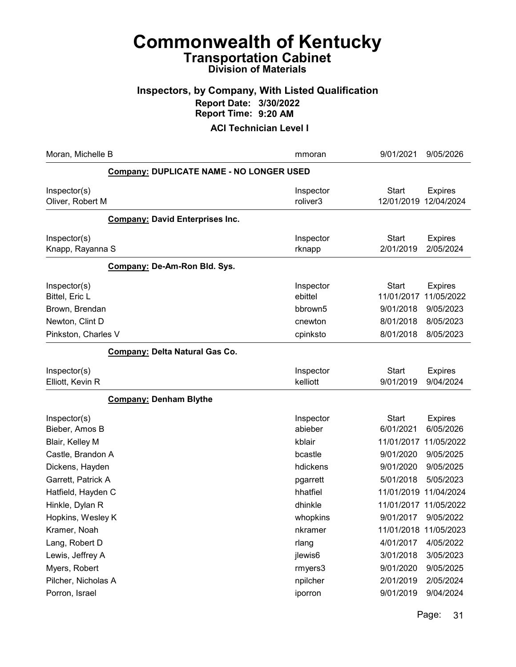# Inspectors, by Company, With Listed Qualification Report Date: 3/30/2022

Report Time: 9:20 AM

| Moran, Michelle B                                           |                                                 | mmoran                           | 9/01/2021                               | 9/05/2026                                 |
|-------------------------------------------------------------|-------------------------------------------------|----------------------------------|-----------------------------------------|-------------------------------------------|
|                                                             | <b>Company: DUPLICATE NAME - NO LONGER USED</b> |                                  |                                         |                                           |
| Inspector(s)<br>Oliver, Robert M                            |                                                 | Inspector<br>roliver3            | <b>Start</b><br>12/01/2019              | <b>Expires</b><br>12/04/2024              |
|                                                             | <b>Company: David Enterprises Inc.</b>          |                                  |                                         |                                           |
| Inspector(s)<br>Knapp, Rayanna S                            |                                                 | Inspector<br>rknapp              | <b>Start</b><br>2/01/2019               | <b>Expires</b><br>2/05/2024               |
|                                                             | Company: De-Am-Ron Bld. Sys.                    |                                  |                                         |                                           |
| Inspector(s)<br>Bittel, Eric L<br>Brown, Brendan            |                                                 | Inspector<br>ebittel<br>bbrown5  | <b>Start</b><br>11/01/2017<br>9/01/2018 | <b>Expires</b><br>11/05/2022<br>9/05/2023 |
| Newton, Clint D<br>Pinkston, Charles V                      |                                                 | cnewton<br>cpinksto              | 8/01/2018<br>8/01/2018                  | 8/05/2023<br>8/05/2023                    |
|                                                             | Company: Delta Natural Gas Co.                  |                                  |                                         |                                           |
| Inspector(s)<br>Elliott, Kevin R                            |                                                 | Inspector<br>kelliott            | <b>Start</b><br>9/01/2019               | <b>Expires</b><br>9/04/2024               |
|                                                             | <b>Company: Denham Blythe</b>                   |                                  |                                         |                                           |
| Inspector(s)<br>Bieber, Amos B<br>Blair, Kelley M           |                                                 | Inspector<br>abieber<br>kblair   | <b>Start</b><br>6/01/2021<br>11/01/2017 | <b>Expires</b><br>6/05/2026<br>11/05/2022 |
| Castle, Brandon A                                           |                                                 | bcastle                          | 9/01/2020                               | 9/05/2025                                 |
| Dickens, Hayden<br>Garrett, Patrick A<br>Hatfield, Hayden C |                                                 | hdickens<br>pgarrett<br>hhatfiel | 9/01/2020<br>5/01/2018<br>11/01/2019    | 9/05/2025<br>5/05/2023<br>11/04/2024      |
| Hinkle, Dylan R                                             |                                                 | dhinkle                          |                                         | 11/01/2017 11/05/2022                     |
| Hopkins, Wesley K                                           |                                                 | whopkins                         | 9/01/2017                               | 9/05/2022                                 |
| Kramer, Noah<br>Lang, Robert D                              |                                                 | nkramer<br>rlang                 | 11/01/2018 11/05/2023<br>4/01/2017      | 4/05/2022                                 |
| Lewis, Jeffrey A                                            |                                                 | jlewis6                          | 3/01/2018                               | 3/05/2023                                 |
| Myers, Robert                                               |                                                 | rmyers3                          | 9/01/2020                               | 9/05/2025                                 |
| Pilcher, Nicholas A<br>Porron, Israel                       |                                                 | npilcher<br>iporron              | 2/01/2019<br>9/01/2019                  | 2/05/2024<br>9/04/2024                    |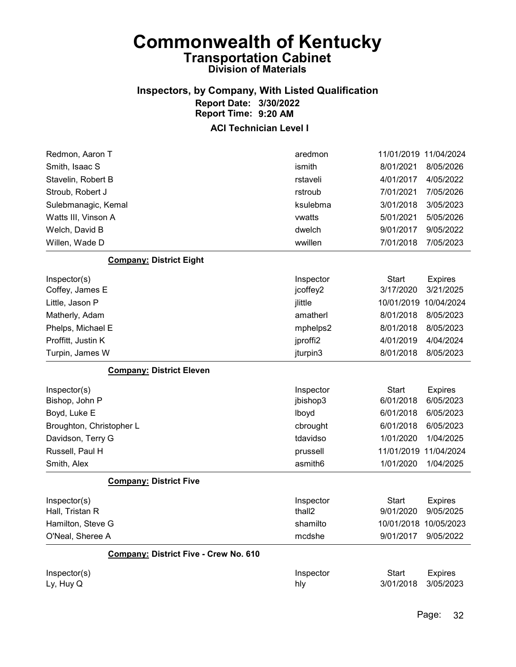#### Inspectors, by Company, With Listed Qualification Report Date: 3/30/2022 Report Time: 9:20 AM

| Redmon, Aaron T                       | aredmon   | 11/01/2019 11/04/2024 |                |
|---------------------------------------|-----------|-----------------------|----------------|
| Smith, Isaac S                        | ismith    | 8/01/2021             | 8/05/2026      |
| Stavelin, Robert B                    | rstaveli  | 4/01/2017             | 4/05/2022      |
| Stroub, Robert J                      | rstroub   | 7/01/2021             | 7/05/2026      |
| Sulebmanagic, Kemal                   | ksulebma  | 3/01/2018             | 3/05/2023      |
| Watts III, Vinson A                   | vwatts    | 5/01/2021             | 5/05/2026      |
| Welch, David B                        | dwelch    | 9/01/2017             | 9/05/2022      |
| Willen, Wade D                        | wwillen   | 7/01/2018             | 7/05/2023      |
| <b>Company: District Eight</b>        |           |                       |                |
| Inspector(s)                          | Inspector | Start                 | <b>Expires</b> |
| Coffey, James E                       | jcoffey2  | 3/17/2020             | 3/21/2025      |
| Little, Jason P                       | jlittle   | 10/01/2019            | 10/04/2024     |
| Matherly, Adam                        | amatherl  | 8/01/2018             | 8/05/2023      |
| Phelps, Michael E                     | mphelps2  | 8/01/2018             | 8/05/2023      |
| Proffitt, Justin K                    | jproffi2  | 4/01/2019             | 4/04/2024      |
| Turpin, James W                       | jturpin3  | 8/01/2018             | 8/05/2023      |
| <b>Company: District Eleven</b>       |           |                       |                |
| Inspector(s)                          | Inspector | <b>Start</b>          | <b>Expires</b> |
| Bishop, John P                        | jbishop3  | 6/01/2018             | 6/05/2023      |
| Boyd, Luke E                          | lboyd     | 6/01/2018             | 6/05/2023      |
| Broughton, Christopher L              | cbrought  | 6/01/2018             | 6/05/2023      |
| Davidson, Terry G                     | tdavidso  | 1/01/2020             | 1/04/2025      |
| Russell, Paul H                       | prussell  | 11/01/2019            | 11/04/2024     |
| Smith, Alex                           | asmith6   | 1/01/2020             | 1/04/2025      |
| <b>Company: District Five</b>         |           |                       |                |
| Inspector(s)                          | Inspector | <b>Start</b>          | <b>Expires</b> |
| Hall, Tristan R                       | thall2    | 9/01/2020             | 9/05/2025      |
| Hamilton, Steve G                     | shamilto  | 10/01/2018 10/05/2023 |                |
| O'Neal, Sheree A                      | mcdshe    | 9/01/2017             | 9/05/2022      |
| Company: District Five - Crew No. 610 |           |                       |                |
| Inspector(s)                          | Inspector | <b>Start</b>          | <b>Expires</b> |
| Ly, Huy Q                             | hly       | 3/01/2018             | 3/05/2023      |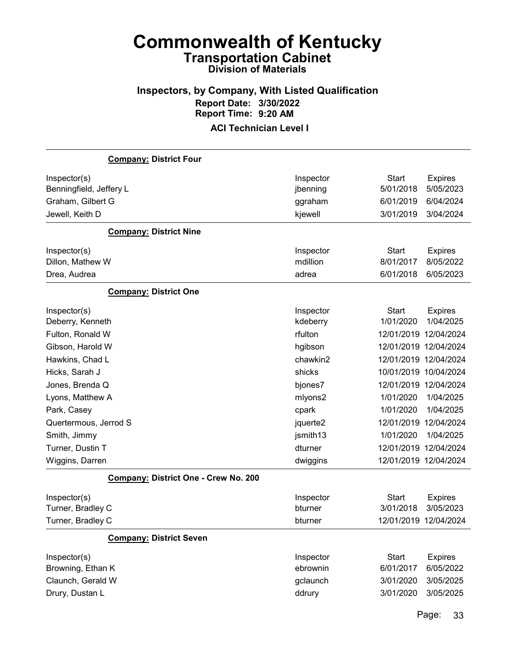#### Inspectors, by Company, With Listed Qualification Report Date: 3/30/2022 Report Time: 9:20 AM ACI Technician Level I

# Company: District Four Inspector(s) **Inspector** Start Expires Benningfield, Jeffery L<br>
and the state of the state of the state is positive to the state of the state of the state of the state of the state of the state of the state of the state of the state of the state of the state of Graham, Gilbert G ggraham 6/01/2019 6/04/2024 Jewell, Keith D kjewell 3/01/2019 3/04/2024 Company: District Nine Inspector(s) **Inspector** Start Expires Dillon, Mathew W mdillion 8/01/2017 8/05/2022 Drea, Audrea adrea 6/01/2018 6/05/2023 Company: District One Inspector(s) **Inspector** Start Expires Deberry, Kenneth kdeberry 1/01/2020 1/04/2025 Fulton, Ronald W rfulton 12/01/2019 12/04/2024 Gibson, Harold W hgibson 12/01/2019 12/04/2024 Hawkins, Chad L chawkin2 12/01/2019 12/04/2024 Hicks, Sarah J shicks 10/01/2019 10/04/2024 Jones, Brenda Q bjones7 12/01/2019 12/04/2024 Lyons, Matthew A mlyons2 1/01/2020 1/04/2025 Park, Casey cpark 1/01/2020 1/04/2025 Quertermous, Jerrod S jquerte2 12/01/2019 12/04/2024 Smith, Jimmy jsmith13 1/01/2020 1/04/2025 Turner, Dustin T dturner 12/01/2019 12/04/2024 Wiggins, Darren dwiggins 12/01/2019 12/04/2024 Company: District One - Crew No. 200

| Inspector(s)                   | Inspector | Start                 | <b>Expires</b> |
|--------------------------------|-----------|-----------------------|----------------|
| Turner, Bradley C              | bturner   | 3/01/2018             | 3/05/2023      |
| Turner, Bradley C              | bturner   | 12/01/2019 12/04/2024 |                |
| <b>Company: District Seven</b> |           |                       |                |
| Inspector(s)                   | Inspector | Start                 | <b>Expires</b> |
| Browning, Ethan K              | ebrownin  | 6/01/2017             | 6/05/2022      |
| Claunch, Gerald W              | gclaunch  | 3/01/2020             | 3/05/2025      |
| Drury, Dustan L                | ddrury    | 3/01/2020             | 3/05/2025      |

Page: 33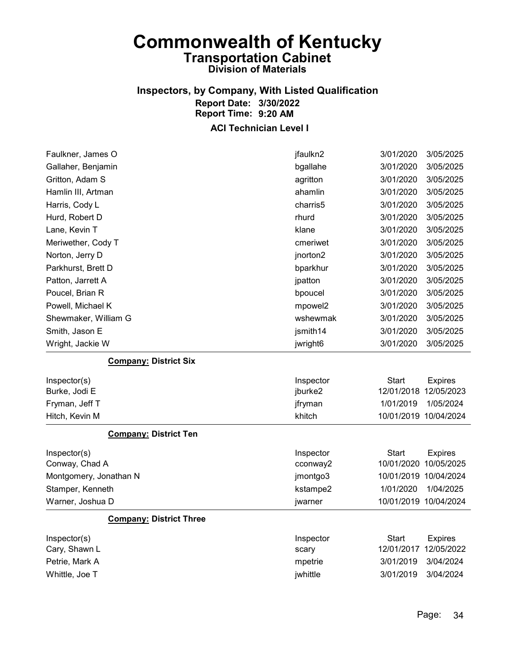### Inspectors, by Company, With Listed Qualification Report Date: 3/30/2022 Report Time: 9:20 AM

| Faulkner, James O              | jfaulkn2  | 3/01/2020<br>3/05/2025         |
|--------------------------------|-----------|--------------------------------|
| Gallaher, Benjamin             | bgallahe  | 3/01/2020<br>3/05/2025         |
| Gritton, Adam S                | agritton  | 3/01/2020<br>3/05/2025         |
| Hamlin III, Artman             | ahamlin   | 3/05/2025<br>3/01/2020         |
| Harris, Cody L                 | charris5  | 3/01/2020<br>3/05/2025         |
| Hurd, Robert D                 | rhurd     | 3/01/2020<br>3/05/2025         |
| Lane, Kevin T                  | klane     | 3/01/2020<br>3/05/2025         |
| Meriwether, Cody T             | cmeriwet  | 3/01/2020<br>3/05/2025         |
| Norton, Jerry D                | jnorton2  | 3/01/2020<br>3/05/2025         |
| Parkhurst, Brett D             | bparkhur  | 3/01/2020<br>3/05/2025         |
| Patton, Jarrett A              | jpatton   | 3/01/2020<br>3/05/2025         |
| Poucel, Brian R                | bpoucel   | 3/01/2020<br>3/05/2025         |
| Powell, Michael K              | mpowel2   | 3/01/2020<br>3/05/2025         |
| Shewmaker, William G           | wshewmak  | 3/01/2020<br>3/05/2025         |
| Smith, Jason E                 | jsmith14  | 3/01/2020<br>3/05/2025         |
| Wright, Jackie W               | jwright6  | 3/05/2025<br>3/01/2020         |
| <b>Company: District Six</b>   |           |                                |
| Inspector(s)                   | Inspector | <b>Start</b><br><b>Expires</b> |
| Burke, Jodi E                  | jburke2   | 12/01/2018 12/05/2023          |
| Fryman, Jeff T                 | jfryman   | 1/01/2019<br>1/05/2024         |
| Hitch, Kevin M                 | khitch    | 10/01/2019 10/04/2024          |
| <b>Company: District Ten</b>   |           |                                |
| Inspector(s)                   | Inspector | Start<br><b>Expires</b>        |
| Conway, Chad A                 | cconway2  | 10/01/2020 10/05/2025          |
| Montgomery, Jonathan N         | jmontgo3  | 10/01/2019 10/04/2024          |
| Stamper, Kenneth               | kstampe2  | 1/01/2020<br>1/04/2025         |
| Warner, Joshua D               | jwarner   | 10/01/2019 10/04/2024          |
| <b>Company: District Three</b> |           |                                |
| Inspector(s)                   | Inspector | Start<br><b>Expires</b>        |
| Cary, Shawn L                  | scary     | 12/01/2017 12/05/2022          |
| Petrie, Mark A                 | mpetrie   | 3/04/2024<br>3/01/2019         |
|                                |           |                                |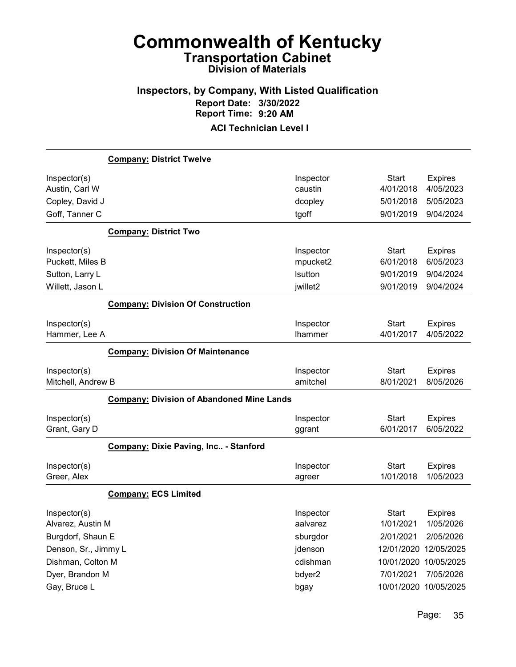#### Inspectors, by Company, With Listed Qualification Report Date: 3/30/2022 Report Time: 9:20 AM ACI Technician Level I

# Company: District Twelve Inspector(s) **Inspector** Start Expires Austin, Carl W caustin 4/01/2018 4/05/2023 Copley, David J dcopley 5/01/2018 5/05/2023 Goff, Tanner C tgoff 9/01/2019 9/04/2024 Company: District Two Inspector(s) **Inspector** Start Expires Puckett, Miles B mpucket2 6/01/2018 6/05/2023 Sutton, Larry L **button** 9/01/2019 9/04/2024 Willett, Jason L jwillet2 9/01/2019 9/04/2024 Company: Division Of Construction Inspector(s) **Inspector** Start Expires Hammer, Lee A lhammer 4/01/2017 4/05/2022 Company: Division Of Maintenance Inspector(s) **Inspector** Start Expires Mitchell, Andrew B amitchel 8/01/2021 8/05/2026 Company: Division of Abandoned Mine Lands Inspector(s) **Inspector** Start Expires Grant, Gary D ggrant 6/01/2017 6/05/2022 Company: Dixie Paving, Inc.. - Stanford Inspector(s) **Inspector** Start Expires Greer, Alex agreer 1/01/2018 1/05/2023 Company: ECS Limited Inspector(s) **Inspector** Start Expires Alvarez, Austin M aalvarez 1/01/2021 1/05/2026 Burgdorf, Shaun E sburgdor 2/01/2021 2/05/2026 Denson, Sr., Jimmy L jdenson 12/01/2020 12/05/2025 Dishman, Colton M cdishman 10/01/2020 10/05/2025 Dyer, Brandon M bdyer2 7/01/2021 7/05/2026

Gay, Bruce L bgay 10/01/2020 10/05/2025

Page: 35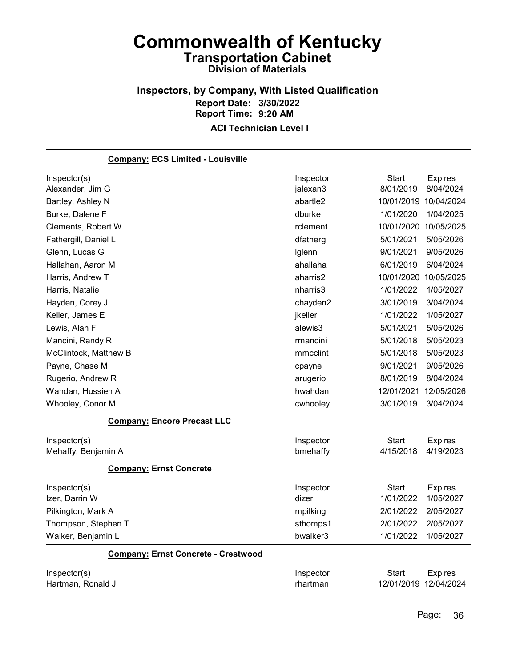#### Inspectors, by Company, With Listed Qualification Report Date: 3/30/2022 Report Time: 9:20 AM ACI Technician Level I

| <b>Company: ECS Limited - Louisville</b>   |           |              |                       |
|--------------------------------------------|-----------|--------------|-----------------------|
| Inspector(s)                               | Inspector | <b>Start</b> | <b>Expires</b>        |
| Alexander, Jim G                           | jalexan3  | 8/01/2019    | 8/04/2024             |
| Bartley, Ashley N                          | abartle2  |              | 10/01/2019 10/04/2024 |
| Burke, Dalene F                            | dburke    | 1/01/2020    | 1/04/2025             |
| Clements, Robert W                         | rclement  |              | 10/01/2020 10/05/2025 |
| Fathergill, Daniel L                       | dfatherg  | 5/01/2021    | 5/05/2026             |
| Glenn, Lucas G                             | Iglenn    | 9/01/2021    | 9/05/2026             |
| Hallahan, Aaron M                          | ahallaha  | 6/01/2019    | 6/04/2024             |
| Harris, Andrew T                           | aharris2  | 10/01/2020   | 10/05/2025            |
| Harris, Natalie                            | nharris3  | 1/01/2022    | 1/05/2027             |
| Hayden, Corey J                            | chayden2  | 3/01/2019    | 3/04/2024             |
| Keller, James E                            | jkeller   | 1/01/2022    | 1/05/2027             |
| Lewis, Alan F                              | alewis3   | 5/01/2021    | 5/05/2026             |
| Mancini, Randy R                           | rmancini  | 5/01/2018    | 5/05/2023             |
| McClintock, Matthew B                      | mmcclint  | 5/01/2018    | 5/05/2023             |
| Payne, Chase M                             | cpayne    | 9/01/2021    | 9/05/2026             |
| Rugerio, Andrew R                          | arugerio  | 8/01/2019    | 8/04/2024             |
| Wahdan, Hussien A                          | hwahdan   | 12/01/2021   | 12/05/2026            |
| Whooley, Conor M                           | cwhooley  | 3/01/2019    | 3/04/2024             |
| <b>Company: Encore Precast LLC</b>         |           |              |                       |
| Inspector(s)                               | Inspector | <b>Start</b> | <b>Expires</b>        |
| Mehaffy, Benjamin A                        | bmehaffy  | 4/15/2018    | 4/19/2023             |
| <b>Company: Ernst Concrete</b>             |           |              |                       |
| Inspector(s)                               | Inspector | <b>Start</b> | <b>Expires</b>        |
| Izer, Darrin W                             | dizer     | 1/01/2022    | 1/05/2027             |
| Pilkington, Mark A                         | mpilking  | 2/01/2022    | 2/05/2027             |
| Thompson, Stephen T                        | sthomps1  | 2/01/2022    | 2/05/2027             |
| Walker, Benjamin L                         | bwalker3  | 1/01/2022    | 1/05/2027             |
| <b>Company: Ernst Concrete - Crestwood</b> |           |              |                       |
| Inspector(s)                               | Inspector | <b>Start</b> | <b>Expires</b>        |
| Hartman, Ronald J                          | rhartman  |              | 12/01/2019 12/04/2024 |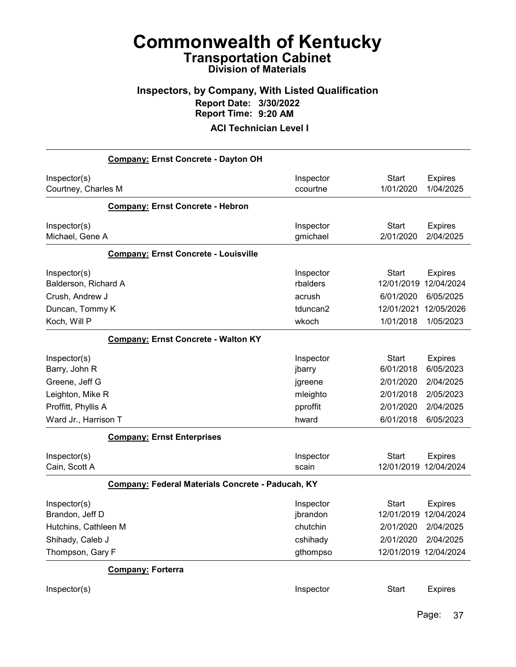## Inspectors, by Company, With Listed Qualification Report Date: 3/30/2022 Report Time: 9:20 AM

#### ACI Technician Level I

| Company: Ernst Concrete - Dayton OH                                        |                                             |                                                              |                                                         |
|----------------------------------------------------------------------------|---------------------------------------------|--------------------------------------------------------------|---------------------------------------------------------|
| Inspector(s)<br>Courtney, Charles M                                        | Inspector<br>ccourtne                       | Start<br>1/01/2020                                           | <b>Expires</b><br>1/04/2025                             |
| <b>Company: Ernst Concrete - Hebron</b>                                    |                                             |                                                              |                                                         |
| Inspector(s)<br>Michael, Gene A                                            | Inspector<br>gmichael                       | <b>Start</b><br>2/01/2020                                    | <b>Expires</b><br>2/04/2025                             |
| <b>Company: Ernst Concrete - Louisville</b>                                |                                             |                                                              |                                                         |
| Inspector(s)<br>Balderson, Richard A<br>Crush, Andrew J<br>Duncan, Tommy K | Inspector<br>rbalders<br>acrush<br>tduncan2 | Start<br>12/01/2019<br>6/01/2020<br>12/01/2021               | <b>Expires</b><br>12/04/2024<br>6/05/2025<br>12/05/2026 |
| Koch, Will P                                                               | wkoch                                       | 1/01/2018                                                    | 1/05/2023                                               |
| <b>Company: Ernst Concrete - Walton KY</b>                                 |                                             |                                                              |                                                         |
| Inspector(s)<br>Barry, John R                                              | Inspector<br>jbarry                         | <b>Start</b><br>6/01/2018                                    | <b>Expires</b><br>6/05/2023                             |
| Greene, Jeff G                                                             | jgreene                                     | 2/01/2020                                                    | 2/04/2025                                               |
| Leighton, Mike R                                                           | mleighto                                    | 2/01/2018                                                    | 2/05/2023                                               |
| Proffitt, Phyllis A<br>Ward Jr., Harrison T                                | pproffit<br>hward                           | 2/01/2020<br>6/01/2018                                       | 2/04/2025<br>6/05/2023                                  |
| <b>Company: Ernst Enterprises</b>                                          |                                             |                                                              |                                                         |
| Inspector(s)<br>Cain, Scott A                                              | Inspector<br>scain                          | <b>Start</b><br>12/01/2019 12/04/2024                        | <b>Expires</b>                                          |
| Company: Federal Materials Concrete - Paducah, KY                          |                                             |                                                              |                                                         |
| Inspector(s)<br>Brandon, Jeff D<br>Hutchins, Cathleen M                    | Inspector<br>jbrandon<br>chutchin           | <b>Start</b><br>12/01/2019 12/04/2024<br>2/01/2020 2/04/2025 | <b>Expires</b>                                          |
| Shihady, Caleb J                                                           | cshihady                                    | 2/01/2020                                                    | 2/04/2025                                               |
| Thompson, Gary F                                                           | gthompso                                    | 12/01/2019 12/04/2024                                        |                                                         |
| <b>Company: Forterra</b>                                                   |                                             |                                                              |                                                         |
| Inspector(s)                                                               | Inspector                                   | <b>Start</b>                                                 | <b>Expires</b>                                          |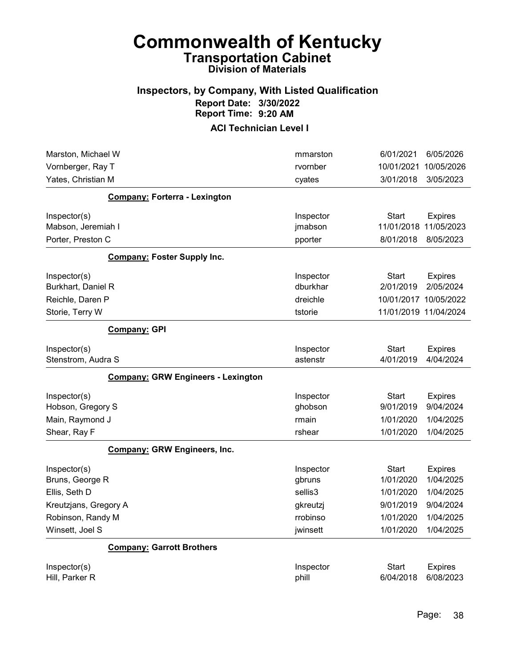### Inspectors, by Company, With Listed Qualification Report Date: 3/30/2022 Report Time: 9:20 AM

| Marston, Michael W                        | mmarston  | 6/01/2021    | 6/05/2026             |
|-------------------------------------------|-----------|--------------|-----------------------|
| Vornberger, Ray T                         | rvornber  | 10/01/2021   | 10/05/2026            |
| Yates, Christian M                        | cyates    | 3/01/2018    | 3/05/2023             |
| <b>Company: Forterra - Lexington</b>      |           |              |                       |
| Inspector(s)                              | Inspector | <b>Start</b> | <b>Expires</b>        |
| Mabson, Jeremiah I                        | jmabson   | 11/01/2018   | 11/05/2023            |
| Porter, Preston C                         | pporter   | 8/01/2018    | 8/05/2023             |
| <b>Company: Foster Supply Inc.</b>        |           |              |                       |
| Inspector(s)                              | Inspector | <b>Start</b> | <b>Expires</b>        |
| Burkhart, Daniel R                        | dburkhar  | 2/01/2019    | 2/05/2024             |
| Reichle, Daren P                          | dreichle  |              | 10/01/2017 10/05/2022 |
| Storie, Terry W                           | tstorie   |              | 11/01/2019 11/04/2024 |
| <b>Company: GPI</b>                       |           |              |                       |
| Inspector(s)                              | Inspector | <b>Start</b> | <b>Expires</b>        |
| Stenstrom, Audra S                        | astenstr  | 4/01/2019    | 4/04/2024             |
| <b>Company: GRW Engineers - Lexington</b> |           |              |                       |
| Inspector(s)                              | Inspector | <b>Start</b> | <b>Expires</b>        |
| Hobson, Gregory S                         | ghobson   | 9/01/2019    | 9/04/2024             |
| Main, Raymond J                           | rmain     | 1/01/2020    | 1/04/2025             |
| Shear, Ray F                              | rshear    | 1/01/2020    | 1/04/2025             |
| <b>Company: GRW Engineers, Inc.</b>       |           |              |                       |
| Inspector(s)                              | Inspector | Start        | <b>Expires</b>        |
| Bruns, George R                           | gbruns    | 1/01/2020    | 1/04/2025             |
| Ellis, Seth D                             | sellis3   | 1/01/2020    | 1/04/2025             |
| Kreutzjans, Gregory A                     | gkreutzj  | 9/01/2019    | 9/04/2024             |
| Robinson, Randy M                         | rrobinso  | 1/01/2020    | 1/04/2025             |
| Winsett, Joel S                           | jwinsett  | 1/01/2020    | 1/04/2025             |
| <b>Company: Garrott Brothers</b>          |           |              |                       |
| Inspector(s)                              | Inspector | <b>Start</b> | <b>Expires</b>        |
| Hill, Parker R                            | phill     | 6/04/2018    | 6/08/2023             |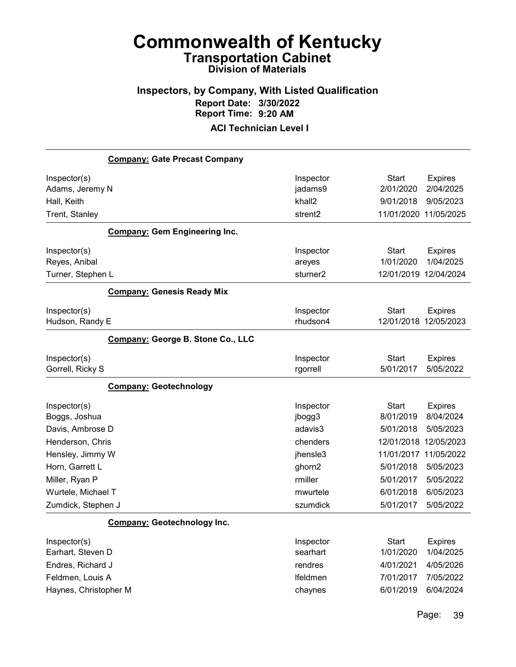### Inspectors, by Company, With Listed Qualification Report Date: 3/30/2022 Report Time: 9:20 AM ACI Technician Level I

# Company: Gate Precast Company Inspector(s) **Inspector** Start Expires Adams, Jeremy N **and Contract Contract Contract Contract Contract Contract Contract Contract Contract Contract Contract Contract Contract in the second contract Contract Contract Contract Contract Contract Contract Contrac** Hall, Keith khall2 9/01/2018 9/05/2023 Trent, Stanley strent2 11/01/2020 11/05/2025 Company: Gem Engineering Inc. Inspector(s) **Inspector** Start Expires Reyes, Anibal areyes 1/01/2020 1/04/2025 Turner, Stephen L sturner2 12/01/2019 12/04/2024 Company: Genesis Ready Mix Inspector(s) **Inspector** Start Expires Hudson, Randy E rhudson4 12/01/2018 12/05/2023 Company: George B. Stone Co., LLC Inspector(s) **Inspector** Start Expires Gorrell, Ricky S rgorrell 5/01/2017 5/05/2022 Company: Geotechnology Inspector(s) **Inspector** Start Expires Boggs, Joshua jbogg3 8/01/2019 8/04/2024 Davis, Ambrose D adavis3 5/01/2018 5/05/2023 Henderson, Chris chenders 12/01/2018 12/05/2023 Hensley, Jimmy W jhensle3 11/01/2017 11/05/2022 Horn, Garrett L ghorn2 5/01/2018 5/05/2023 Miller, Ryan P rmiller 5/01/2017 5/05/2022 Wurtele, Michael T mwurtele 6/01/2018 6/05/2023 Zumdick, Stephen J szumdick 5/01/2017 5/05/2022 Company: Geotechnology Inc. Inspector(s) **Inspector** Start Expires Earhart, Steven D searhart 1/01/2020 1/04/2025 Endres, Richard J rendres 4/01/2021 4/05/2026 Feldmen, Louis A lfeldmen 7/01/2017 7/05/2022 Haynes, Christopher M chaynes 6/01/2019 6/04/2024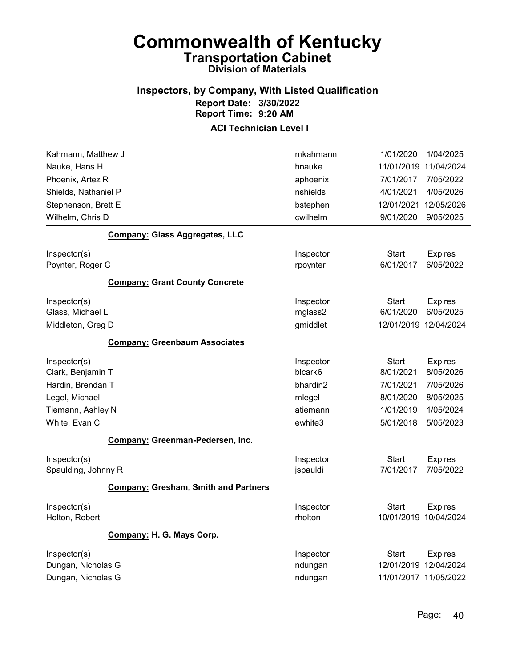## Inspectors, by Company, With Listed Qualification Report Date: 3/30/2022 Report Time: 9:20 AM

| Kahmann, Matthew J   |                                             | mkahmann  | 1/01/2020             | 1/04/2025             |
|----------------------|---------------------------------------------|-----------|-----------------------|-----------------------|
| Nauke, Hans H        |                                             | hnauke    | 11/01/2019            | 11/04/2024            |
| Phoenix, Artez R     |                                             | aphoenix  | 7/01/2017             | 7/05/2022             |
| Shields, Nathaniel P |                                             | nshields  | 4/01/2021             | 4/05/2026             |
| Stephenson, Brett E  |                                             | bstephen  | 12/01/2021            | 12/05/2026            |
| Wilhelm, Chris D     |                                             | cwilhelm  | 9/01/2020             | 9/05/2025             |
|                      | <b>Company: Glass Aggregates, LLC</b>       |           |                       |                       |
| Inspector(s)         |                                             | Inspector | Start                 | <b>Expires</b>        |
| Poynter, Roger C     |                                             | rpoynter  | 6/01/2017             | 6/05/2022             |
|                      | <b>Company: Grant County Concrete</b>       |           |                       |                       |
| Inspector(s)         |                                             | Inspector | Start                 | <b>Expires</b>        |
| Glass, Michael L     |                                             | mglass2   | 6/01/2020             | 6/05/2025             |
| Middleton, Greg D    |                                             | gmiddlet  |                       | 12/01/2019 12/04/2024 |
|                      | <b>Company: Greenbaum Associates</b>        |           |                       |                       |
| Inspector(s)         |                                             | Inspector | Start                 | <b>Expires</b>        |
| Clark, Benjamin T    |                                             | blcark6   | 8/01/2021             | 8/05/2026             |
| Hardin, Brendan T    |                                             | bhardin2  | 7/01/2021             | 7/05/2026             |
| Legel, Michael       |                                             | mlegel    | 8/01/2020             | 8/05/2025             |
| Tiemann, Ashley N    |                                             | atiemann  | 1/01/2019             | 1/05/2024             |
| White, Evan C        |                                             | ewhite3   | 5/01/2018             | 5/05/2023             |
|                      | Company: Greenman-Pedersen, Inc.            |           |                       |                       |
| Inspector(s)         |                                             | Inspector | <b>Start</b>          | <b>Expires</b>        |
| Spaulding, Johnny R  |                                             | jspauldi  | 7/01/2017             | 7/05/2022             |
|                      | <b>Company: Gresham, Smith and Partners</b> |           |                       |                       |
| Inspector(s)         |                                             | Inspector | Start                 | <b>Expires</b>        |
| Holton, Robert       |                                             | rholton   | 10/01/2019            | 10/04/2024            |
|                      | Company: H. G. Mays Corp.                   |           |                       |                       |
| Inspector(s)         |                                             | Inspector | Start                 | <b>Expires</b>        |
| Dungan, Nicholas G   |                                             | ndungan   |                       | 12/01/2019 12/04/2024 |
| Dungan, Nicholas G   |                                             | ndungan   | 11/01/2017 11/05/2022 |                       |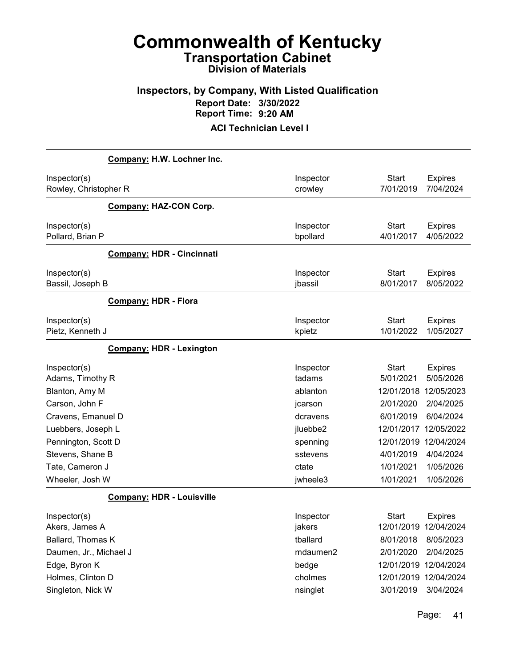## Inspectors, by Company, With Listed Qualification Report Date: 3/30/2022 Report Time: 9:20 AM

|                                         | Company: H.W. Lochner Inc.       |                       |                           |                             |
|-----------------------------------------|----------------------------------|-----------------------|---------------------------|-----------------------------|
| Inspector(s)<br>Rowley, Christopher R   |                                  | Inspector<br>crowley  | <b>Start</b><br>7/01/2019 | <b>Expires</b><br>7/04/2024 |
|                                         | <b>Company: HAZ-CON Corp.</b>    |                       |                           |                             |
| Inspector(s)<br>Pollard, Brian P        |                                  | Inspector<br>bpollard | <b>Start</b><br>4/01/2017 | <b>Expires</b><br>4/05/2022 |
|                                         | <b>Company: HDR - Cincinnati</b> |                       |                           |                             |
| Inspector(s)<br>Bassil, Joseph B        |                                  | Inspector<br>jbassil  | <b>Start</b><br>8/01/2017 | <b>Expires</b><br>8/05/2022 |
|                                         | <b>Company: HDR - Flora</b>      |                       |                           |                             |
| Inspector(s)<br>Pietz, Kenneth J        |                                  | Inspector<br>kpietz   | <b>Start</b><br>1/01/2022 | <b>Expires</b><br>1/05/2027 |
|                                         | <b>Company: HDR - Lexington</b>  |                       |                           |                             |
| Inspector(s)<br>Adams, Timothy R        |                                  | Inspector<br>tadams   | <b>Start</b><br>5/01/2021 | <b>Expires</b><br>5/05/2026 |
| Blanton, Amy M                          |                                  | ablanton              | 12/01/2018                | 12/05/2023                  |
| Carson, John F                          |                                  | jcarson               | 2/01/2020                 | 2/04/2025                   |
| Cravens, Emanuel D                      |                                  | dcravens              | 6/01/2019                 | 6/04/2024                   |
| Luebbers, Joseph L                      |                                  | jluebbe2              | 12/01/2017<br>12/01/2019  | 12/05/2022<br>12/04/2024    |
| Pennington, Scott D<br>Stevens, Shane B |                                  | spenning<br>sstevens  | 4/01/2019                 | 4/04/2024                   |
| Tate, Cameron J                         |                                  | ctate                 | 1/01/2021                 | 1/05/2026                   |
| Wheeler, Josh W                         |                                  | jwheele3              | 1/01/2021                 | 1/05/2026                   |
|                                         | <b>Company: HDR - Louisville</b> |                       |                           |                             |
| Inspector(s)                            |                                  | Inspector             | <b>Start</b>              | <b>Expires</b>              |
| Akers, James A                          |                                  | jakers                | 12/01/2019 12/04/2024     |                             |
| Ballard, Thomas K                       |                                  | tballard              | 8/01/2018                 | 8/05/2023                   |
| Daumen, Jr., Michael J                  |                                  | mdaumen2              | 2/01/2020                 | 2/04/2025                   |
| Edge, Byron K                           |                                  | bedge                 | 12/01/2019 12/04/2024     |                             |
| Holmes, Clinton D                       |                                  | cholmes               | 12/01/2019 12/04/2024     |                             |
| Singleton, Nick W                       |                                  | nsinglet              | 3/01/2019                 | 3/04/2024                   |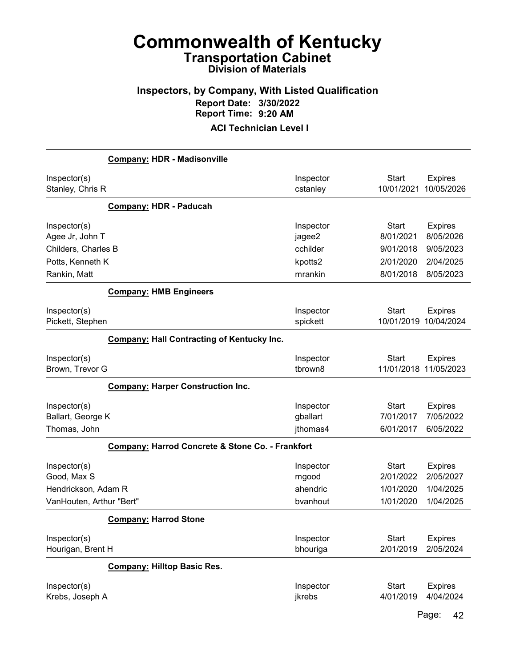## Inspectors, by Company, With Listed Qualification Report Date: 3/30/2022 Report Time: 9:20 AM

ACI Technician Level I

|                                                    | <b>Company: HDR - Madisonville</b>                |                                   |                                        |                                          |
|----------------------------------------------------|---------------------------------------------------|-----------------------------------|----------------------------------------|------------------------------------------|
| Inspector(s)<br>Stanley, Chris R                   |                                                   | Inspector<br>cstanley             | Start<br>10/01/2021                    | <b>Expires</b><br>10/05/2026             |
|                                                    | <b>Company: HDR - Paducah</b>                     |                                   |                                        |                                          |
| Inspector(s)<br>Agee Jr, John T                    |                                                   | Inspector<br>jagee2               | <b>Start</b><br>8/01/2021              | <b>Expires</b><br>8/05/2026              |
| Childers, Charles B                                |                                                   | cchilder                          | 9/01/2018                              | 9/05/2023                                |
| Potts, Kenneth K                                   |                                                   | kpotts2                           | 2/01/2020                              | 2/04/2025                                |
| Rankin, Matt                                       |                                                   | mrankin                           | 8/01/2018                              | 8/05/2023                                |
|                                                    | <b>Company: HMB Engineers</b>                     |                                   |                                        |                                          |
| Inspector(s)<br>Pickett, Stephen                   |                                                   | Inspector<br>spickett             | <b>Start</b><br>10/01/2019             | <b>Expires</b><br>10/04/2024             |
|                                                    | <b>Company: Hall Contracting of Kentucky Inc.</b> |                                   |                                        |                                          |
| Inspector(s)<br>Brown, Trevor G                    |                                                   | Inspector<br>tbrown8              | <b>Start</b>                           | <b>Expires</b><br>11/01/2018 11/05/2023  |
|                                                    | <b>Company: Harper Construction Inc.</b>          |                                   |                                        |                                          |
| Inspector(s)<br>Ballart, George K<br>Thomas, John  |                                                   | Inspector<br>gballart<br>jthomas4 | <b>Start</b><br>7/01/2017<br>6/01/2017 | <b>Expires</b><br>7/05/2022<br>6/05/2022 |
|                                                    | Company: Harrod Concrete & Stone Co. - Frankfort  |                                   |                                        |                                          |
| Inspector(s)<br>Good, Max S<br>Hendrickson, Adam R |                                                   | Inspector<br>mgood<br>ahendric    | <b>Start</b><br>2/01/2022<br>1/01/2020 | <b>Expires</b><br>2/05/2027<br>1/04/2025 |
| VanHouten, Arthur "Bert"                           |                                                   | bvanhout                          | 1/01/2020                              | 1/04/2025                                |
|                                                    | <b>Company: Harrod Stone</b>                      |                                   |                                        |                                          |
| Inspector(s)<br>Hourigan, Brent H                  |                                                   | Inspector<br>bhouriga             | Start<br>2/01/2019                     | <b>Expires</b><br>2/05/2024              |
|                                                    | <b>Company: Hilltop Basic Res.</b>                |                                   |                                        |                                          |
| Inspector(s)<br>Krebs, Joseph A                    |                                                   | Inspector<br>jkrebs               | <b>Start</b><br>4/01/2019              | <b>Expires</b><br>4/04/2024              |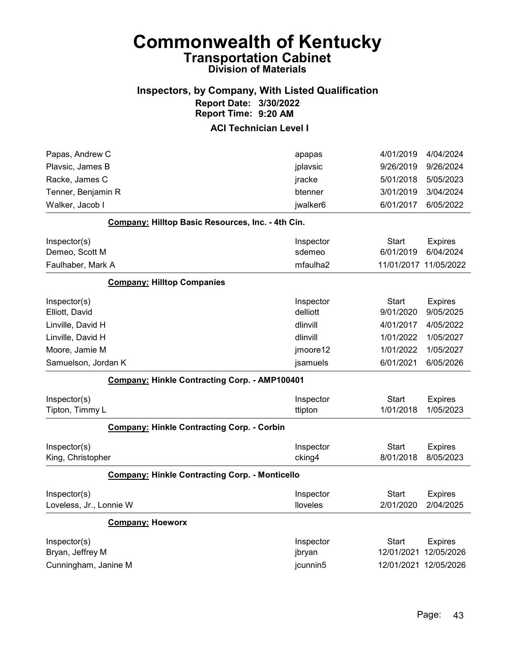### Inspectors, by Company, With Listed Qualification Report Date: 3/30/2022 Report Time: 9:20 AM

| Papas, Andrew C                                       | apapas    | 4/01/2019             | 4/04/2024      |
|-------------------------------------------------------|-----------|-----------------------|----------------|
| Plavsic, James B                                      | jplavsic  | 9/26/2019             | 9/26/2024      |
| Racke, James C                                        | jracke    | 5/01/2018             | 5/05/2023      |
| Tenner, Benjamin R                                    | btenner   | 3/01/2019             | 3/04/2024      |
| Walker, Jacob I                                       | jwalker6  | 6/01/2017             | 6/05/2022      |
| Company: Hilltop Basic Resources, Inc. - 4th Cin.     |           |                       |                |
| Inspector(s)                                          | Inspector | Start                 | <b>Expires</b> |
| Demeo, Scott M                                        | sdemeo    | 6/01/2019             | 6/04/2024      |
| Faulhaber, Mark A                                     | mfaulha2  | 11/01/2017 11/05/2022 |                |
| <b>Company: Hilltop Companies</b>                     |           |                       |                |
| Inspector(s)                                          | Inspector | Start                 | <b>Expires</b> |
| Elliott, David                                        | delliott  | 9/01/2020             | 9/05/2025      |
| Linville, David H                                     | dlinvill  | 4/01/2017             | 4/05/2022      |
| Linville, David H                                     | dlinvill  | 1/01/2022             | 1/05/2027      |
| Moore, Jamie M                                        | jmoore12  | 1/01/2022             | 1/05/2027      |
| Samuelson, Jordan K                                   | jsamuels  | 6/01/2021             | 6/05/2026      |
| Company: Hinkle Contracting Corp. - AMP100401         |           |                       |                |
| Inspector(s)                                          | Inspector | <b>Start</b>          | <b>Expires</b> |
| Tipton, Timmy L                                       | ttipton   | 1/01/2018             | 1/05/2023      |
| Company: Hinkle Contracting Corp. - Corbin            |           |                       |                |
| Inspector(s)                                          | Inspector | <b>Start</b>          | <b>Expires</b> |
| King, Christopher                                     | cking4    | 8/01/2018             | 8/05/2023      |
| <b>Company: Hinkle Contracting Corp. - Monticello</b> |           |                       |                |
| Inspector(s)                                          | Inspector | <b>Start</b>          | <b>Expires</b> |
| Loveless, Jr., Lonnie W                               | lloveles  | 2/01/2020             | 2/04/2025      |
| <b>Company: Hoeworx</b>                               |           |                       |                |
| Inspector(s)                                          | Inspector | Start                 | <b>Expires</b> |
| Bryan, Jeffrey M                                      | jbryan    | 12/01/2021            | 12/05/2026     |
| Cunningham, Janine M                                  | jcunnin5  | 12/01/2021 12/05/2026 |                |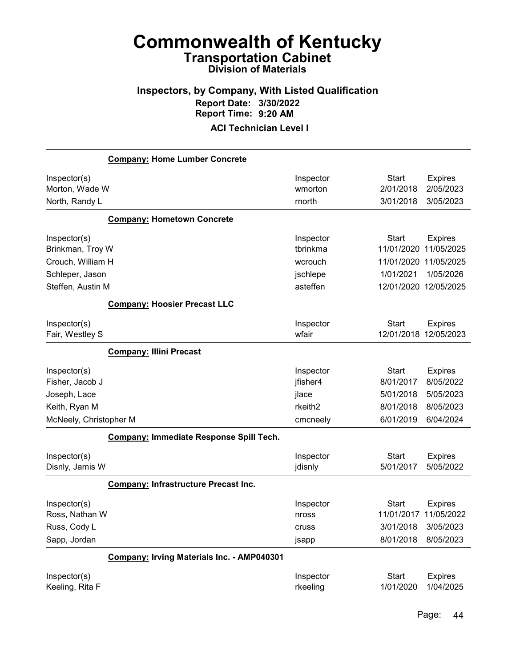## Inspectors, by Company, With Listed Qualification Report Date: 3/30/2022 Report Time: 9:20 AM

|                                                                | <b>Company: Home Lumber Concrete</b>        |                                      |                                                      |                                                        |
|----------------------------------------------------------------|---------------------------------------------|--------------------------------------|------------------------------------------------------|--------------------------------------------------------|
| Inspector(s)<br>Morton, Wade W<br>North, Randy L               |                                             | Inspector<br>wmorton<br>rnorth       | <b>Start</b><br>2/01/2018<br>3/01/2018               | <b>Expires</b><br>2/05/2023<br>3/05/2023               |
|                                                                | <b>Company: Hometown Concrete</b>           |                                      |                                                      |                                                        |
| Inspector(s)<br>Brinkman, Troy W                               |                                             | Inspector<br>tbrinkma                | <b>Start</b><br>11/01/2020                           | <b>Expires</b><br>11/05/2025                           |
| Crouch, William H                                              |                                             | wcrouch                              | 11/01/2020<br>1/01/2021                              | 11/05/2025<br>1/05/2026                                |
| Schleper, Jason<br>Steffen, Austin M                           |                                             | jschlepe<br>asteffen                 | 12/01/2020                                           | 12/05/2025                                             |
|                                                                | <b>Company: Hoosier Precast LLC</b>         |                                      |                                                      |                                                        |
| Inspector(s)<br>Fair, Westley S                                |                                             | Inspector<br>wfair                   | <b>Start</b><br>12/01/2018                           | <b>Expires</b><br>12/05/2023                           |
|                                                                | <b>Company: Illini Precast</b>              |                                      |                                                      |                                                        |
| Inspector(s)<br>Fisher, Jacob J                                |                                             | Inspector<br>jfisher4                | <b>Start</b><br>8/01/2017                            | <b>Expires</b><br>8/05/2022                            |
| Joseph, Lace                                                   |                                             | jlace                                | 5/01/2018                                            | 5/05/2023                                              |
| Keith, Ryan M                                                  |                                             | rkeith <sub>2</sub>                  | 8/01/2018                                            | 8/05/2023                                              |
| McNeely, Christopher M                                         |                                             | cmcneely                             | 6/01/2019                                            | 6/04/2024                                              |
|                                                                | Company: Immediate Response Spill Tech.     |                                      |                                                      |                                                        |
| Inspector(s)<br>Disnly, Jamis W                                |                                             | Inspector<br>jdisnly                 | <b>Start</b><br>5/01/2017                            | <b>Expires</b><br>5/05/2022                            |
|                                                                | <b>Company: Infrastructure Precast Inc.</b> |                                      |                                                      |                                                        |
| Inspector(s)<br>Ross, Nathan W<br>Russ, Cody L<br>Sapp, Jordan |                                             | Inspector<br>nross<br>cruss<br>jsapp | <b>Start</b><br>11/01/2017<br>3/01/2018<br>8/01/2018 | <b>Expires</b><br>11/05/2022<br>3/05/2023<br>8/05/2023 |
|                                                                | Company: Irving Materials Inc. - AMP040301  |                                      |                                                      |                                                        |
| Inspector(s)<br>Keeling, Rita F                                |                                             | Inspector<br>rkeeling                | <b>Start</b><br>1/01/2020                            | <b>Expires</b><br>1/04/2025                            |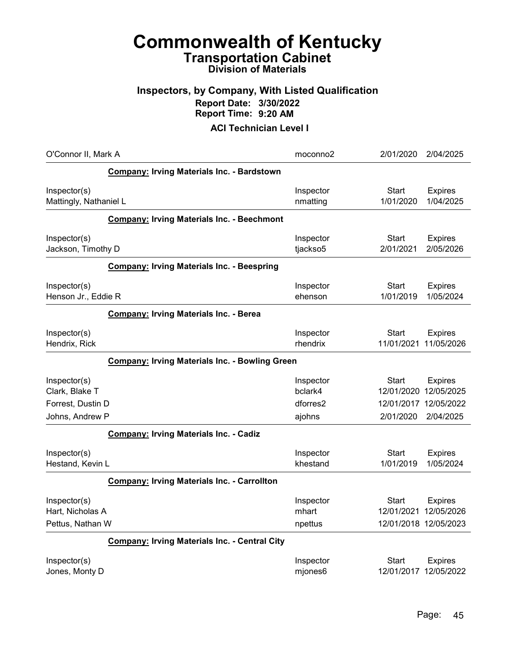### Inspectors, by Company, With Listed Qualification Report Date: 3/30/2022 Report Time: 9:20 AM

| O'Connor II, Mark A                                   |                                                      | moconno2                      | 2/01/2020                                    | 2/04/2025                    |
|-------------------------------------------------------|------------------------------------------------------|-------------------------------|----------------------------------------------|------------------------------|
|                                                       | Company: Irving Materials Inc. - Bardstown           |                               |                                              |                              |
| Inspector(s)<br>Mattingly, Nathaniel L                |                                                      | Inspector<br>nmatting         | <b>Start</b><br>1/01/2020                    | <b>Expires</b><br>1/04/2025  |
|                                                       | <b>Company: Irving Materials Inc. - Beechmont</b>    |                               |                                              |                              |
| Inspector(s)<br>Jackson, Timothy D                    |                                                      | Inspector<br>tjackso5         | Start<br>2/01/2021                           | <b>Expires</b><br>2/05/2026  |
|                                                       | <b>Company: Irving Materials Inc. - Beespring</b>    |                               |                                              |                              |
| Inspector(s)<br>Henson Jr., Eddie R                   |                                                      | Inspector<br>ehenson          | Start<br>1/01/2019                           | <b>Expires</b><br>1/05/2024  |
|                                                       | <b>Company: Irving Materials Inc. - Berea</b>        |                               |                                              |                              |
| Inspector(s)<br>Hendrix, Rick                         |                                                      | Inspector<br>rhendrix         | Start<br>11/01/2021                          | <b>Expires</b><br>11/05/2026 |
| <b>Company: Irving Materials Inc. - Bowling Green</b> |                                                      |                               |                                              |                              |
| Inspector(s)<br>Clark, Blake T                        |                                                      | Inspector<br>bclark4          | Start<br>12/01/2020 12/05/2025               | <b>Expires</b>               |
| Forrest, Dustin D<br>Johns, Andrew P                  |                                                      | dforres2<br>ajohns            | 12/01/2017 12/05/2022<br>2/01/2020           | 2/04/2025                    |
|                                                       | <b>Company: Irving Materials Inc. - Cadiz</b>        |                               |                                              |                              |
| Inspector(s)<br>Hestand, Kevin L                      |                                                      | Inspector<br>khestand         | <b>Start</b><br>1/01/2019                    | <b>Expires</b><br>1/05/2024  |
|                                                       | <b>Company: Irving Materials Inc. - Carrollton</b>   |                               |                                              |                              |
| Inspector(s)<br>Hart, Nicholas A<br>Pettus, Nathan W  |                                                      | Inspector<br>mhart<br>npettus | Start<br>12/01/2021<br>12/01/2018 12/05/2023 | <b>Expires</b><br>12/05/2026 |
|                                                       | <b>Company: Irving Materials Inc. - Central City</b> |                               |                                              |                              |
| Inspector(s)<br>Jones, Monty D                        |                                                      | Inspector<br>mjones6          | Start<br>12/01/2017 12/05/2022               | <b>Expires</b>               |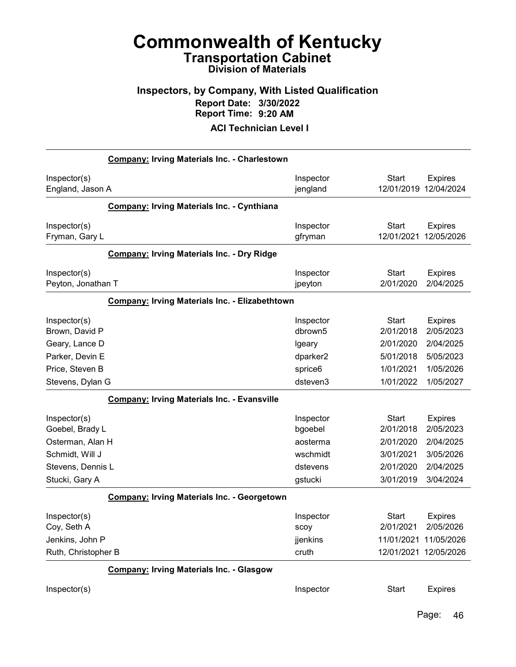### Inspectors, by Company, With Listed Qualification Report Date: 3/30/2022 Report Time: 9:20 AM

|                                                | <b>Company: Irving Materials Inc. - Charlestown</b> |                               |                                                    |                              |
|------------------------------------------------|-----------------------------------------------------|-------------------------------|----------------------------------------------------|------------------------------|
| Inspector(s)<br>England, Jason A               |                                                     | Inspector<br>jengland         | <b>Start</b><br>12/01/2019                         | <b>Expires</b><br>12/04/2024 |
|                                                | <b>Company: Irving Materials Inc. - Cynthiana</b>   |                               |                                                    |                              |
| Inspector(s)<br>Fryman, Gary L                 |                                                     | Inspector<br>gfryman          | <b>Start</b><br>12/01/2021                         | <b>Expires</b><br>12/05/2026 |
|                                                | <b>Company: Irving Materials Inc. - Dry Ridge</b>   |                               |                                                    |                              |
| Inspector(s)<br>Peyton, Jonathan T             |                                                     | Inspector<br>jpeyton          | <b>Start</b><br>2/01/2020                          | <b>Expires</b><br>2/04/2025  |
|                                                | Company: Irving Materials Inc. - Elizabethtown      |                               |                                                    |                              |
| Inspector(s)<br>Brown, David P                 |                                                     | Inspector<br>dbrown5          | <b>Start</b><br>2/01/2018                          | <b>Expires</b><br>2/05/2023  |
| Geary, Lance D                                 |                                                     | Igeary                        | 2/01/2020                                          | 2/04/2025                    |
| Parker, Devin E                                |                                                     | dparker2                      | 5/01/2018                                          | 5/05/2023                    |
| Price, Steven B                                |                                                     | sprice6                       | 1/01/2021                                          | 1/05/2026                    |
| Stevens, Dylan G                               |                                                     | dsteven3                      | 1/01/2022                                          | 1/05/2027                    |
|                                                | <b>Company: Irving Materials Inc. - Evansville</b>  |                               |                                                    |                              |
| Inspector(s)<br>Goebel, Brady L                |                                                     | Inspector<br>bgoebel          | <b>Start</b><br>2/01/2018                          | <b>Expires</b><br>2/05/2023  |
| Osterman, Alan H                               |                                                     | aosterma                      | 2/01/2020                                          | 2/04/2025                    |
| Schmidt, Will J                                |                                                     | wschmidt                      | 3/01/2021                                          | 3/05/2026                    |
| Stevens, Dennis L                              |                                                     | dstevens                      | 2/01/2020                                          | 2/04/2025                    |
| Stucki, Gary A                                 |                                                     | gstucki                       | 3/01/2019                                          | 3/04/2024                    |
|                                                | <b>Company: Irving Materials Inc. - Georgetown</b>  |                               |                                                    |                              |
| Inspector(s)<br>Coy, Seth A<br>Jenkins, John P |                                                     | Inspector<br>scoy<br>jjenkins | <b>Start</b><br>2/01/2021<br>11/01/2021 11/05/2026 | <b>Expires</b><br>2/05/2026  |
| Ruth, Christopher B                            |                                                     | cruth                         | 12/01/2021 12/05/2026                              |                              |
|                                                | <b>Company: Irving Materials Inc. - Glasgow</b>     |                               |                                                    |                              |
| Inspector(s)                                   |                                                     | Inspector                     | <b>Start</b>                                       | <b>Expires</b>               |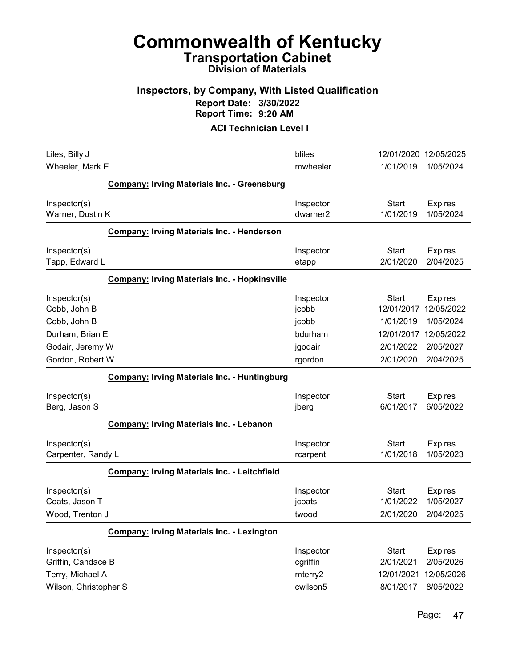### Inspectors, by Company, With Listed Qualification Report Date: 3/30/2022 Report Time: 9:20 AM

| Liles, Billy J<br>Wheeler, Mark E                      | bliles<br>mwheeler                | 12/01/2020 12/05/2025<br>1/01/2019<br>1/05/2024                                      |
|--------------------------------------------------------|-----------------------------------|--------------------------------------------------------------------------------------|
| <b>Company: Irving Materials Inc. - Greensburg</b>     |                                   |                                                                                      |
| Inspector(s)<br>Warner, Dustin K                       | Inspector<br>dwarner <sub>2</sub> | Start<br><b>Expires</b><br>1/01/2019<br>1/05/2024                                    |
| <b>Company: Irving Materials Inc. - Henderson</b>      |                                   |                                                                                      |
| Inspector(s)<br>Tapp, Edward L                         | Inspector<br>etapp                | <b>Start</b><br><b>Expires</b><br>2/01/2020<br>2/04/2025                             |
| <b>Company: Irving Materials Inc. - Hopkinsville</b>   |                                   |                                                                                      |
| Inspector(s)<br>Cobb, John B<br>Cobb, John B           | Inspector<br>jcobb<br>jcobb       | Start<br><b>Expires</b><br>12/05/2022<br>12/01/2017<br>1/01/2019<br>1/05/2024        |
| Durham, Brian E<br>Godair, Jeremy W                    | bdurham<br>jgodair                | 12/05/2022<br>12/01/2017<br>2/01/2022<br>2/05/2027                                   |
| Gordon, Robert W                                       | rgordon                           | 2/01/2020<br>2/04/2025                                                               |
| <b>Company: Irving Materials Inc. - Huntingburg</b>    |                                   |                                                                                      |
| Inspector(s)<br>Berg, Jason S                          | Inspector<br>jberg                | <b>Start</b><br><b>Expires</b><br>6/01/2017<br>6/05/2022                             |
| <b>Company: Irving Materials Inc. - Lebanon</b>        |                                   |                                                                                      |
| Inspector(s)<br>Carpenter, Randy L                     | Inspector<br>rcarpent             | <b>Start</b><br><b>Expires</b><br>1/01/2018<br>1/05/2023                             |
| <b>Company: Irving Materials Inc. - Leitchfield</b>    |                                   |                                                                                      |
| Inspector(s)<br>Coats, Jason T<br>Wood, Trenton J      | Inspector<br>jcoats<br>twood      | <b>Start</b><br><b>Expires</b><br>1/01/2022<br>1/05/2027<br>2/04/2025<br>2/01/2020   |
| <b>Company: Irving Materials Inc. - Lexington</b>      |                                   |                                                                                      |
| Inspector(s)<br>Griffin, Candace B<br>Terry, Michael A | Inspector<br>cgriffin<br>mterry2  | <b>Start</b><br><b>Expires</b><br>2/05/2026<br>2/01/2021<br>12/05/2026<br>12/01/2021 |
| Wilson, Christopher S                                  | cwilson5                          | 8/01/2017<br>8/05/2022                                                               |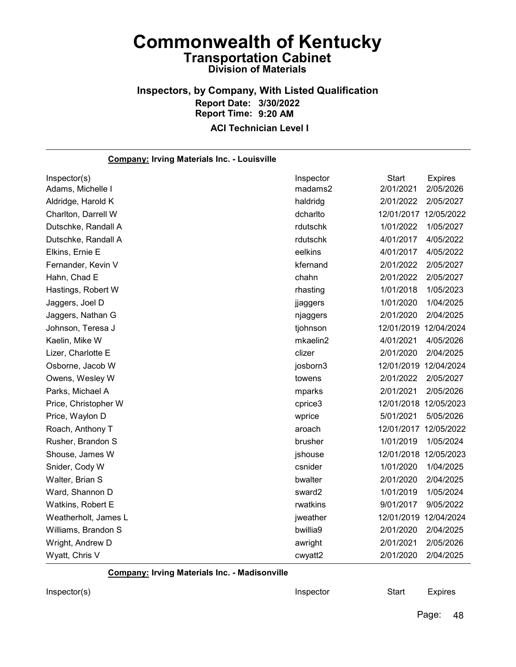### Inspectors, by Company, With Listed Qualification Report Date: 3/30/2022 Report Time: 9:20 AM ACI Technician Level I

Company: Irving Materials Inc. - Louisville Inspector(s) **Inspector** Start Expires Adams, Michelle I madams2 2/01/2021 2/05/2026 Aldridge, Harold K haldridg 2/01/2022 2/05/2027 Charlton, Darrell W dcharlto 12/01/2017 12/05/2022 Dutschke, Randall A rdutschk 1/01/2022 1/05/2027 Dutschke, Randall A rdutschk 4/01/2017 4/05/2022 Elkins, Ernie E eelkins 4/01/2017 4/05/2022 Fernander, Kevin V kfernand 2/01/2022 2/05/2027 Hahn, Chad E chahn 2/01/2022 2/05/2027 Hastings, Robert W rhasting 1/01/2018 1/05/2023 Jaggers, Joel D jjaggers 1/01/2020 1/04/2025 Jaggers, Nathan G njaggers 2/01/2020 2/04/2025 Johnson, Teresa J tjohnson 12/01/2019 12/04/2024 Kaelin, Mike W mkaelin2 4/01/2021 4/05/2026 Lizer, Charlotte E clizer 2/01/2020 2/04/2025 Osborne, Jacob W josborn3 12/01/2019 12/04/2024 Owens, Wesley W towens 2/01/2022 2/05/2027 Parks, Michael A mparks 2/01/2021 2/05/2026 Price, Christopher W cprice3 12/01/2018 12/05/2023 Price, Waylon D wprice 5/01/2021 5/05/2026 Roach, Anthony T aroach 12/01/2017 12/05/2022 Rusher, Brandon S brusher 1/01/2019 1/05/2024 Shouse, James W jshouse 12/01/2018 12/05/2023 Snider, Cody W csnider 1/01/2020 1/04/2025 Walter, Brian S bwalter 2/01/2020 2/04/2025 Ward, Shannon D sward2 1/01/2019 1/05/2024 Watkins, Robert E rwatkins 9/01/2017 9/05/2022 Weatherholt, James L jweather 12/01/2019 12/04/2024 Williams, Brandon S bwillia9 2/01/2020 2/04/2025 Wright, Andrew D awright 2/01/2021 2/05/2026 Wyatt, Chris V cwyatt2 2/01/2020 2/04/2025

Company: Irving Materials Inc. - Madisonville

Inspector(s) **Inspector** Start Expires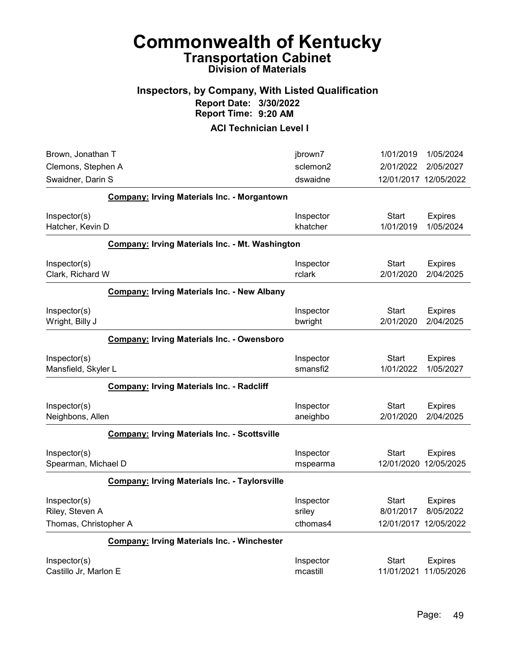### Inspectors, by Company, With Listed Qualification Report Date: 3/30/2022 Report Time: 9:20 AM

| Brown, Jonathan T                |                                                        | jbrown7              | 1/01/2019             | 1/05/2024                   |
|----------------------------------|--------------------------------------------------------|----------------------|-----------------------|-----------------------------|
| Clemons, Stephen A               |                                                        | sclemon2             | 2/01/2022             | 2/05/2027                   |
| Swaidner, Darin S                |                                                        | dswaidne             | 12/01/2017 12/05/2022 |                             |
|                                  | <b>Company: Irving Materials Inc. - Morgantown</b>     |                      |                       |                             |
| Inspector(s)                     |                                                        | Inspector            | <b>Start</b>          | <b>Expires</b>              |
| Hatcher, Kevin D                 |                                                        | khatcher             | 1/01/2019             | 1/05/2024                   |
|                                  | <b>Company: Irving Materials Inc. - Mt. Washington</b> |                      |                       |                             |
| Inspector(s)<br>Clark, Richard W |                                                        | Inspector<br>rclark  | Start<br>2/01/2020    | <b>Expires</b><br>2/04/2025 |
|                                  | <b>Company: Irving Materials Inc. - New Albany</b>     |                      |                       |                             |
| Inspector(s)                     |                                                        | Inspector            | Start                 | <b>Expires</b>              |
| Wright, Billy J                  |                                                        | bwright              | 2/01/2020             | 2/04/2025                   |
|                                  | <b>Company: Irving Materials Inc. - Owensboro</b>      |                      |                       |                             |
| Inspector(s)                     |                                                        | Inspector            | <b>Start</b>          | <b>Expires</b>              |
| Mansfield, Skyler L              |                                                        | smansfi <sub>2</sub> | 1/01/2022             | 1/05/2027                   |
|                                  | <b>Company: Irving Materials Inc. - Radcliff</b>       |                      |                       |                             |
| Inspector(s)                     |                                                        | Inspector            | <b>Start</b>          | <b>Expires</b>              |
| Neighbons, Allen                 |                                                        | aneighbo             | 2/01/2020             | 2/04/2025                   |
|                                  | <b>Company: Irving Materials Inc. - Scottsville</b>    |                      |                       |                             |
| Inspector(s)                     |                                                        | Inspector            | <b>Start</b>          | <b>Expires</b>              |
| Spearman, Michael D              |                                                        | mspearma             | 12/01/2020            | 12/05/2025                  |
|                                  | <b>Company: Irving Materials Inc. - Taylorsville</b>   |                      |                       |                             |
| Inspector(s)                     |                                                        | Inspector            | Start                 | <b>Expires</b>              |
| Riley, Steven A                  |                                                        | sriley               | 8/01/2017             | 8/05/2022                   |
| Thomas, Christopher A            |                                                        | cthomas4             | 12/01/2017 12/05/2022 |                             |
|                                  | <b>Company: Irving Materials Inc. - Winchester</b>     |                      |                       |                             |
| Inspector(s)                     |                                                        | Inspector            | Start                 | <b>Expires</b>              |
| Castillo Jr, Marlon E            |                                                        | mcastill             | 11/01/2021 11/05/2026 |                             |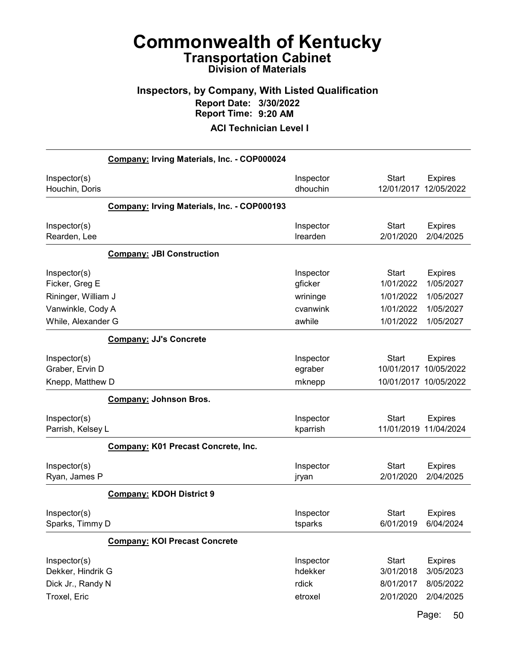### Inspectors, by Company, With Listed Qualification Report Date: 3/30/2022 Report Time: 9:20 AM

ACI Technician Level I

|                                                                            | Company: Irving Materials, Inc. - COP000024 |                                              |                                                     |                                                       |
|----------------------------------------------------------------------------|---------------------------------------------|----------------------------------------------|-----------------------------------------------------|-------------------------------------------------------|
| Inspector(s)<br>Houchin, Doris                                             |                                             | Inspector<br>dhouchin                        | <b>Start</b><br>12/01/2017                          | <b>Expires</b><br>12/05/2022                          |
|                                                                            | Company: Irving Materials, Inc. - COP000193 |                                              |                                                     |                                                       |
| Inspector(s)<br>Rearden, Lee                                               |                                             | Inspector<br>Irearden                        | <b>Start</b><br>2/01/2020                           | <b>Expires</b><br>2/04/2025                           |
|                                                                            | <b>Company: JBI Construction</b>            |                                              |                                                     |                                                       |
| Inspector(s)<br>Ficker, Greg E<br>Rininger, William J<br>Vanwinkle, Cody A |                                             | Inspector<br>gficker<br>wrininge<br>cvanwink | <b>Start</b><br>1/01/2022<br>1/01/2022<br>1/01/2022 | <b>Expires</b><br>1/05/2027<br>1/05/2027<br>1/05/2027 |
| While, Alexander G                                                         |                                             | awhile                                       | 1/01/2022                                           | 1/05/2027                                             |
|                                                                            | <b>Company: JJ's Concrete</b>               |                                              |                                                     |                                                       |
| Inspector(s)<br>Graber, Ervin D<br>Knepp, Matthew D                        |                                             | Inspector<br>egraber<br>mknepp               | Start<br>10/01/2017<br>10/01/2017 10/05/2022        | <b>Expires</b><br>10/05/2022                          |
|                                                                            | <b>Company: Johnson Bros.</b>               |                                              |                                                     |                                                       |
| Inspector(s)<br>Parrish, Kelsey L                                          |                                             | Inspector<br>kparrish                        | <b>Start</b><br>11/01/2019                          | <b>Expires</b><br>11/04/2024                          |
|                                                                            | <b>Company: K01 Precast Concrete, Inc.</b>  |                                              |                                                     |                                                       |
| Inspector(s)<br>Ryan, James P                                              |                                             | Inspector<br>jryan                           | Start<br>2/01/2020                                  | <b>Expires</b><br>2/04/2025                           |
|                                                                            | <b>Company: KDOH District 9</b>             |                                              |                                                     |                                                       |
| Inspector(s)<br>Sparks, Timmy D                                            |                                             | Inspector<br>tsparks                         | <b>Start</b><br>6/01/2019                           | <b>Expires</b><br>6/04/2024                           |
|                                                                            | <b>Company: KOI Precast Concrete</b>        |                                              |                                                     |                                                       |
| Inspector(s)<br>Dekker, Hindrik G<br>Dick Jr., Randy N<br>Troxel, Eric     |                                             | Inspector<br>hdekker<br>rdick<br>etroxel     | <b>Start</b><br>3/01/2018<br>8/01/2017<br>2/01/2020 | <b>Expires</b><br>3/05/2023<br>8/05/2022<br>2/04/2025 |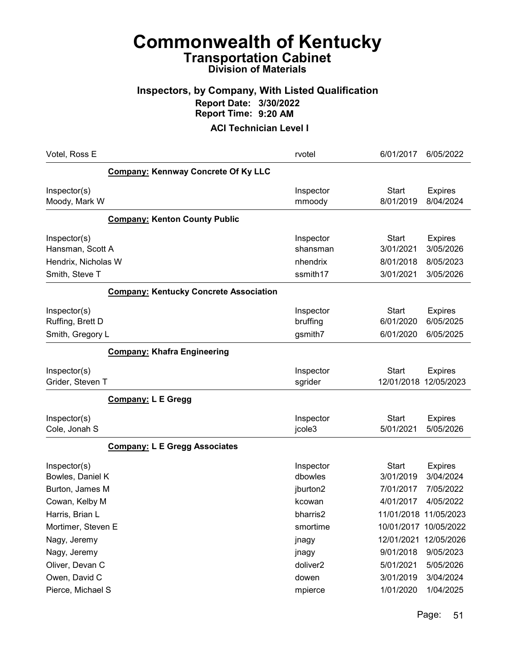### Inspectors, by Company, With Listed Qualification Report Date: 3/30/2022 Report Time: 9:20 AM

| Votel, Ross E                                                             |                                               | rvotel                                        | 6/01/2017                                           | 6/05/2022                                             |
|---------------------------------------------------------------------------|-----------------------------------------------|-----------------------------------------------|-----------------------------------------------------|-------------------------------------------------------|
|                                                                           | <b>Company: Kennway Concrete Of Ky LLC</b>    |                                               |                                                     |                                                       |
| Inspector(s)<br>Moody, Mark W                                             |                                               | Inspector<br>mmoody                           | <b>Start</b><br>8/01/2019                           | <b>Expires</b><br>8/04/2024                           |
|                                                                           | <b>Company: Kenton County Public</b>          |                                               |                                                     |                                                       |
| Inspector(s)<br>Hansman, Scott A<br>Hendrix, Nicholas W<br>Smith, Steve T |                                               | Inspector<br>shansman<br>nhendrix<br>ssmith17 | <b>Start</b><br>3/01/2021<br>8/01/2018<br>3/01/2021 | <b>Expires</b><br>3/05/2026<br>8/05/2023<br>3/05/2026 |
|                                                                           | <b>Company: Kentucky Concrete Association</b> |                                               |                                                     |                                                       |
| Inspector(s)<br>Ruffing, Brett D<br>Smith, Gregory L                      |                                               | Inspector<br>bruffing<br>gsmith7              | <b>Start</b><br>6/01/2020<br>6/01/2020              | <b>Expires</b><br>6/05/2025<br>6/05/2025              |
|                                                                           | <b>Company: Khafra Engineering</b>            |                                               |                                                     |                                                       |
| Inspector(s)<br>Grider, Steven T                                          |                                               | Inspector<br>sgrider                          | Start<br>12/01/2018                                 | <b>Expires</b><br>12/05/2023                          |
|                                                                           | <b>Company: L E Gregg</b>                     |                                               |                                                     |                                                       |
| Inspector(s)<br>Cole, Jonah S                                             |                                               | Inspector<br>jcole3                           | <b>Start</b><br>5/01/2021                           | <b>Expires</b><br>5/05/2026                           |
|                                                                           | <b>Company: L E Gregg Associates</b>          |                                               |                                                     |                                                       |
| Inspector(s)<br>Bowles, Daniel K<br>Burton, James M                       |                                               | Inspector<br>dbowles<br>jburton2              | <b>Start</b><br>3/01/2019<br>7/01/2017              | <b>Expires</b><br>3/04/2024<br>7/05/2022              |
| Cowan, Kelby M                                                            |                                               | kcowan                                        | 4/01/2017                                           | 4/05/2022                                             |
| Harris, Brian L                                                           |                                               | bharris2                                      | 11/01/2018 11/05/2023                               |                                                       |
| Mortimer, Steven E                                                        |                                               | smortime                                      | 10/01/2017 10/05/2022                               |                                                       |
| Nagy, Jeremy                                                              |                                               | jnagy                                         | 12/01/2021                                          | 12/05/2026                                            |
| Nagy, Jeremy                                                              |                                               | jnagy                                         | 9/01/2018                                           | 9/05/2023                                             |
| Oliver, Devan C                                                           |                                               | doliver2                                      | 5/01/2021                                           | 5/05/2026                                             |
| Owen, David C                                                             |                                               | dowen                                         | 3/01/2019                                           | 3/04/2024                                             |
| Pierce, Michael S                                                         |                                               | mpierce                                       | 1/01/2020                                           | 1/04/2025                                             |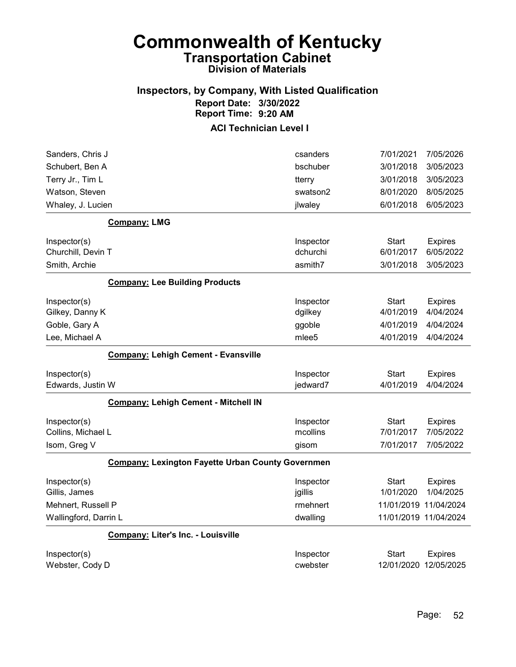## Inspectors, by Company, With Listed Qualification Report Date: 3/30/2022 Report Time: 9:20 AM

| Sanders, Chris J      |                                                          | csanders          | 7/01/2021    | 7/05/2026             |
|-----------------------|----------------------------------------------------------|-------------------|--------------|-----------------------|
| Schubert, Ben A       |                                                          | bschuber          | 3/01/2018    | 3/05/2023             |
| Terry Jr., Tim L      |                                                          | tterry            | 3/01/2018    | 3/05/2023             |
| Watson, Steven        |                                                          | swatson2          | 8/01/2020    | 8/05/2025             |
| Whaley, J. Lucien     |                                                          | jlwaley           | 6/01/2018    | 6/05/2023             |
|                       | <b>Company: LMG</b>                                      |                   |              |                       |
| Inspector(s)          |                                                          | Inspector         | <b>Start</b> | <b>Expires</b>        |
| Churchill, Devin T    |                                                          | dchurchi          | 6/01/2017    | 6/05/2022             |
| Smith, Archie         |                                                          | asmith7           | 3/01/2018    | 3/05/2023             |
|                       | <b>Company: Lee Building Products</b>                    |                   |              |                       |
| Inspector(s)          |                                                          | Inspector         | <b>Start</b> | <b>Expires</b>        |
| Gilkey, Danny K       |                                                          | dgilkey           | 4/01/2019    | 4/04/2024             |
| Goble, Gary A         |                                                          | ggoble            | 4/01/2019    | 4/04/2024             |
| Lee, Michael A        |                                                          | mlee <sub>5</sub> | 4/01/2019    | 4/04/2024             |
|                       | <b>Company: Lehigh Cement - Evansville</b>               |                   |              |                       |
| Inspector(s)          |                                                          | Inspector         | <b>Start</b> | <b>Expires</b>        |
| Edwards, Justin W     |                                                          | jedward7          | 4/01/2019    | 4/04/2024             |
|                       | <b>Company: Lehigh Cement - Mitchell IN</b>              |                   |              |                       |
| Inspector(s)          |                                                          | Inspector         | <b>Start</b> | <b>Expires</b>        |
| Collins, Michael L    |                                                          | mcollins          | 7/01/2017    | 7/05/2022             |
| Isom, Greg V          |                                                          | gisom             | 7/01/2017    | 7/05/2022             |
|                       | <b>Company: Lexington Fayette Urban County Governmen</b> |                   |              |                       |
| Inspector(s)          |                                                          | Inspector         | Start        | <b>Expires</b>        |
| Gillis, James         |                                                          | jgillis           | 1/01/2020    | 1/04/2025             |
| Mehnert, Russell P    |                                                          | rmehnert          |              | 11/01/2019 11/04/2024 |
| Wallingford, Darrin L |                                                          | dwalling          |              | 11/01/2019 11/04/2024 |
|                       | <b>Company: Liter's Inc. - Louisville</b>                |                   |              |                       |
| Inspector(s)          |                                                          | Inspector         | <b>Start</b> | <b>Expires</b>        |
| Webster, Cody D       |                                                          | cwebster          | 12/01/2020   | 12/05/2025            |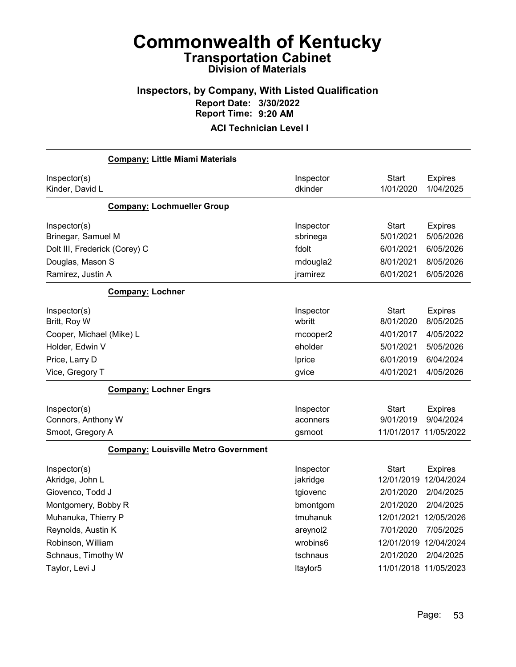## Inspectors, by Company, With Listed Qualification Report Date: 3/30/2022 Report Time: 9:20 AM

| <b>Company: Little Miami Materials</b>      |           |              |                       |
|---------------------------------------------|-----------|--------------|-----------------------|
| Inspector(s)                                | Inspector | Start        | <b>Expires</b>        |
| Kinder, David L                             | dkinder   | 1/01/2020    | 1/04/2025             |
| <b>Company: Lochmueller Group</b>           |           |              |                       |
| Inspector(s)                                | Inspector | Start        | <b>Expires</b>        |
| Brinegar, Samuel M                          | sbrinega  | 5/01/2021    | 5/05/2026             |
| Dolt III, Frederick (Corey) C               | fdolt     | 6/01/2021    | 6/05/2026             |
| Douglas, Mason S                            | mdougla2  | 8/01/2021    | 8/05/2026             |
| Ramirez, Justin A                           | jramirez  | 6/01/2021    | 6/05/2026             |
| <b>Company: Lochner</b>                     |           |              |                       |
| Inspector(s)                                | Inspector | <b>Start</b> | <b>Expires</b>        |
| Britt, Roy W                                | wbritt    | 8/01/2020    | 8/05/2025             |
| Cooper, Michael (Mike) L                    | mcooper2  | 4/01/2017    | 4/05/2022             |
| Holder, Edwin V                             | eholder   | 5/01/2021    | 5/05/2026             |
| Price, Larry D                              | Iprice    | 6/01/2019    | 6/04/2024             |
| Vice, Gregory T                             | gvice     | 4/01/2021    | 4/05/2026             |
| <b>Company: Lochner Engrs</b>               |           |              |                       |
| Inspector(s)                                | Inspector | Start        | <b>Expires</b>        |
| Connors, Anthony W                          | aconners  | 9/01/2019    | 9/04/2024             |
| Smoot, Gregory A                            | gsmoot    |              | 11/01/2017 11/05/2022 |
| <b>Company: Louisville Metro Government</b> |           |              |                       |
| Inspector(s)                                | Inspector | Start        | <b>Expires</b>        |
| Akridge, John L                             | jakridge  |              | 12/01/2019 12/04/2024 |
| Giovenco, Todd J                            | tgiovenc  | 2/01/2020    | 2/04/2025             |
| Montgomery, Bobby R                         | bmontgom  | 2/01/2020    | 2/04/2025             |
| Muhanuka, Thierry P                         | tmuhanuk  | 12/01/2021   | 12/05/2026            |
| Reynolds, Austin K                          | areynol2  | 7/01/2020    | 7/05/2025             |
| Robinson, William                           | wrobins6  | 12/01/2019   | 12/04/2024            |
| Schnaus, Timothy W                          | tschnaus  | 2/01/2020    | 2/04/2025             |
| Taylor, Levi J                              | Itaylor5  |              | 11/01/2018 11/05/2023 |
|                                             |           |              |                       |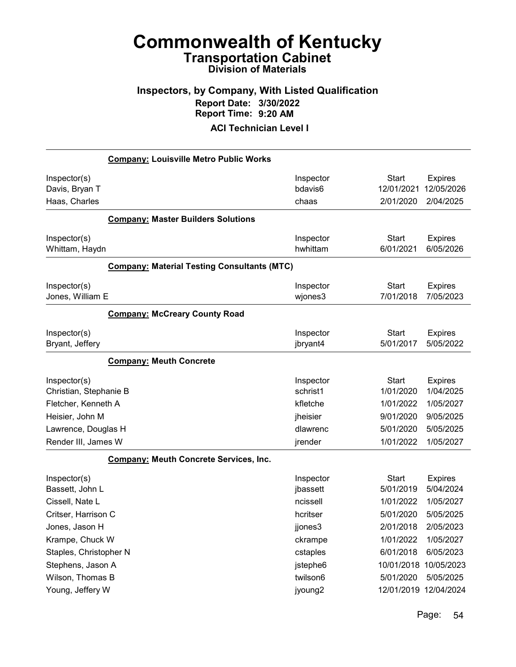## Inspectors, by Company, With Listed Qualification Report Date: 3/30/2022 Report Time: 9:20 AM

|                        | <b>Company: Louisville Metro Public Works</b>      |           |              |                       |
|------------------------|----------------------------------------------------|-----------|--------------|-----------------------|
| Inspector(s)           |                                                    | Inspector | <b>Start</b> | <b>Expires</b>        |
| Davis, Bryan T         |                                                    | bdavis6   | 12/01/2021   | 12/05/2026            |
| Haas, Charles          |                                                    | chaas     | 2/01/2020    | 2/04/2025             |
|                        | <b>Company: Master Builders Solutions</b>          |           |              |                       |
| Inspector(s)           |                                                    | Inspector | <b>Start</b> | <b>Expires</b>        |
| Whittam, Haydn         |                                                    | hwhittam  | 6/01/2021    | 6/05/2026             |
|                        | <b>Company: Material Testing Consultants (MTC)</b> |           |              |                       |
| Inspector(s)           |                                                    | Inspector | <b>Start</b> | <b>Expires</b>        |
| Jones, William E       |                                                    | wjones3   | 7/01/2018    | 7/05/2023             |
|                        | <b>Company: McCreary County Road</b>               |           |              |                       |
| Inspector(s)           |                                                    | Inspector | <b>Start</b> | <b>Expires</b>        |
| Bryant, Jeffery        |                                                    | jbryant4  | 5/01/2017    | 5/05/2022             |
|                        | <b>Company: Meuth Concrete</b>                     |           |              |                       |
| Inspector(s)           |                                                    | Inspector | <b>Start</b> | <b>Expires</b>        |
| Christian, Stephanie B |                                                    | schrist1  | 1/01/2020    | 1/04/2025             |
| Fletcher, Kenneth A    |                                                    | kfletche  | 1/01/2022    | 1/05/2027             |
| Heisier, John M        |                                                    | jheisier  | 9/01/2020    | 9/05/2025             |
| Lawrence, Douglas H    |                                                    | dlawrenc  | 5/01/2020    | 5/05/2025             |
| Render III, James W    |                                                    | jrender   | 1/01/2022    | 1/05/2027             |
|                        | <b>Company: Meuth Concrete Services, Inc.</b>      |           |              |                       |
| Inspector(s)           |                                                    | Inspector | <b>Start</b> | <b>Expires</b>        |
| Bassett, John L        |                                                    | jbassett  | 5/01/2019    | 5/04/2024             |
| Cissell, Nate L        |                                                    | ncissell  | 1/01/2022    | 1/05/2027             |
| Critser, Harrison C    |                                                    | hcritser  | 5/01/2020    | 5/05/2025             |
| Jones, Jason H         |                                                    | jjones3   | 2/01/2018    | 2/05/2023             |
| Krampe, Chuck W        |                                                    | ckrampe   | 1/01/2022    | 1/05/2027             |
| Staples, Christopher N |                                                    | cstaples  | 6/01/2018    | 6/05/2023             |
| Stephens, Jason A      |                                                    | jstephe6  | 10/01/2018   | 10/05/2023            |
| Wilson, Thomas B       |                                                    | twilson6  | 5/01/2020    | 5/05/2025             |
| Young, Jeffery W       |                                                    | jyoung2   |              | 12/01/2019 12/04/2024 |
|                        |                                                    |           |              |                       |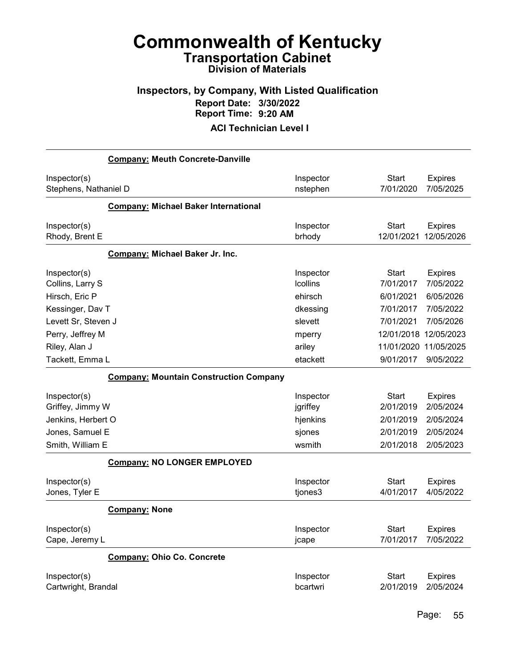## Inspectors, by Company, With Listed Qualification Report Date: 3/30/2022 Report Time: 9:20 AM

| <b>Company: Meuth Concrete-Danville</b>       |                 |              |                |
|-----------------------------------------------|-----------------|--------------|----------------|
| Inspector(s)                                  | Inspector       | <b>Start</b> | <b>Expires</b> |
| Stephens, Nathaniel D                         | nstephen        | 7/01/2020    | 7/05/2025      |
| <b>Company: Michael Baker International</b>   |                 |              |                |
| Inspector(s)                                  | Inspector       | <b>Start</b> | <b>Expires</b> |
| Rhody, Brent E                                | brhody          | 12/01/2021   | 12/05/2026     |
| Company: Michael Baker Jr. Inc.               |                 |              |                |
| Inspector(s)                                  | Inspector       | <b>Start</b> | <b>Expires</b> |
| Collins, Larry S                              | <b>Icollins</b> | 7/01/2017    | 7/05/2022      |
| Hirsch, Eric P                                | ehirsch         | 6/01/2021    | 6/05/2026      |
| Kessinger, Dav T                              | dkessing        | 7/01/2017    | 7/05/2022      |
| Levett Sr, Steven J                           | slevett         | 7/01/2021    | 7/05/2026      |
| Perry, Jeffrey M                              | mperry          | 12/01/2018   | 12/05/2023     |
| Riley, Alan J                                 | ariley          | 11/01/2020   | 11/05/2025     |
| Tackett, Emma L                               | etackett        | 9/01/2017    | 9/05/2022      |
| <b>Company: Mountain Construction Company</b> |                 |              |                |
| Inspector(s)                                  | Inspector       | <b>Start</b> | <b>Expires</b> |
| Griffey, Jimmy W                              | jgriffey        | 2/01/2019    | 2/05/2024      |
| Jenkins, Herbert O                            | hjenkins        | 2/01/2019    | 2/05/2024      |
| Jones, Samuel E                               | sjones          | 2/01/2019    | 2/05/2024      |
| Smith, William E                              | wsmith          | 2/01/2018    | 2/05/2023      |
| <b>Company: NO LONGER EMPLOYED</b>            |                 |              |                |
| Inspector(s)                                  | Inspector       | <b>Start</b> | <b>Expires</b> |
| Jones, Tyler E                                | tjones3         | 4/01/2017    | 4/05/2022      |
| <b>Company: None</b>                          |                 |              |                |
| Inspector(s)                                  | Inspector       | Start        | <b>Expires</b> |
| Cape, Jeremy L                                | jcape           | 7/01/2017    | 7/05/2022      |
| <b>Company: Ohio Co. Concrete</b>             |                 |              |                |
| Inspector(s)                                  | Inspector       | <b>Start</b> | <b>Expires</b> |
| Cartwright, Brandal                           | bcartwri        | 2/01/2019    | 2/05/2024      |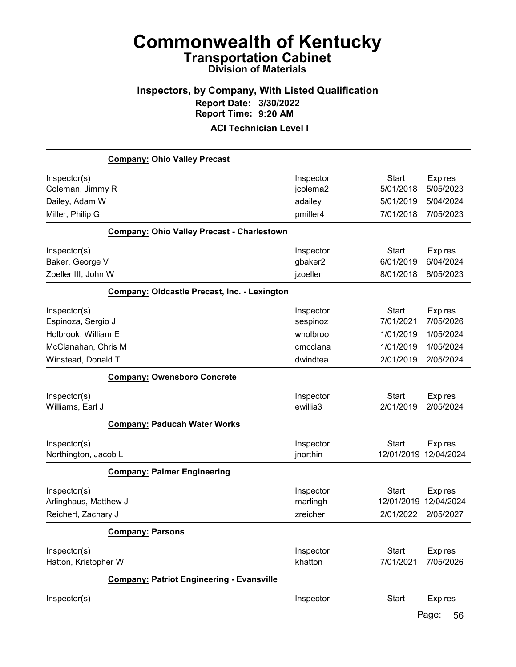## Inspectors, by Company, With Listed Qualification Report Date: 3/30/2022 Report Time: 9:20 AM

|                       | <b>Company: Ohio Valley Precast</b>                 |           |                       |                |
|-----------------------|-----------------------------------------------------|-----------|-----------------------|----------------|
| Inspector(s)          |                                                     | Inspector | <b>Start</b>          | <b>Expires</b> |
| Coleman, Jimmy R      |                                                     | jcolema2  | 5/01/2018             | 5/05/2023      |
| Dailey, Adam W        |                                                     | adailey   | 5/01/2019             | 5/04/2024      |
| Miller, Philip G      |                                                     | pmiller4  | 7/01/2018             | 7/05/2023      |
|                       | <b>Company: Ohio Valley Precast - Charlestown</b>   |           |                       |                |
| Inspector(s)          |                                                     | Inspector | <b>Start</b>          | <b>Expires</b> |
| Baker, George V       |                                                     | gbaker2   | 6/01/2019             | 6/04/2024      |
| Zoeller III, John W   |                                                     | jzoeller  | 8/01/2018             | 8/05/2023      |
|                       | <b>Company: Oldcastle Precast, Inc. - Lexington</b> |           |                       |                |
| Inspector(s)          |                                                     | Inspector | Start                 | <b>Expires</b> |
| Espinoza, Sergio J    |                                                     | sespinoz  | 7/01/2021             | 7/05/2026      |
| Holbrook, William E   |                                                     | wholbroo  | 1/01/2019             | 1/05/2024      |
| McClanahan, Chris M   |                                                     | cmcclana  | 1/01/2019             | 1/05/2024      |
| Winstead, Donald T    |                                                     | dwindtea  | 2/01/2019             | 2/05/2024      |
|                       | <b>Company: Owensboro Concrete</b>                  |           |                       |                |
| Inspector(s)          |                                                     | Inspector | <b>Start</b>          | <b>Expires</b> |
| Williams, Earl J      |                                                     | ewillia3  | 2/01/2019             | 2/05/2024      |
|                       | <b>Company: Paducah Water Works</b>                 |           |                       |                |
| Inspector(s)          |                                                     | Inspector | <b>Start</b>          | <b>Expires</b> |
| Northington, Jacob L  |                                                     | jnorthin  | 12/01/2019 12/04/2024 |                |
|                       | <b>Company: Palmer Engineering</b>                  |           |                       |                |
| Inspector(s)          |                                                     | Inspector | <b>Start</b>          | <b>Expires</b> |
| Arlinghaus, Matthew J |                                                     | marlingh  | 12/01/2019            | 12/04/2024     |
| Reichert, Zachary J   |                                                     | zreicher  | 2/01/2022             | 2/05/2027      |
|                       | <b>Company: Parsons</b>                             |           |                       |                |
| Inspector(s)          |                                                     | Inspector | <b>Start</b>          | <b>Expires</b> |
| Hatton, Kristopher W  |                                                     | khatton   | 7/01/2021             | 7/05/2026      |
|                       | <b>Company: Patriot Engineering - Evansville</b>    |           |                       |                |
| Inspector(s)          |                                                     | Inspector | <b>Start</b>          | <b>Expires</b> |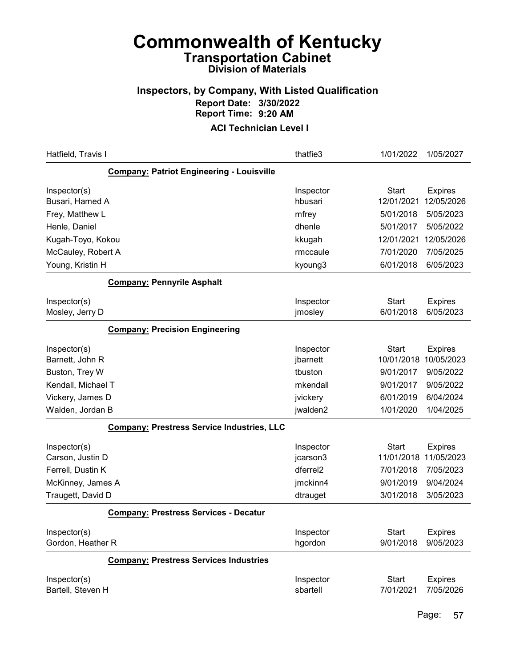## Inspectors, by Company, With Listed Qualification Report Date: 3/30/2022 Report Time: 9:20 AM

| Hatfield, Travis I                                | thatfie3              | 1/01/2022                 | 1/05/2027                   |
|---------------------------------------------------|-----------------------|---------------------------|-----------------------------|
| <b>Company: Patriot Engineering - Louisville</b>  |                       |                           |                             |
| Inspector(s)                                      | Inspector             | <b>Start</b>              | <b>Expires</b>              |
| Busari, Hamed A                                   | hbusari               | 12/01/2021                | 12/05/2026                  |
| Frey, Matthew L                                   | mfrey                 | 5/01/2018                 | 5/05/2023                   |
| Henle, Daniel                                     | dhenle                | 5/01/2017                 | 5/05/2022                   |
| Kugah-Toyo, Kokou                                 | kkugah                | 12/01/2021                | 12/05/2026                  |
| McCauley, Robert A                                | rmccaule              | 7/01/2020                 | 7/05/2025                   |
| Young, Kristin H                                  | kyoung3               | 6/01/2018                 | 6/05/2023                   |
| <b>Company: Pennyrile Asphalt</b>                 |                       |                           |                             |
| Inspector(s)                                      | Inspector             | <b>Start</b>              | <b>Expires</b>              |
| Mosley, Jerry D                                   | jmosley               | 6/01/2018                 | 6/05/2023                   |
| <b>Company: Precision Engineering</b>             |                       |                           |                             |
| Inspector(s)                                      | Inspector             | Start                     | <b>Expires</b>              |
| Barnett, John R                                   | jbarnett              | 10/01/2018                | 10/05/2023                  |
| Buston, Trey W                                    | tbuston               | 9/01/2017                 | 9/05/2022                   |
| Kendall, Michael T                                | mkendall              | 9/01/2017                 | 9/05/2022                   |
| Vickery, James D                                  | jvickery              | 6/01/2019                 | 6/04/2024                   |
| Walden, Jordan B                                  | jwalden2              | 1/01/2020                 | 1/04/2025                   |
| <b>Company: Prestress Service Industries, LLC</b> |                       |                           |                             |
| Inspector(s)                                      | Inspector             | <b>Start</b>              | <b>Expires</b>              |
| Carson, Justin D                                  | jcarson3              | 11/01/2018                | 11/05/2023                  |
| Ferrell, Dustin K                                 | dferrel <sub>2</sub>  | 7/01/2018                 | 7/05/2023                   |
| McKinney, James A                                 | jmckinn4              | 9/01/2019                 | 9/04/2024                   |
| Traugett, David D                                 | dtrauget              | 3/01/2018                 | 3/05/2023                   |
| <b>Company: Prestress Services - Decatur</b>      |                       |                           |                             |
| Inspector(s)                                      | Inspector             | <b>Start</b>              | <b>Expires</b>              |
| Gordon, Heather R                                 | hgordon               | 9/01/2018                 | 9/05/2023                   |
| <b>Company: Prestress Services Industries</b>     |                       |                           |                             |
| Inspector(s)<br>Bartell, Steven H                 | Inspector<br>sbartell | <b>Start</b><br>7/01/2021 | <b>Expires</b><br>7/05/2026 |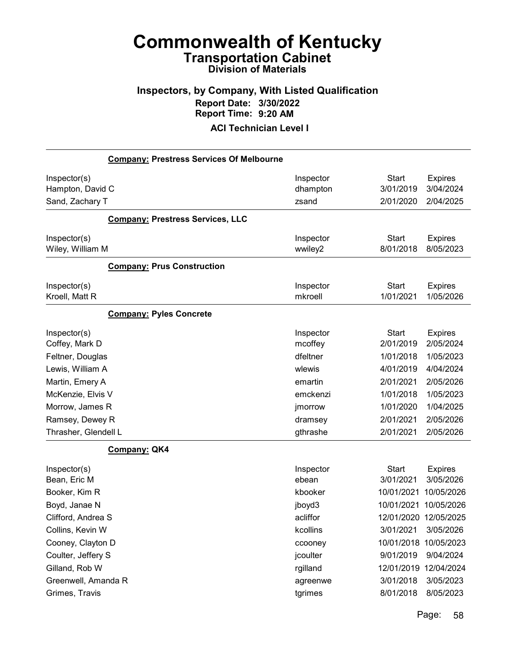## Inspectors, by Company, With Listed Qualification Report Date: 3/30/2022 Report Time: 9:20 AM

ACI Technician Level I

|                                                     | <b>Company: Prestress Services Of Melbourne</b> |                                |                                        |                                          |
|-----------------------------------------------------|-------------------------------------------------|--------------------------------|----------------------------------------|------------------------------------------|
| Inspector(s)<br>Hampton, David C<br>Sand, Zachary T |                                                 | Inspector<br>dhampton<br>zsand | <b>Start</b><br>3/01/2019<br>2/01/2020 | <b>Expires</b><br>3/04/2024<br>2/04/2025 |
|                                                     | <b>Company: Prestress Services, LLC</b>         |                                |                                        |                                          |
| Inspector(s)<br>Wiley, William M                    |                                                 | Inspector<br>wwiley2           | <b>Start</b><br>8/01/2018              | <b>Expires</b><br>8/05/2023              |
|                                                     | <b>Company: Prus Construction</b>               |                                |                                        |                                          |
| Inspector(s)<br>Kroell, Matt R                      |                                                 | Inspector<br>mkroell           | <b>Start</b><br>1/01/2021              | <b>Expires</b><br>1/05/2026              |
|                                                     | <b>Company: Pyles Concrete</b>                  |                                |                                        |                                          |
| Inspector(s)<br>Coffey, Mark D                      |                                                 | Inspector<br>mcoffey           | <b>Start</b><br>2/01/2019              | <b>Expires</b><br>2/05/2024              |
| Feltner, Douglas                                    |                                                 | dfeltner                       | 1/01/2018                              | 1/05/2023                                |
| Lewis, William A                                    |                                                 | wlewis                         | 4/01/2019                              | 4/04/2024                                |
| Martin, Emery A                                     |                                                 | emartin                        | 2/01/2021                              | 2/05/2026                                |
| McKenzie, Elvis V                                   |                                                 | emckenzi                       | 1/01/2018                              | 1/05/2023                                |
| Morrow, James R                                     |                                                 | jmorrow                        | 1/01/2020                              | 1/04/2025                                |
| Ramsey, Dewey R                                     |                                                 | dramsey                        | 2/01/2021                              | 2/05/2026                                |
| Thrasher, Glendell L                                |                                                 | gthrashe                       | 2/01/2021                              | 2/05/2026                                |
|                                                     | Company: QK4                                    |                                |                                        |                                          |
| Inspector(s)<br>Bean, Eric M                        |                                                 | Inspector<br>ebean             | <b>Start</b><br>3/01/2021              | <b>Expires</b><br>3/05/2026              |
| Booker, Kim R                                       |                                                 | kbooker                        | 10/01/2021                             | 10/05/2026                               |
| Boyd, Janae N                                       |                                                 | jboyd3                         | 10/01/2021                             | 10/05/2026                               |
| Clifford, Andrea S                                  |                                                 | acliffor                       | 12/01/2020 12/05/2025                  |                                          |
| Collins, Kevin W                                    |                                                 | kcollins                       | 3/01/2021                              | 3/05/2026                                |
| Cooney, Clayton D                                   |                                                 | ccooney                        | 10/01/2018                             | 10/05/2023                               |
| Coulter, Jeffery S                                  |                                                 | jcoulter                       | 9/01/2019                              | 9/04/2024                                |
| Gilland, Rob W                                      |                                                 | rgilland                       | 12/01/2019 12/04/2024                  |                                          |
| Greenwell, Amanda R                                 |                                                 | agreenwe                       | 3/01/2018                              | 3/05/2023                                |
| Grimes, Travis                                      |                                                 | tgrimes                        | 8/01/2018                              | 8/05/2023                                |
|                                                     |                                                 |                                |                                        |                                          |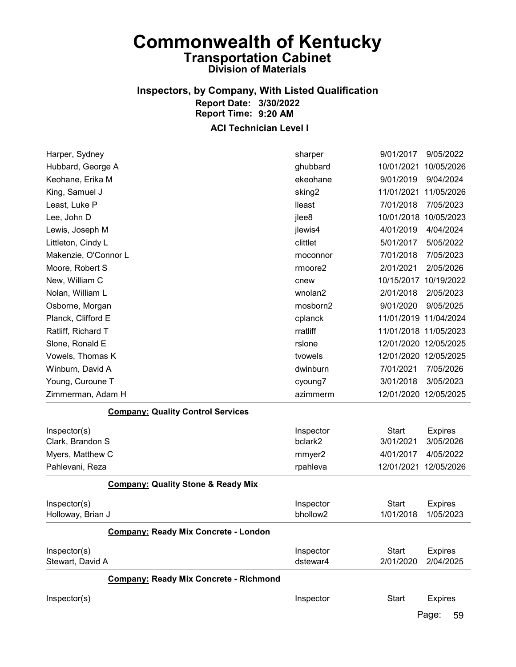## Inspectors, by Company, With Listed Qualification Report Date: 3/30/2022 Report Time: 9:20 AM

### ACI Technician Level I

| Harper, Sydney       |                                               | sharper            | 9/01/2017    | 9/05/2022             |
|----------------------|-----------------------------------------------|--------------------|--------------|-----------------------|
| Hubbard, George A    |                                               | ghubbard           | 10/01/2021   | 10/05/2026            |
| Keohane, Erika M     |                                               | ekeohane           | 9/01/2019    | 9/04/2024             |
| King, Samuel J       |                                               | sking <sub>2</sub> | 11/01/2021   | 11/05/2026            |
| Least, Luke P        |                                               | lleast             | 7/01/2018    | 7/05/2023             |
| Lee, John D          |                                               | jlee8              | 10/01/2018   | 10/05/2023            |
| Lewis, Joseph M      |                                               | jlewis4            | 4/01/2019    | 4/04/2024             |
| Littleton, Cindy L   |                                               | clittlet           | 5/01/2017    | 5/05/2022             |
| Makenzie, O'Connor L |                                               | moconnor           | 7/01/2018    | 7/05/2023             |
| Moore, Robert S      |                                               | rmoore2            | 2/01/2021    | 2/05/2026             |
| New, William C       |                                               | cnew               | 10/15/2017   | 10/19/2022            |
| Nolan, William L     |                                               | wnolan2            | 2/01/2018    | 2/05/2023             |
| Osborne, Morgan      |                                               | mosborn2           | 9/01/2020    | 9/05/2025             |
| Planck, Clifford E   |                                               | cplanck            |              | 11/01/2019 11/04/2024 |
| Ratliff, Richard T   |                                               | rratliff           |              | 11/01/2018 11/05/2023 |
| Slone, Ronald E      |                                               | rslone             |              | 12/01/2020 12/05/2025 |
| Vowels, Thomas K     |                                               | tvowels            |              | 12/01/2020 12/05/2025 |
| Winburn, David A     |                                               | dwinburn           | 7/01/2021    | 7/05/2026             |
| Young, Curoune T     |                                               | cyoung7            | 3/01/2018    | 3/05/2023             |
| Zimmerman, Adam H    |                                               | azimmerm           |              | 12/01/2020 12/05/2025 |
|                      | <b>Company: Quality Control Services</b>      |                    |              |                       |
| Inspector(s)         |                                               | Inspector          | <b>Start</b> | <b>Expires</b>        |
| Clark, Brandon S     |                                               | bclark2            | 3/01/2021    | 3/05/2026             |
| Myers, Matthew C     |                                               | mmyer2             | 4/01/2017    | 4/05/2022             |
| Pahlevani, Reza      |                                               | rpahleva           | 12/01/2021   | 12/05/2026            |
|                      | <b>Company: Quality Stone &amp; Ready Mix</b> |                    |              |                       |
| Inspector(s)         |                                               | Inspector          | <b>Start</b> | <b>Expires</b>        |
| Holloway, Brian J    |                                               | bhollow2           | 1/01/2018    | 1/05/2023             |
|                      | <b>Company: Ready Mix Concrete - London</b>   |                    |              |                       |
| Inspector(s)         |                                               | Inspector          | <b>Start</b> | <b>Expires</b>        |
| Stewart, David A     |                                               | dstewar4           | 2/01/2020    | 2/04/2025             |
|                      | <b>Company: Ready Mix Concrete - Richmond</b> |                    |              |                       |
| Inspector(s)         |                                               | Inspector          | <b>Start</b> | <b>Expires</b>        |
|                      |                                               |                    |              |                       |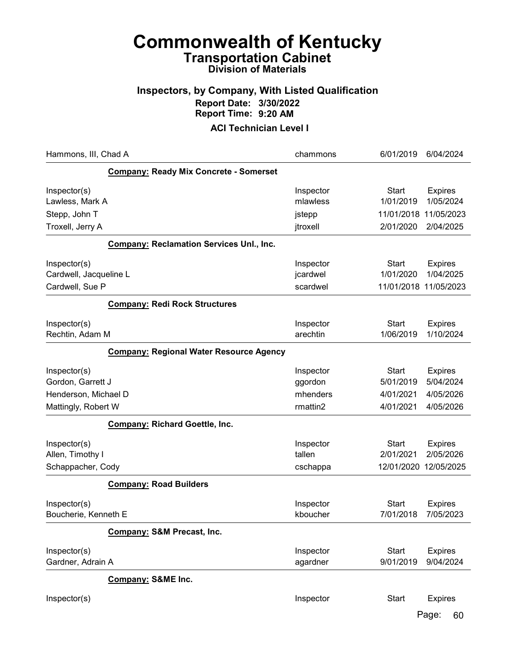## Inspectors, by Company, With Listed Qualification Report Date: 3/30/2022 Report Time: 9:20 AM

ACI Technician Level I

| Hammons, III, Chad A                                                             |                                                 | chammons                                     | 6/01/2019                                           | 6/04/2024                                      |
|----------------------------------------------------------------------------------|-------------------------------------------------|----------------------------------------------|-----------------------------------------------------|------------------------------------------------|
|                                                                                  | <b>Company: Ready Mix Concrete - Somerset</b>   |                                              |                                                     |                                                |
| Inspector(s)<br>Lawless, Mark A                                                  |                                                 | Inspector<br>mlawless                        | <b>Start</b><br>1/01/2019                           | <b>Expires</b><br>1/05/2024                    |
| Stepp, John T                                                                    |                                                 | jstepp                                       | 11/01/2018                                          | 11/05/2023                                     |
| Troxell, Jerry A                                                                 |                                                 | jtroxell                                     | 2/01/2020                                           | 2/04/2025                                      |
|                                                                                  | <b>Company: Reclamation Services Unl., Inc.</b> |                                              |                                                     |                                                |
| Inspector(s)<br>Cardwell, Jacqueline L<br>Cardwell, Sue P                        |                                                 | Inspector<br>jcardwel<br>scardwel            | <b>Start</b><br>1/01/2020<br>11/01/2018 11/05/2023  | <b>Expires</b><br>1/04/2025                    |
|                                                                                  | <b>Company: Redi Rock Structures</b>            |                                              |                                                     |                                                |
| Inspector(s)<br>Rechtin, Adam M                                                  |                                                 | Inspector<br>arechtin                        | <b>Start</b><br>1/06/2019                           | <b>Expires</b><br>1/10/2024                    |
|                                                                                  | <b>Company: Regional Water Resource Agency</b>  |                                              |                                                     |                                                |
| Inspector(s)<br>Gordon, Garrett J<br>Henderson, Michael D<br>Mattingly, Robert W |                                                 | Inspector<br>ggordon<br>mhenders<br>rmattin2 | <b>Start</b><br>5/01/2019<br>4/01/2021<br>4/01/2021 | Expires<br>5/04/2024<br>4/05/2026<br>4/05/2026 |
|                                                                                  | <b>Company: Richard Goettle, Inc.</b>           |                                              |                                                     |                                                |
| Inspector(s)<br>Allen, Timothy I<br>Schappacher, Cody                            |                                                 | Inspector<br>tallen<br>cschappa              | <b>Start</b><br>2/01/2021<br>12/01/2020 12/05/2025  | <b>Expires</b><br>2/05/2026                    |
|                                                                                  | <b>Company: Road Builders</b>                   |                                              |                                                     |                                                |
| Inspector(s)<br>Boucherie, Kenneth E                                             |                                                 | Inspector<br>kboucher                        | <b>Start</b><br>7/01/2018                           | <b>Expires</b><br>7/05/2023                    |
|                                                                                  | Company: S&M Precast, Inc.                      |                                              |                                                     |                                                |
| Inspector(s)<br>Gardner, Adrain A                                                |                                                 | Inspector<br>agardner                        | <b>Start</b><br>9/01/2019                           | <b>Expires</b><br>9/04/2024                    |
|                                                                                  | Company: S&ME Inc.                              |                                              |                                                     |                                                |
| Inspector(s)                                                                     |                                                 | Inspector                                    | <b>Start</b>                                        | <b>Expires</b>                                 |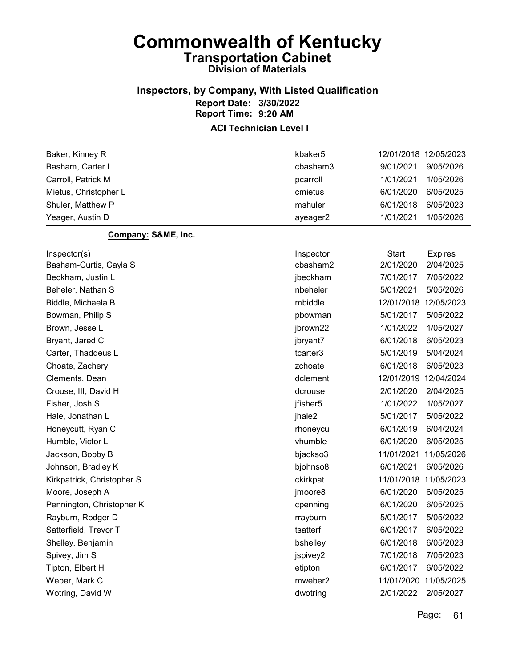## Inspectors, by Company, With Listed Qualification Report Date: 3/30/2022 Report Time: 9:20 AM

| Baker, Kinney R            | kbaker <sub>5</sub> | 12/01/2018 12/05/2023          |
|----------------------------|---------------------|--------------------------------|
| Basham, Carter L           | cbasham3            | 9/01/2021<br>9/05/2026         |
| Carroll, Patrick M         | pcarroll            | 1/01/2021<br>1/05/2026         |
| Mietus, Christopher L      | cmietus             | 6/01/2020<br>6/05/2025         |
| Shuler, Matthew P          | mshuler             | 6/01/2018<br>6/05/2023         |
| Yeager, Austin D           | ayeager2            | 1/01/2021<br>1/05/2026         |
| Company: S&ME, Inc.        |                     |                                |
| Inspector(s)               | Inspector           | <b>Start</b><br><b>Expires</b> |
| Basham-Curtis, Cayla S     | cbasham2            | 2/01/2020<br>2/04/2025         |
| Beckham, Justin L          | jbeckham            | 7/01/2017<br>7/05/2022         |
| Beheler, Nathan S          | nbeheler            | 5/01/2021<br>5/05/2026         |
| Biddle, Michaela B         | mbiddle             | 12/01/2018<br>12/05/2023       |
| Bowman, Philip S           | pbowman             | 5/01/2017<br>5/05/2022         |
| Brown, Jesse L             | jbrown22            | 1/01/2022<br>1/05/2027         |
| Bryant, Jared C            | jbryant7            | 6/01/2018<br>6/05/2023         |
| Carter, Thaddeus L         | tcarter3            | 5/01/2019<br>5/04/2024         |
| Choate, Zachery            | zchoate             | 6/01/2018<br>6/05/2023         |
| Clements, Dean             | dclement            | 12/01/2019<br>12/04/2024       |
| Crouse, III, David H       | dcrouse             | 2/01/2020<br>2/04/2025         |
| Fisher, Josh S             | jfisher5            | 1/01/2022<br>1/05/2027         |
| Hale, Jonathan L           | jhale2              | 5/01/2017<br>5/05/2022         |
| Honeycutt, Ryan C          | rhoneycu            | 6/01/2019<br>6/04/2024         |
| Humble, Victor L           | vhumble             | 6/01/2020<br>6/05/2025         |
| Jackson, Bobby B           | bjackso3            | 11/01/2021<br>11/05/2026       |
| Johnson, Bradley K         | bjohnso8            | 6/01/2021<br>6/05/2026         |
| Kirkpatrick, Christopher S | ckirkpat            | 11/01/2018<br>11/05/2023       |
| Moore, Joseph A            | jmoore8             | 6/01/2020<br>6/05/2025         |
| Pennington, Christopher K  | cpenning            | 6/01/2020<br>6/05/2025         |
| Rayburn, Rodger D          | rrayburn            | 5/01/2017<br>5/05/2022         |
| Satterfield, Trevor T      | tsatterf            | 6/01/2017<br>6/05/2022         |
| Shelley, Benjamin          | bshelley            | 6/01/2018<br>6/05/2023         |
| Spivey, Jim S              | jspivey2            | 7/01/2018<br>7/05/2023         |
| Tipton, Elbert H           | etipton             | 6/01/2017<br>6/05/2022         |
| Weber, Mark C              | mweber2             | 11/01/2020<br>11/05/2025       |
| Wotring, David W           | dwotring            | 2/01/2022<br>2/05/2027         |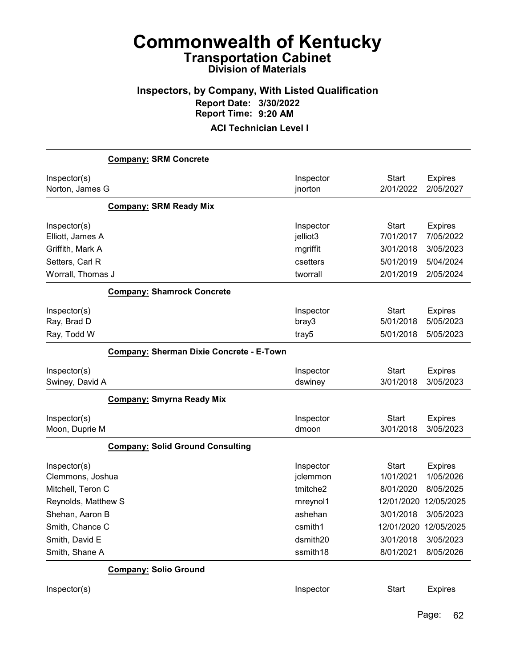## Inspectors, by Company, With Listed Qualification Report Date: 3/30/2022 Report Time: 9:20 AM

|                                  | <b>Company: SRM Concrete</b>                    |                       |                           |                             |
|----------------------------------|-------------------------------------------------|-----------------------|---------------------------|-----------------------------|
| Inspector(s)<br>Norton, James G  |                                                 | Inspector<br>jnorton  | <b>Start</b><br>2/01/2022 | <b>Expires</b><br>2/05/2027 |
|                                  | <b>Company: SRM Ready Mix</b>                   |                       |                           |                             |
| Inspector(s)<br>Elliott, James A |                                                 | Inspector<br>jelliot3 | <b>Start</b><br>7/01/2017 | <b>Expires</b><br>7/05/2022 |
| Griffith, Mark A                 |                                                 | mgriffit              | 3/01/2018                 | 3/05/2023                   |
| Setters, Carl R                  |                                                 | csetters              | 5/01/2019                 | 5/04/2024                   |
| Worrall, Thomas J                |                                                 | tworrall              | 2/01/2019                 | 2/05/2024                   |
|                                  | <b>Company: Shamrock Concrete</b>               |                       |                           |                             |
| Inspector(s)<br>Ray, Brad D      |                                                 | Inspector<br>bray3    | <b>Start</b><br>5/01/2018 | <b>Expires</b><br>5/05/2023 |
| Ray, Todd W                      |                                                 | tray5                 | 5/01/2018                 | 5/05/2023                   |
|                                  | <b>Company: Sherman Dixie Concrete - E-Town</b> |                       |                           |                             |
| Inspector(s)<br>Swiney, David A  |                                                 | Inspector<br>dswiney  | <b>Start</b><br>3/01/2018 | <b>Expires</b><br>3/05/2023 |
|                                  | <b>Company: Smyrna Ready Mix</b>                |                       |                           |                             |
| Inspector(s)<br>Moon, Duprie M   |                                                 | Inspector<br>dmoon    | <b>Start</b><br>3/01/2018 | <b>Expires</b><br>3/05/2023 |
|                                  | <b>Company: Solid Ground Consulting</b>         |                       |                           |                             |
| Inspector(s)<br>Clemmons, Joshua |                                                 | Inspector<br>jclemmon | <b>Start</b><br>1/01/2021 | <b>Expires</b><br>1/05/2026 |
| Mitchell, Teron C                |                                                 | tmitche2              | 8/01/2020                 | 8/05/2025                   |
| Reynolds, Matthew S              |                                                 | mreynol1              | 12/01/2020                | 12/05/2025                  |
| Shehan, Aaron B                  |                                                 | ashehan               | 3/01/2018                 | 3/05/2023                   |
| Smith, Chance C                  |                                                 | csmith1               | 12/01/2020 12/05/2025     |                             |
| Smith, David E                   |                                                 | dsmith20              | 3/01/2018                 | 3/05/2023                   |
| Smith, Shane A                   |                                                 | ssmith18              | 8/01/2021                 | 8/05/2026                   |
|                                  | <b>Company: Solio Ground</b>                    |                       |                           |                             |
| Inspector(s)                     |                                                 | Inspector             | <b>Start</b>              | <b>Expires</b>              |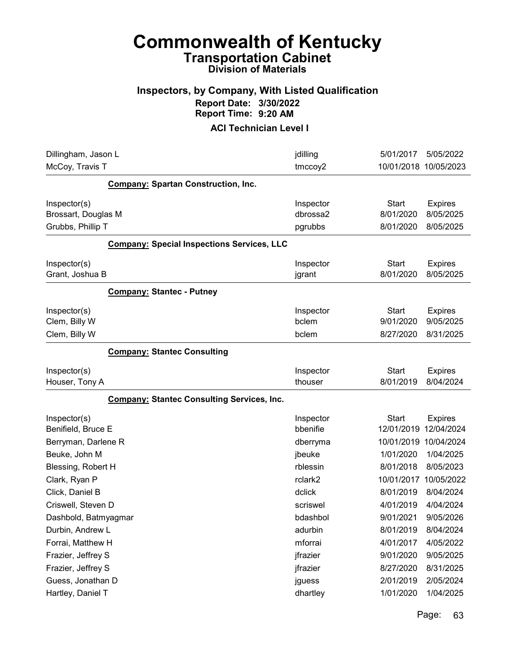### Inspectors, by Company, With Listed Qualification Report Date: 3/30/2022 Report Time: 9:20 AM

| Dillingham, Jason L                                       |                                                   | jdilling                          | 5/01/2017                                           | 5/05/2022                    |
|-----------------------------------------------------------|---------------------------------------------------|-----------------------------------|-----------------------------------------------------|------------------------------|
| McCoy, Travis T                                           |                                                   | tmccoy2                           | 10/01/2018 10/05/2023                               |                              |
|                                                           | <b>Company: Spartan Construction, Inc.</b>        |                                   |                                                     |                              |
| Inspector(s)                                              |                                                   | Inspector                         | <b>Start</b>                                        | <b>Expires</b>               |
| Brossart, Douglas M                                       |                                                   | dbrossa2                          | 8/01/2020                                           | 8/05/2025                    |
| Grubbs, Phillip T                                         |                                                   | pgrubbs                           | 8/01/2020                                           | 8/05/2025                    |
|                                                           | <b>Company: Special Inspections Services, LLC</b> |                                   |                                                     |                              |
| Inspector(s)                                              |                                                   | Inspector                         | <b>Start</b>                                        | <b>Expires</b>               |
| Grant, Joshua B                                           |                                                   | jgrant                            | 8/01/2020                                           | 8/05/2025                    |
|                                                           | <b>Company: Stantec - Putney</b>                  |                                   |                                                     |                              |
| Inspector(s)                                              |                                                   | Inspector                         | <b>Start</b>                                        | <b>Expires</b>               |
| Clem, Billy W                                             |                                                   | bclem                             | 9/01/2020                                           | 9/05/2025                    |
| Clem, Billy W                                             |                                                   | bclem                             | 8/27/2020                                           | 8/31/2025                    |
|                                                           | <b>Company: Stantec Consulting</b>                |                                   |                                                     |                              |
| Inspector(s)                                              |                                                   | Inspector                         | <b>Start</b>                                        | <b>Expires</b>               |
| Houser, Tony A                                            |                                                   | thouser                           | 8/01/2019                                           | 8/04/2024                    |
|                                                           | <b>Company: Stantec Consulting Services, Inc.</b> |                                   |                                                     |                              |
| Inspector(s)<br>Benifield, Bruce E<br>Berryman, Darlene R |                                                   | Inspector<br>bbenifie<br>dberryma | <b>Start</b><br>12/01/2019<br>10/01/2019 10/04/2024 | <b>Expires</b><br>12/04/2024 |
| Beuke, John M                                             |                                                   | jbeuke                            | 1/01/2020                                           | 1/04/2025                    |
| Blessing, Robert H                                        |                                                   | rblessin                          | 8/01/2018                                           | 8/05/2023                    |
| Clark, Ryan P                                             |                                                   | rclark2                           | 10/01/2017                                          | 10/05/2022                   |
| Click, Daniel B                                           |                                                   | dclick                            | 8/01/2019                                           | 8/04/2024                    |
| Criswell, Steven D                                        |                                                   | scriswel                          | 4/01/2019                                           | 4/04/2024                    |
| Dashbold, Batmyagmar                                      |                                                   | bdashbol                          | 9/01/2021                                           | 9/05/2026                    |
| Durbin, Andrew L                                          |                                                   | adurbin                           | 8/01/2019                                           | 8/04/2024                    |
| Forrai, Matthew H                                         |                                                   | mforrai                           | 4/01/2017                                           | 4/05/2022                    |
| Frazier, Jeffrey S                                        |                                                   | jfrazier                          | 9/01/2020                                           | 9/05/2025                    |
| Frazier, Jeffrey S                                        |                                                   | jfrazier                          | 8/27/2020                                           | 8/31/2025                    |
| Guess, Jonathan D                                         |                                                   | jguess                            | 2/01/2019                                           | 2/05/2024                    |
| Hartley, Daniel T                                         |                                                   | dhartley                          | 1/01/2020                                           | 1/04/2025                    |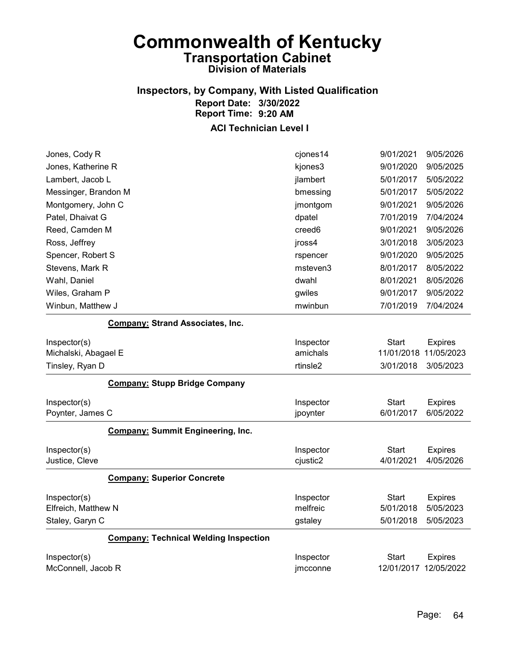## Inspectors, by Company, With Listed Qualification Report Date: 3/30/2022 Report Time: 9:20 AM

| Jones, Cody R                                | cjones14           | 9/01/2021    | 9/05/2026             |
|----------------------------------------------|--------------------|--------------|-----------------------|
| Jones, Katherine R                           | kjones3            | 9/01/2020    | 9/05/2025             |
| Lambert, Jacob L                             | jlambert           | 5/01/2017    | 5/05/2022             |
| Messinger, Brandon M                         | bmessing           | 5/01/2017    | 5/05/2022             |
| Montgomery, John C                           | jmontgom           | 9/01/2021    | 9/05/2026             |
| Patel, Dhaivat G                             | dpatel             | 7/01/2019    | 7/04/2024             |
| Reed, Camden M                               | creed <sub>6</sub> | 9/01/2021    | 9/05/2026             |
| Ross, Jeffrey                                | jross4             | 3/01/2018    | 3/05/2023             |
| Spencer, Robert S                            | rspencer           | 9/01/2020    | 9/05/2025             |
| Stevens, Mark R                              | msteven3           | 8/01/2017    | 8/05/2022             |
| Wahl, Daniel                                 | dwahl              | 8/01/2021    | 8/05/2026             |
| Wiles, Graham P                              | gwiles             | 9/01/2017    | 9/05/2022             |
| Winbun, Matthew J                            | mwinbun            | 7/01/2019    | 7/04/2024             |
| <b>Company: Strand Associates, Inc.</b>      |                    |              |                       |
| Inspector(s)                                 | Inspector          | Start        | <b>Expires</b>        |
| Michalski, Abagael E                         | amichals           | 11/01/2018   | 11/05/2023            |
| Tinsley, Ryan D                              | rtinsle2           | 3/01/2018    | 3/05/2023             |
| <b>Company: Stupp Bridge Company</b>         |                    |              |                       |
| Inspector(s)                                 | Inspector          | <b>Start</b> | <b>Expires</b>        |
| Poynter, James C                             | jpoynter           | 6/01/2017    | 6/05/2022             |
| <b>Company: Summit Engineering, Inc.</b>     |                    |              |                       |
| Inspector(s)                                 | Inspector          | <b>Start</b> | <b>Expires</b>        |
| Justice, Cleve                               | cjustic2           | 4/01/2021    | 4/05/2026             |
| <b>Company: Superior Concrete</b>            |                    |              |                       |
| Inspector(s)                                 | Inspector          | <b>Start</b> | <b>Expires</b>        |
| Elfreich, Matthew N                          | melfreic           | 5/01/2018    | 5/05/2023             |
| Staley, Garyn C                              | gstaley            | 5/01/2018    | 5/05/2023             |
| <b>Company: Technical Welding Inspection</b> |                    |              |                       |
| Inspector(s)                                 | Inspector          | Start        | <b>Expires</b>        |
| McConnell, Jacob R                           | jmcconne           |              | 12/01/2017 12/05/2022 |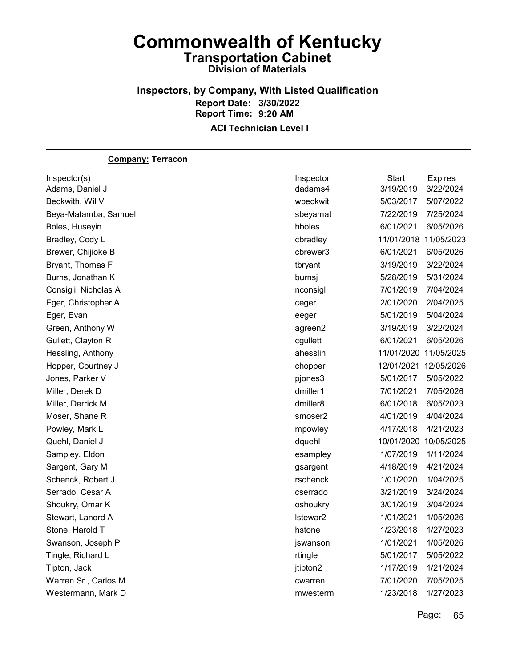### Inspectors, by Company, With Listed Qualification Report Date: 3/30/2022 Report Time: 9:20 AM ACI Technician Level I

#### Company: Terracon

| Inspector(s)         | Inspector | Start                 | <b>Expires</b> |
|----------------------|-----------|-----------------------|----------------|
| Adams, Daniel J      | dadams4   | 3/19/2019             | 3/22/2024      |
| Beckwith, Wil V      | wbeckwit  | 5/03/2017             | 5/07/2022      |
| Beya-Matamba, Samuel | sbeyamat  | 7/22/2019             | 7/25/2024      |
| Boles, Huseyin       | hboles    | 6/01/2021             | 6/05/2026      |
| Bradley, Cody L      | cbradley  | 11/01/2018 11/05/2023 |                |
| Brewer, Chijioke B   | cbrewer3  | 6/01/2021             | 6/05/2026      |
| Bryant, Thomas F     | tbryant   | 3/19/2019             | 3/22/2024      |
| Burns, Jonathan K    | burnsj    | 5/28/2019             | 5/31/2024      |
| Consigli, Nicholas A | nconsigl  | 7/01/2019             | 7/04/2024      |
| Eger, Christopher A  | ceger     | 2/01/2020             | 2/04/2025      |
| Eger, Evan           | eeger     | 5/01/2019             | 5/04/2024      |
| Green, Anthony W     | agreen2   | 3/19/2019             | 3/22/2024      |
| Gullett, Clayton R   | cgullett  | 6/01/2021             | 6/05/2026      |
| Hessling, Anthony    | ahesslin  | 11/01/2020 11/05/2025 |                |
| Hopper, Courtney J   | chopper   | 12/01/2021 12/05/2026 |                |
| Jones, Parker V      | pjones3   | 5/01/2017             | 5/05/2022      |
| Miller, Derek D      | dmiller1  | 7/01/2021             | 7/05/2026      |
| Miller, Derrick M    | dmiller8  | 6/01/2018             | 6/05/2023      |
| Moser, Shane R       | smoser2   | 4/01/2019             | 4/04/2024      |
| Powley, Mark L       | mpowley   | 4/17/2018             | 4/21/2023      |
| Quehl, Daniel J      | dquehl    | 10/01/2020            | 10/05/2025     |
| Sampley, Eldon       | esampley  | 1/07/2019             | 1/11/2024      |
| Sargent, Gary M      | gsargent  | 4/18/2019             | 4/21/2024      |
| Schenck, Robert J    | rschenck  | 1/01/2020             | 1/04/2025      |
| Serrado, Cesar A     | cserrado  | 3/21/2019             | 3/24/2024      |
| Shoukry, Omar K      | oshoukry  | 3/01/2019             | 3/04/2024      |
| Stewart, Lanord A    | Istewar2  | 1/01/2021             | 1/05/2026      |
| Stone, Harold T      | hstone    | 1/23/2018             | 1/27/2023      |
| Swanson, Joseph P    | jswanson  | 1/01/2021             | 1/05/2026      |
| Tingle, Richard L    | rtingle   | 5/01/2017             | 5/05/2022      |
| Tipton, Jack         | jtipton2  | 1/17/2019             | 1/21/2024      |
| Warren Sr., Carlos M | cwarren   | 7/01/2020             | 7/05/2025      |
| Westermann, Mark D   | mwesterm  | 1/23/2018             | 1/27/2023      |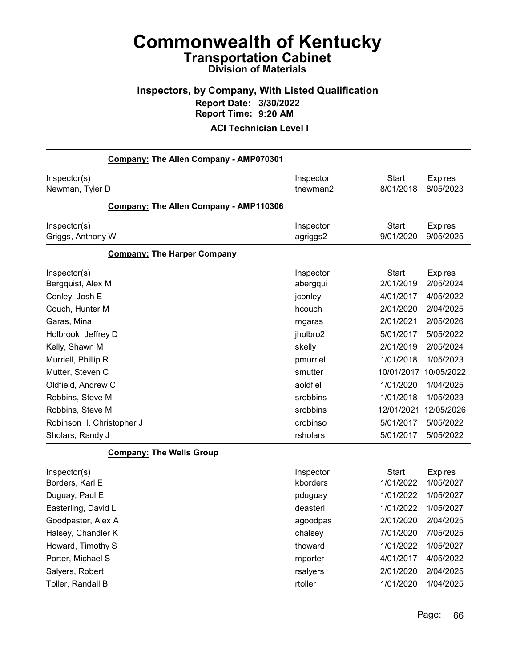## Inspectors, by Company, With Listed Qualification Report Date: 3/30/2022 Report Time: 9:20 AM

| Company: The Allen Company - AMP070301 |           |              |                |
|----------------------------------------|-----------|--------------|----------------|
| Inspector(s)                           | Inspector | <b>Start</b> | <b>Expires</b> |
| Newman, Tyler D                        | tnewman2  | 8/01/2018    | 8/05/2023      |
| Company: The Allen Company - AMP110306 |           |              |                |
| Inspector(s)                           | Inspector | <b>Start</b> | <b>Expires</b> |
| Griggs, Anthony W                      | agriggs2  | 9/01/2020    | 9/05/2025      |
| <b>Company: The Harper Company</b>     |           |              |                |
| Inspector(s)                           | Inspector | <b>Start</b> | <b>Expires</b> |
| Bergquist, Alex M                      | abergqui  | 2/01/2019    | 2/05/2024      |
| Conley, Josh E                         | jconley   | 4/01/2017    | 4/05/2022      |
| Couch, Hunter M                        | hcouch    | 2/01/2020    | 2/04/2025      |
| Garas, Mina                            | mgaras    | 2/01/2021    | 2/05/2026      |
| Holbrook, Jeffrey D                    | jholbro2  | 5/01/2017    | 5/05/2022      |
| Kelly, Shawn M                         | skelly    | 2/01/2019    | 2/05/2024      |
| Murriell, Phillip R                    | pmurriel  | 1/01/2018    | 1/05/2023      |
| Mutter, Steven C                       | smutter   | 10/01/2017   | 10/05/2022     |
| Oldfield, Andrew C                     | aoldfiel  | 1/01/2020    | 1/04/2025      |
| Robbins, Steve M                       | srobbins  | 1/01/2018    | 1/05/2023      |
| Robbins, Steve M                       | srobbins  | 12/01/2021   | 12/05/2026     |
| Robinson II, Christopher J             | crobinso  | 5/01/2017    | 5/05/2022      |
| Sholars, Randy J                       | rsholars  | 5/01/2017    | 5/05/2022      |
| <b>Company: The Wells Group</b>        |           |              |                |
| Inspector(s)                           | Inspector | <b>Start</b> | <b>Expires</b> |
| Borders, Karl E                        | kborders  | 1/01/2022    | 1/05/2027      |
| Duguay, Paul E                         | pduguay   | 1/01/2022    | 1/05/2027      |
| Easterling, David L                    | deasterl  | 1/01/2022    | 1/05/2027      |
| Goodpaster, Alex A                     | agoodpas  | 2/01/2020    | 2/04/2025      |
| Halsey, Chandler K                     | chalsey   | 7/01/2020    | 7/05/2025      |
| Howard, Timothy S                      | thoward   | 1/01/2022    | 1/05/2027      |
| Porter, Michael S                      | mporter   | 4/01/2017    | 4/05/2022      |
| Salyers, Robert                        | rsalyers  | 2/01/2020    | 2/04/2025      |
| Toller, Randall B                      | rtoller   | 1/01/2020    | 1/04/2025      |
|                                        |           |              |                |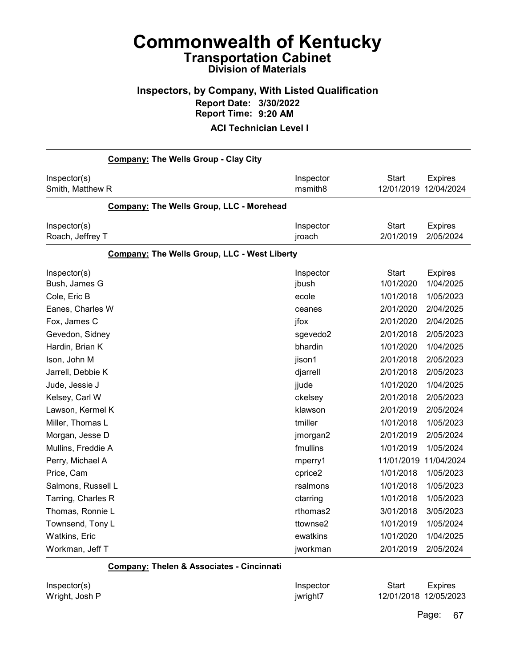### Inspectors, by Company, With Listed Qualification Report Date: 3/30/2022 Report Time: 9:20 AM

#### ACI Technician Level I

| <b>Company: The Wells Group - Clay City</b>         |                                  |                                                                                    |
|-----------------------------------------------------|----------------------------------|------------------------------------------------------------------------------------|
| Inspector(s)<br>Smith, Matthew R                    | Inspector<br>msmith <sub>8</sub> | <b>Start</b><br><b>Expires</b><br>12/01/2019 12/04/2024                            |
| Company: The Wells Group, LLC - Morehead            |                                  |                                                                                    |
| Inspector(s)<br>Roach, Jeffrey T                    | Inspector<br>jroach              | <b>Start</b><br><b>Expires</b><br>2/01/2019<br>2/05/2024                           |
| <b>Company: The Wells Group, LLC - West Liberty</b> |                                  |                                                                                    |
| Inspector(s)<br>Bush, James G<br>Cole, Eric B       | Inspector<br>jbush<br>ecole      | <b>Start</b><br><b>Expires</b><br>1/01/2020<br>1/04/2025<br>1/01/2018<br>1/05/2023 |
| Eanes, Charles W                                    | ceanes                           | 2/01/2020<br>2/04/2025                                                             |
| Fox, James C                                        | jfox                             | 2/01/2020<br>2/04/2025                                                             |
| Gevedon, Sidney                                     | sgevedo2                         | 2/01/2018<br>2/05/2023                                                             |
| Hardin, Brian K                                     | bhardin                          | 1/01/2020<br>1/04/2025                                                             |
| Ison, John M                                        | jison1                           | 2/01/2018<br>2/05/2023                                                             |
| Jarrell, Debbie K                                   | djarrell                         | 2/01/2018<br>2/05/2023                                                             |
| Jude, Jessie J                                      | jjude                            | 1/01/2020<br>1/04/2025                                                             |
| Kelsey, Carl W                                      | ckelsey                          | 2/01/2018<br>2/05/2023                                                             |
| Lawson, Kermel K                                    | klawson                          | 2/01/2019<br>2/05/2024                                                             |
| Miller, Thomas L                                    | tmiller                          | 1/01/2018<br>1/05/2023                                                             |
| Morgan, Jesse D                                     | jmorgan2                         | 2/01/2019<br>2/05/2024                                                             |
| Mullins, Freddie A                                  | fmullins                         | 1/01/2019<br>1/05/2024                                                             |
| Perry, Michael A                                    | mperry1                          | 11/01/2019<br>11/04/2024                                                           |
| Price, Cam                                          | cprice2                          | 1/01/2018<br>1/05/2023                                                             |
| Salmons, Russell L                                  | rsalmons                         | 1/01/2018<br>1/05/2023                                                             |
| Tarring, Charles R                                  | ctarring                         | 1/01/2018<br>1/05/2023                                                             |
| Thomas, Ronnie L                                    | rthomas2                         | 3/01/2018<br>3/05/2023                                                             |
| Townsend, Tony L                                    | ttownse2                         | 1/01/2019<br>1/05/2024                                                             |
| Watkins, Eric                                       | ewatkins                         | 1/01/2020<br>1/04/2025                                                             |
| Workman, Jeff T                                     | jworkman                         | 2/01/2019<br>2/05/2024                                                             |

Company: Thelen & Associates - Cincinnati

Inspector(s) **Inspector** Start Expires Wright, Josh P **image and COVID-2018** 12/01/2018 12/05/2023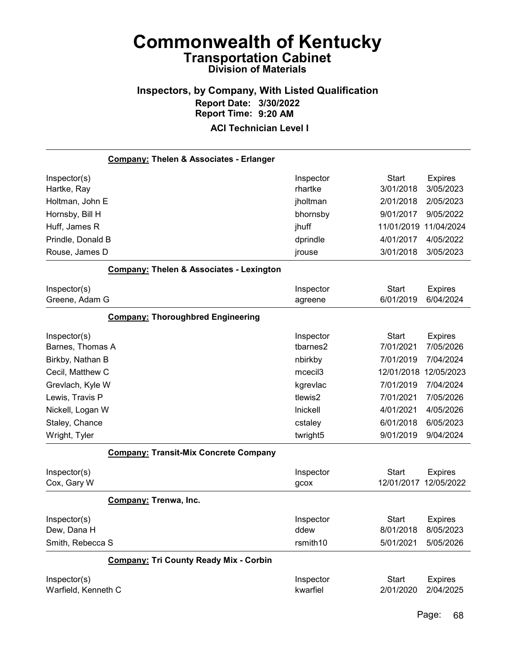## Inspectors, by Company, With Listed Qualification Report Date: 3/30/2022 Report Time: 9:20 AM

| <b>Company: Thelen &amp; Associates - Erlanger</b>  |                     |              |                |
|-----------------------------------------------------|---------------------|--------------|----------------|
| Inspector(s)                                        | Inspector           | <b>Start</b> | <b>Expires</b> |
| Hartke, Ray                                         | rhartke             | 3/01/2018    | 3/05/2023      |
| Holtman, John E                                     | jholtman            | 2/01/2018    | 2/05/2023      |
| Hornsby, Bill H                                     | bhornsby            | 9/01/2017    | 9/05/2022      |
| Huff, James R                                       | jhuff               | 11/01/2019   | 11/04/2024     |
| Prindle, Donald B                                   | dprindle            | 4/01/2017    | 4/05/2022      |
| Rouse, James D                                      | jrouse              | 3/01/2018    | 3/05/2023      |
| <b>Company: Thelen &amp; Associates - Lexington</b> |                     |              |                |
| Inspector(s)                                        | Inspector           | <b>Start</b> | <b>Expires</b> |
| Greene, Adam G                                      | agreene             | 6/01/2019    | 6/04/2024      |
| <b>Company: Thoroughbred Engineering</b>            |                     |              |                |
| Inspector(s)                                        | Inspector           | <b>Start</b> | <b>Expires</b> |
| Barnes, Thomas A                                    | tbarnes2            | 7/01/2021    | 7/05/2026      |
| Birkby, Nathan B                                    | nbirkby             | 7/01/2019    | 7/04/2024      |
| Cecil, Matthew C                                    | mcecil <sub>3</sub> | 12/01/2018   | 12/05/2023     |
| Grevlach, Kyle W                                    | kgrevlac            | 7/01/2019    | 7/04/2024      |
| Lewis, Travis P                                     | tlewis2             | 7/01/2021    | 7/05/2026      |
| Nickell, Logan W                                    | Inickell            | 4/01/2021    | 4/05/2026      |
| Staley, Chance                                      | cstaley             | 6/01/2018    | 6/05/2023      |
| Wright, Tyler                                       | twright5            | 9/01/2019    | 9/04/2024      |
| <b>Company: Transit-Mix Concrete Company</b>        |                     |              |                |
| Inspector(s)                                        | Inspector           | <b>Start</b> | <b>Expires</b> |
| Cox, Gary W                                         | gcox                | 12/01/2017   | 12/05/2022     |
| Company: Trenwa, Inc.                               |                     |              |                |
| Inspector(s)                                        | Inspector           | <b>Start</b> | <b>Expires</b> |
| Dew, Dana H                                         | ddew                | 8/01/2018    | 8/05/2023      |
| Smith, Rebecca S                                    | rsmith10            | 5/01/2021    | 5/05/2026      |
| <b>Company: Tri County Ready Mix - Corbin</b>       |                     |              |                |
| Inspector(s)                                        | Inspector           | <b>Start</b> | <b>Expires</b> |
| Warfield, Kenneth C                                 | kwarfiel            | 2/01/2020    | 2/04/2025      |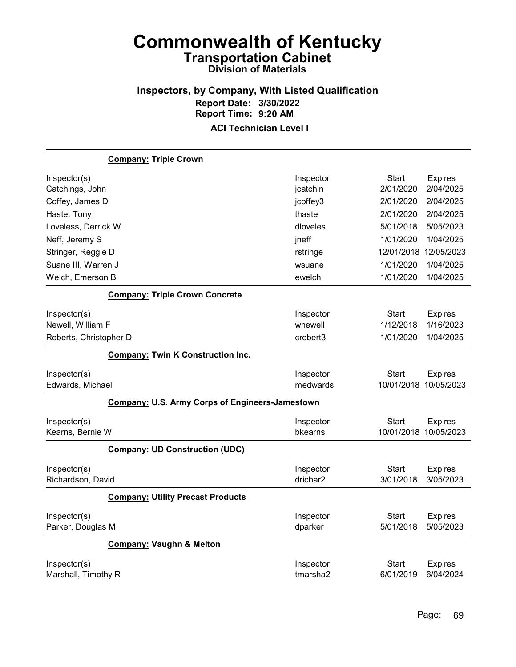## Inspectors, by Company, With Listed Qualification Report Date: 3/30/2022 Report Time: 9:20 AM

|                                   | <b>Company: Triple Crown</b>                           |                      |              |                       |
|-----------------------------------|--------------------------------------------------------|----------------------|--------------|-----------------------|
| Inspector(s)                      |                                                        | Inspector            | <b>Start</b> | <b>Expires</b>        |
| Catchings, John                   |                                                        | jcatchin             | 2/01/2020    | 2/04/2025             |
| Coffey, James D                   |                                                        | jcoffey3             | 2/01/2020    | 2/04/2025             |
| Haste, Tony                       |                                                        | thaste               | 2/01/2020    | 2/04/2025             |
| Loveless, Derrick W               |                                                        | dloveles             | 5/01/2018    | 5/05/2023             |
| Neff, Jeremy S                    |                                                        | jneff                | 1/01/2020    | 1/04/2025             |
| Stringer, Reggie D                |                                                        | rstringe             |              | 12/01/2018 12/05/2023 |
| Suane III, Warren J               |                                                        | wsuane               | 1/01/2020    | 1/04/2025             |
| Welch, Emerson B                  |                                                        | ewelch               | 1/01/2020    | 1/04/2025             |
|                                   | <b>Company: Triple Crown Concrete</b>                  |                      |              |                       |
| Inspector(s)                      |                                                        | Inspector            | Start        | <b>Expires</b>        |
| Newell, William F                 |                                                        | wnewell              | 1/12/2018    | 1/16/2023             |
| Roberts, Christopher D            |                                                        | crobert <sub>3</sub> | 1/01/2020    | 1/04/2025             |
|                                   | <b>Company: Twin K Construction Inc.</b>               |                      |              |                       |
|                                   |                                                        |                      |              |                       |
| Inspector(s)                      |                                                        | Inspector            | <b>Start</b> | <b>Expires</b>        |
| Edwards, Michael                  |                                                        | medwards             |              | 10/01/2018 10/05/2023 |
|                                   | <b>Company: U.S. Army Corps of Engineers-Jamestown</b> |                      |              |                       |
| Inspector(s)                      |                                                        | Inspector            | <b>Start</b> | <b>Expires</b>        |
| Kearns, Bernie W                  |                                                        | bkearns              | 10/01/2018   | 10/05/2023            |
|                                   | <b>Company: UD Construction (UDC)</b>                  |                      |              |                       |
| Inspector(s)                      |                                                        | Inspector            | <b>Start</b> | <b>Expires</b>        |
| Richardson, David                 |                                                        | drichar2             | 3/01/2018    | 3/05/2023             |
|                                   | <b>Company: Utility Precast Products</b>               |                      |              |                       |
|                                   |                                                        | Inspector            | <b>Start</b> | <b>Expires</b>        |
| Inspector(s)<br>Parker, Douglas M |                                                        | dparker              | 5/01/2018    | 5/05/2023             |
|                                   | <b>Company: Vaughn &amp; Melton</b>                    |                      |              |                       |
| Inspector(s)                      |                                                        | Inspector            | <b>Start</b> | <b>Expires</b>        |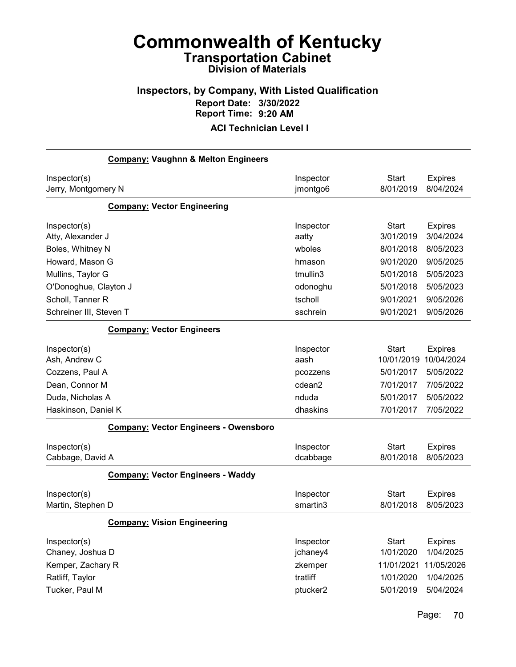## Inspectors, by Company, With Listed Qualification Report Date: 3/30/2022 Report Time: 9:20 AM

| <b>Company: Vaughnn &amp; Melton Engineers</b> |           |              |                |
|------------------------------------------------|-----------|--------------|----------------|
| Inspector(s)                                   | Inspector | <b>Start</b> | <b>Expires</b> |
| Jerry, Montgomery N                            | jmontgo6  | 8/01/2019    | 8/04/2024      |
| <b>Company: Vector Engineering</b>             |           |              |                |
| Inspector(s)                                   | Inspector | <b>Start</b> | <b>Expires</b> |
| Atty, Alexander J                              | aatty     | 3/01/2019    | 3/04/2024      |
| Boles, Whitney N                               | wboles    | 8/01/2018    | 8/05/2023      |
| Howard, Mason G                                | hmason    | 9/01/2020    | 9/05/2025      |
| Mullins, Taylor G                              | tmullin3  | 5/01/2018    | 5/05/2023      |
| O'Donoghue, Clayton J                          | odonoghu  | 5/01/2018    | 5/05/2023      |
| Scholl, Tanner R                               | tscholl   | 9/01/2021    | 9/05/2026      |
| Schreiner III, Steven T                        | sschrein  | 9/01/2021    | 9/05/2026      |
| <b>Company: Vector Engineers</b>               |           |              |                |
| Inspector(s)                                   | Inspector | <b>Start</b> | <b>Expires</b> |
| Ash, Andrew C                                  | aash      | 10/01/2019   | 10/04/2024     |
| Cozzens, Paul A                                | pcozzens  | 5/01/2017    | 5/05/2022      |
| Dean, Connor M                                 | cdean2    | 7/01/2017    | 7/05/2022      |
| Duda, Nicholas A                               | nduda     | 5/01/2017    | 5/05/2022      |
| Haskinson, Daniel K                            | dhaskins  | 7/01/2017    | 7/05/2022      |
| <b>Company: Vector Engineers - Owensboro</b>   |           |              |                |
| Inspector(s)                                   | Inspector | <b>Start</b> | <b>Expires</b> |
| Cabbage, David A                               | dcabbage  | 8/01/2018    | 8/05/2023      |
| <b>Company: Vector Engineers - Waddy</b>       |           |              |                |
| Inspector(s)                                   | Inspector | <b>Start</b> | <b>Expires</b> |
| Martin, Stephen D                              | smartin3  | 8/01/2018    | 8/05/2023      |
| <b>Company: Vision Engineering</b>             |           |              |                |
| Inspector(s)                                   | Inspector | <b>Start</b> | <b>Expires</b> |
| Chaney, Joshua D                               | jchaney4  | 1/01/2020    | 1/04/2025      |
| Kemper, Zachary R                              | zkemper   | 11/01/2021   | 11/05/2026     |
| Ratliff, Taylor                                | tratliff  | 1/01/2020    | 1/04/2025      |
| Tucker, Paul M                                 | ptucker2  | 5/01/2019    | 5/04/2024      |
|                                                |           |              |                |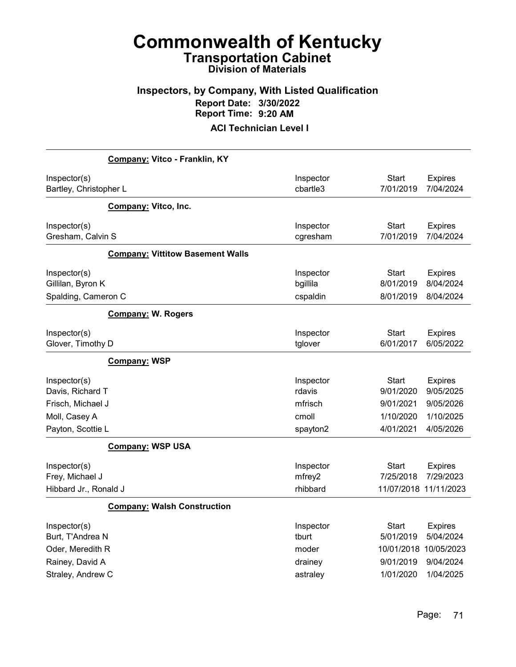## Inspectors, by Company, With Listed Qualification Report Date: 3/30/2022 Report Time: 9:20 AM

|                                                          | Company: Vitco - Franklin, KY           |                                   |                                                    |                                           |
|----------------------------------------------------------|-----------------------------------------|-----------------------------------|----------------------------------------------------|-------------------------------------------|
| Inspector(s)<br>Bartley, Christopher L                   |                                         | Inspector<br>cbartle3             | <b>Start</b><br>7/01/2019                          | <b>Expires</b><br>7/04/2024               |
|                                                          | Company: Vitco, Inc.                    |                                   |                                                    |                                           |
| Inspector(s)<br>Gresham, Calvin S                        |                                         | Inspector<br>cgresham             | <b>Start</b><br>7/01/2019                          | <b>Expires</b><br>7/04/2024               |
|                                                          | <b>Company: Vittitow Basement Walls</b> |                                   |                                                    |                                           |
| Inspector(s)<br>Gillilan, Byron K<br>Spalding, Cameron C |                                         | Inspector<br>bgillila<br>cspaldin | <b>Start</b><br>8/01/2019<br>8/01/2019             | <b>Expires</b><br>8/04/2024<br>8/04/2024  |
|                                                          | <b>Company: W. Rogers</b>               |                                   |                                                    |                                           |
| Inspector(s)<br>Glover, Timothy D                        |                                         | Inspector<br>tglover              | Start<br>6/01/2017                                 | <b>Expires</b><br>6/05/2022               |
|                                                          | <b>Company: WSP</b>                     |                                   |                                                    |                                           |
| Inspector(s)<br>Davis, Richard T                         |                                         | Inspector<br>rdavis               | <b>Start</b><br>9/01/2020                          | <b>Expires</b><br>9/05/2025               |
| Frisch, Michael J                                        |                                         | mfrisch                           | 9/01/2021                                          | 9/05/2026                                 |
| Moll, Casey A                                            |                                         | cmoll                             | 1/10/2020                                          | 1/10/2025                                 |
| Payton, Scottie L                                        |                                         | spayton2                          | 4/01/2021                                          | 4/05/2026                                 |
|                                                          | <b>Company: WSP USA</b>                 |                                   |                                                    |                                           |
| Inspector(s)<br>Frey, Michael J<br>Hibbard Jr., Ronald J |                                         | Inspector<br>mfrey2<br>rhibbard   | <b>Start</b><br>7/25/2018<br>11/07/2018 11/11/2023 | <b>Expires</b><br>7/29/2023               |
|                                                          | <b>Company: Walsh Construction</b>      |                                   |                                                    |                                           |
| Inspector(s)<br>Burt, T'Andrea N<br>Oder, Meredith R     |                                         | Inspector<br>tburt<br>moder       | <b>Start</b><br>5/01/2019<br>10/01/2018            | <b>Expires</b><br>5/04/2024<br>10/05/2023 |
| Rainey, David A                                          |                                         | drainey                           | 9/01/2019                                          | 9/04/2024                                 |
| Straley, Andrew C                                        |                                         | astraley                          | 1/01/2020                                          | 1/04/2025                                 |